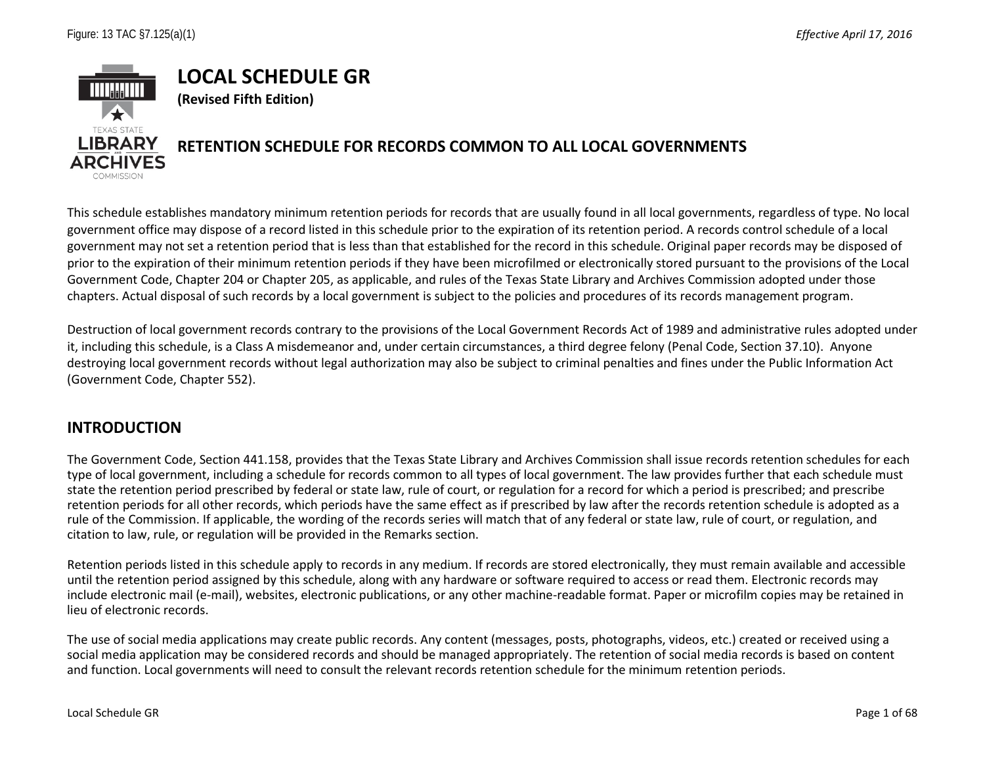

This schedule establishes mandatory minimum retention periods for records that are usually found in all local governments, regardless of type. No local government office may dispose of a record listed in this schedule prior to the expiration of its retention period. A records control schedule of a local government may not set a retention period that is less than that established for the record in this schedule. Original paper records may be disposed of prior to the expiration of their minimum retention periods if they have been microfilmed or electronically stored pursuant to the provisions of the Local Government Code, Chapter 204 or Chapter 205, as applicable, and rules of the Texas State Library and Archives Commission adopted under those chapters. Actual disposal of such records by a local government is subject to the policies and procedures of its records management program.

Destruction of local government records contrary to the provisions of the Local Government Records Act of 1989 and administrative rules adopted under it, including this schedule, is a Class A misdemeanor and, under certain circumstances, a third degree felony (Penal Code, Section 37.10). Anyone destroying local government records without legal authorization may also be subject to criminal penalties and fines under the Public Information Act (Government Code, Chapter 552).

## **INTRODUCTION**

The Government Code, Section 441.158, provides that the Texas State Library and Archives Commission shall issue records retention schedules for each type of local government, including a schedule for records common to all types of local government. The law provides further that each schedule must state the retention period prescribed by federal or state law, rule of court, or regulation for a record for which a period is prescribed; and prescribe retention periods for all other records, which periods have the same effect as if prescribed by law after the records retention schedule is adopted as a rule of the Commission. If applicable, the wording of the records series will match that of any federal or state law, rule of court, or regulation, and citation to law, rule, or regulation will be provided in the Remarks section.

Retention periods listed in this schedule apply to records in any medium. If records are stored electronically, they must remain available and accessible until the retention period assigned by this schedule, along with any hardware or software required to access or read them. Electronic records may include electronic mail (e-mail), websites, electronic publications, or any other machine-readable format. Paper or microfilm copies may be retained in lieu of electronic records.

The use of social media applications may create public records. Any content (messages, posts, photographs, videos, etc.) created or received using a social media application may be considered records and should be managed appropriately. The retention of social media records is based on content and function. Local governments will need to consult the relevant records retention schedule for the minimum retention periods.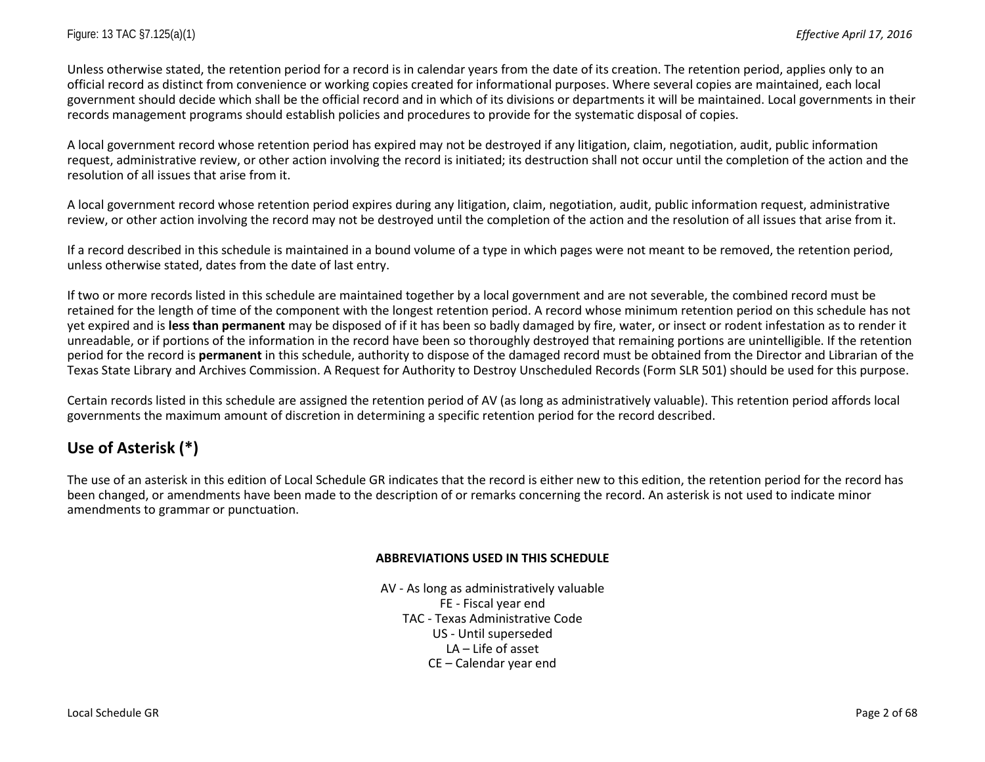Unless otherwise stated, the retention period for a record is in calendar years from the date of its creation. The retention period, applies only to an official record as distinct from convenience or working copies created for informational purposes. Where several copies are maintained, each local government should decide which shall be the official record and in which of its divisions or departments it will be maintained. Local governments in their records management programs should establish policies and procedures to provide for the systematic disposal of copies.

A local government record whose retention period has expired may not be destroyed if any litigation, claim, negotiation, audit, public information request, administrative review, or other action involving the record is initiated; its destruction shall not occur until the completion of the action and the resolution of all issues that arise from it.

A local government record whose retention period expires during any litigation, claim, negotiation, audit, public information request, administrative review, or other action involving the record may not be destroyed until the completion of the action and the resolution of all issues that arise from it.

If a record described in this schedule is maintained in a bound volume of a type in which pages were not meant to be removed, the retention period, unless otherwise stated, dates from the date of last entry.

If two or more records listed in this schedule are maintained together by a local government and are not severable, the combined record must be retained for the length of time of the component with the longest retention period. A record whose minimum retention period on this schedule has not yet expired and is **less than permanent** may be disposed of if it has been so badly damaged by fire, water, or insect or rodent infestation as to render it unreadable, or if portions of the information in the record have been so thoroughly destroyed that remaining portions are unintelligible. If the retention period for the record is **permanent** in this schedule, authority to dispose of the damaged record must be obtained from the Director and Librarian of the Texas State Library and Archives Commission. A Request for Authority to Destroy Unscheduled Records (Form SLR 501) should be used for this purpose.

Certain records listed in this schedule are assigned the retention period of AV (as long as administratively valuable). This retention period affords local governments the maximum amount of discretion in determining a specific retention period for the record described.

# **Use of Asterisk (\*)**

The use of an asterisk in this edition of Local Schedule GR indicates that the record is either new to this edition, the retention period for the record has been changed, or amendments have been made to the description of or remarks concerning the record. An asterisk is not used to indicate minor amendments to grammar or punctuation.

#### **ABBREVIATIONS USED IN THIS SCHEDULE**

AV - As long as administratively valuable FE - Fiscal year end TAC - Texas Administrative Code US - Until superseded LA – Life of asset CE – Calendar year end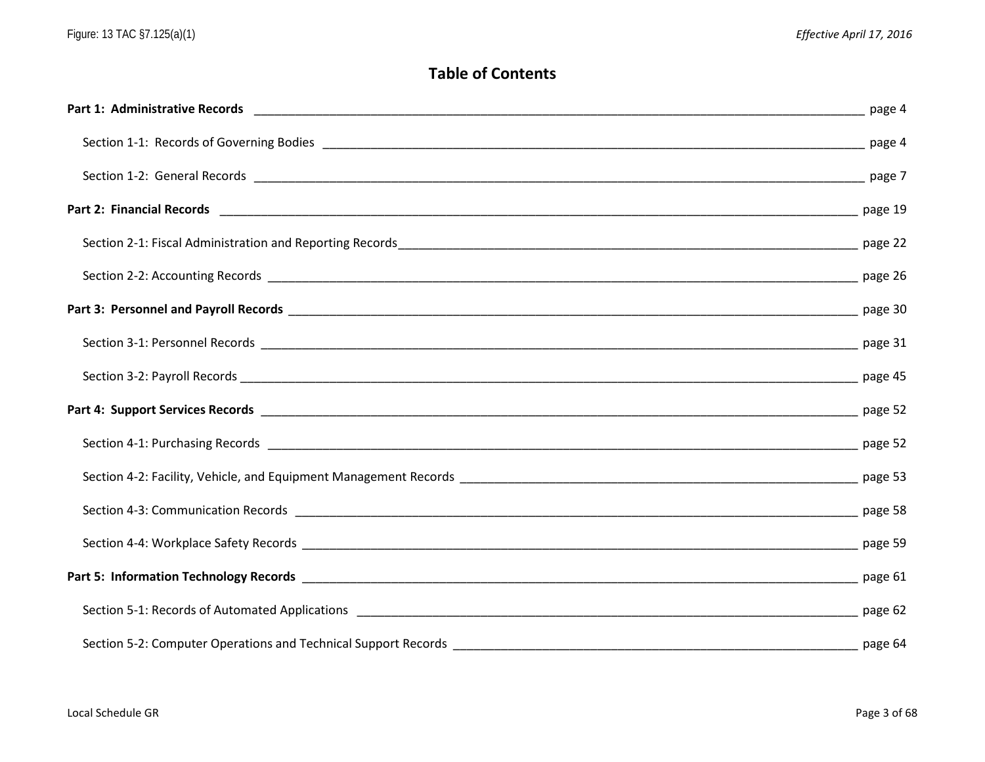# **Table of Contents**

| page 4 |
|--------|
|        |
|        |
|        |
|        |
|        |
|        |
|        |
|        |
|        |
|        |
|        |
|        |
|        |
|        |
|        |
|        |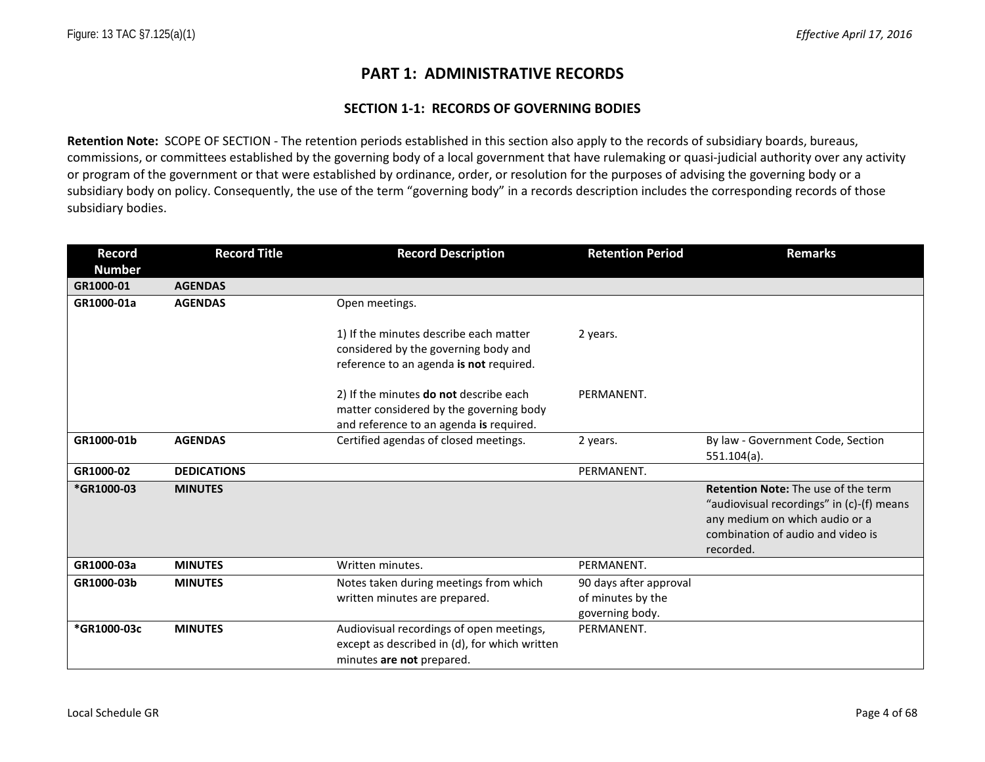## **PART 1: ADMINISTRATIVE RECORDS**

#### **SECTION 1-1: RECORDS OF GOVERNING BODIES**

**Retention Note:** SCOPE OF SECTION - The retention periods established in this section also apply to the records of subsidiary boards, bureaus, commissions, or committees established by the governing body of a local government that have rulemaking or quasi-judicial authority over any activity or program of the government or that were established by ordinance, order, or resolution for the purposes of advising the governing body or a subsidiary body on policy. Consequently, the use of the term "governing body" in a records description includes the corresponding records of those subsidiary bodies.

| <b>Record</b> | <b>Record Title</b> | <b>Record Description</b>                                                                                                    | <b>Retention Period</b>                                        | <b>Remarks</b>                                                                                                                                                              |
|---------------|---------------------|------------------------------------------------------------------------------------------------------------------------------|----------------------------------------------------------------|-----------------------------------------------------------------------------------------------------------------------------------------------------------------------------|
| <b>Number</b> |                     |                                                                                                                              |                                                                |                                                                                                                                                                             |
| GR1000-01     | <b>AGENDAS</b>      |                                                                                                                              |                                                                |                                                                                                                                                                             |
| GR1000-01a    | <b>AGENDAS</b>      | Open meetings.                                                                                                               |                                                                |                                                                                                                                                                             |
|               |                     | 1) If the minutes describe each matter<br>considered by the governing body and<br>reference to an agenda is not required.    | 2 years.                                                       |                                                                                                                                                                             |
|               |                     | 2) If the minutes do not describe each<br>matter considered by the governing body<br>and reference to an agenda is required. | PERMANENT.                                                     |                                                                                                                                                                             |
| GR1000-01b    | <b>AGENDAS</b>      | Certified agendas of closed meetings.                                                                                        | 2 years.                                                       | By law - Government Code, Section<br>$551.104(a)$ .                                                                                                                         |
| GR1000-02     | <b>DEDICATIONS</b>  |                                                                                                                              | PERMANENT.                                                     |                                                                                                                                                                             |
| *GR1000-03    | <b>MINUTES</b>      |                                                                                                                              |                                                                | <b>Retention Note:</b> The use of the term<br>"audiovisual recordings" in (c)-(f) means<br>any medium on which audio or a<br>combination of audio and video is<br>recorded. |
| GR1000-03a    | <b>MINUTES</b>      | Written minutes.                                                                                                             | PERMANENT.                                                     |                                                                                                                                                                             |
| GR1000-03b    | <b>MINUTES</b>      | Notes taken during meetings from which<br>written minutes are prepared.                                                      | 90 days after approval<br>of minutes by the<br>governing body. |                                                                                                                                                                             |
| *GR1000-03c   | <b>MINUTES</b>      | Audiovisual recordings of open meetings,<br>except as described in (d), for which written<br>minutes are not prepared.       | PERMANENT.                                                     |                                                                                                                                                                             |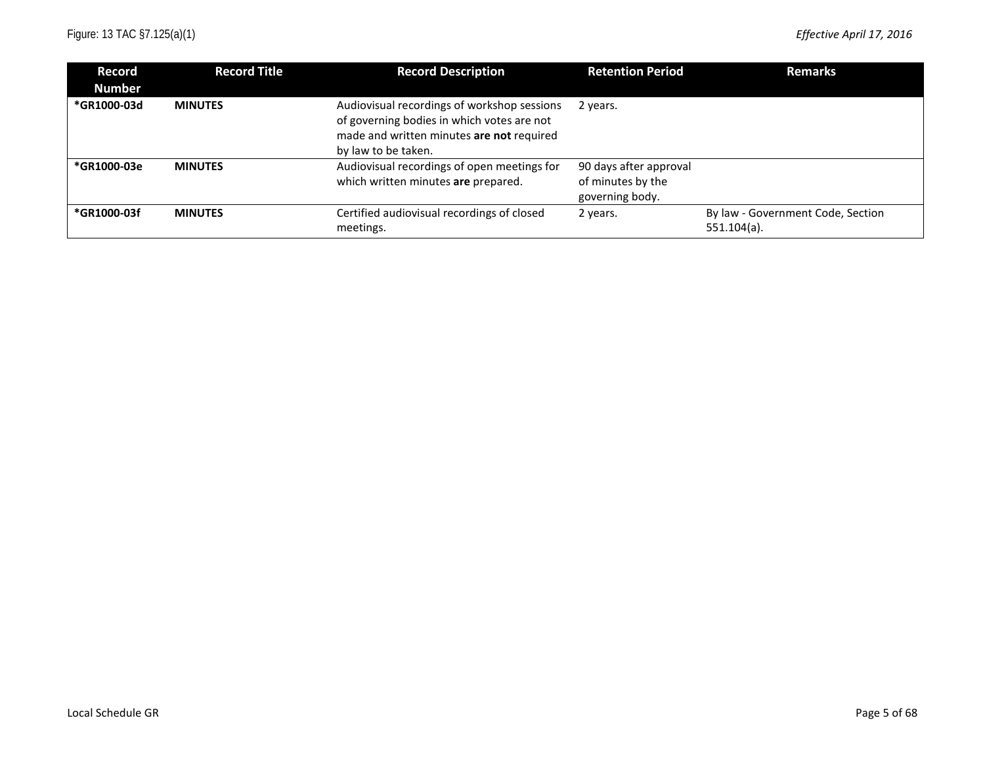| Record<br><b>Number</b> | <b>Record Title</b> | <b>Record Description</b>                                                                                                                                     | <b>Retention Period</b>                                        | <b>Remarks</b>                                      |
|-------------------------|---------------------|---------------------------------------------------------------------------------------------------------------------------------------------------------------|----------------------------------------------------------------|-----------------------------------------------------|
| *GR1000-03d             | <b>MINUTES</b>      | Audiovisual recordings of workshop sessions<br>of governing bodies in which votes are not<br>made and written minutes are not required<br>by law to be taken. | 2 years.                                                       |                                                     |
| *GR1000-03e             | <b>MINUTES</b>      | Audiovisual recordings of open meetings for<br>which written minutes are prepared.                                                                            | 90 days after approval<br>of minutes by the<br>governing body. |                                                     |
| *GR1000-03f             | <b>MINUTES</b>      | Certified audiovisual recordings of closed<br>meetings.                                                                                                       | 2 years.                                                       | By law - Government Code, Section<br>$551.104(a)$ . |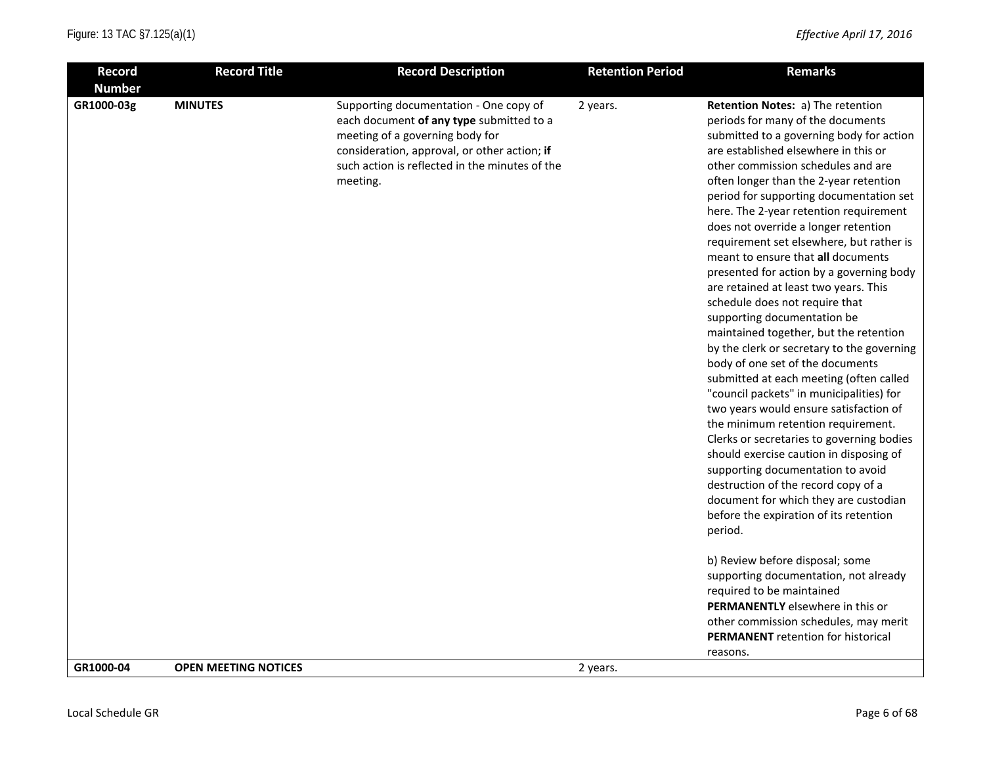| <b>Record</b> | <b>Record Title</b>         | <b>Record Description</b>                                                                                                                                                                                                           | <b>Retention Period</b> | <b>Remarks</b>                                                                                                                                                                                                                                                                                                                                                                                                                                                                                                                                                                                                                                                                                                                                                                                                                                                                                                                                                                                                                                                                                                                                                                                                          |
|---------------|-----------------------------|-------------------------------------------------------------------------------------------------------------------------------------------------------------------------------------------------------------------------------------|-------------------------|-------------------------------------------------------------------------------------------------------------------------------------------------------------------------------------------------------------------------------------------------------------------------------------------------------------------------------------------------------------------------------------------------------------------------------------------------------------------------------------------------------------------------------------------------------------------------------------------------------------------------------------------------------------------------------------------------------------------------------------------------------------------------------------------------------------------------------------------------------------------------------------------------------------------------------------------------------------------------------------------------------------------------------------------------------------------------------------------------------------------------------------------------------------------------------------------------------------------------|
| <b>Number</b> |                             |                                                                                                                                                                                                                                     |                         |                                                                                                                                                                                                                                                                                                                                                                                                                                                                                                                                                                                                                                                                                                                                                                                                                                                                                                                                                                                                                                                                                                                                                                                                                         |
| GR1000-03g    | <b>MINUTES</b>              | Supporting documentation - One copy of<br>each document of any type submitted to a<br>meeting of a governing body for<br>consideration, approval, or other action; if<br>such action is reflected in the minutes of the<br>meeting. | 2 years.                | Retention Notes: a) The retention<br>periods for many of the documents<br>submitted to a governing body for action<br>are established elsewhere in this or<br>other commission schedules and are<br>often longer than the 2-year retention<br>period for supporting documentation set<br>here. The 2-year retention requirement<br>does not override a longer retention<br>requirement set elsewhere, but rather is<br>meant to ensure that all documents<br>presented for action by a governing body<br>are retained at least two years. This<br>schedule does not require that<br>supporting documentation be<br>maintained together, but the retention<br>by the clerk or secretary to the governing<br>body of one set of the documents<br>submitted at each meeting (often called<br>"council packets" in municipalities) for<br>two years would ensure satisfaction of<br>the minimum retention requirement.<br>Clerks or secretaries to governing bodies<br>should exercise caution in disposing of<br>supporting documentation to avoid<br>destruction of the record copy of a<br>document for which they are custodian<br>before the expiration of its retention<br>period.<br>b) Review before disposal; some |
|               |                             |                                                                                                                                                                                                                                     |                         | supporting documentation, not already<br>required to be maintained                                                                                                                                                                                                                                                                                                                                                                                                                                                                                                                                                                                                                                                                                                                                                                                                                                                                                                                                                                                                                                                                                                                                                      |
|               |                             |                                                                                                                                                                                                                                     |                         | PERMANENTLY elsewhere in this or                                                                                                                                                                                                                                                                                                                                                                                                                                                                                                                                                                                                                                                                                                                                                                                                                                                                                                                                                                                                                                                                                                                                                                                        |
|               |                             |                                                                                                                                                                                                                                     |                         | other commission schedules, may merit<br><b>PERMANENT</b> retention for historical                                                                                                                                                                                                                                                                                                                                                                                                                                                                                                                                                                                                                                                                                                                                                                                                                                                                                                                                                                                                                                                                                                                                      |
|               |                             |                                                                                                                                                                                                                                     |                         | reasons.                                                                                                                                                                                                                                                                                                                                                                                                                                                                                                                                                                                                                                                                                                                                                                                                                                                                                                                                                                                                                                                                                                                                                                                                                |
| GR1000-04     | <b>OPEN MEETING NOTICES</b> |                                                                                                                                                                                                                                     | 2 years.                |                                                                                                                                                                                                                                                                                                                                                                                                                                                                                                                                                                                                                                                                                                                                                                                                                                                                                                                                                                                                                                                                                                                                                                                                                         |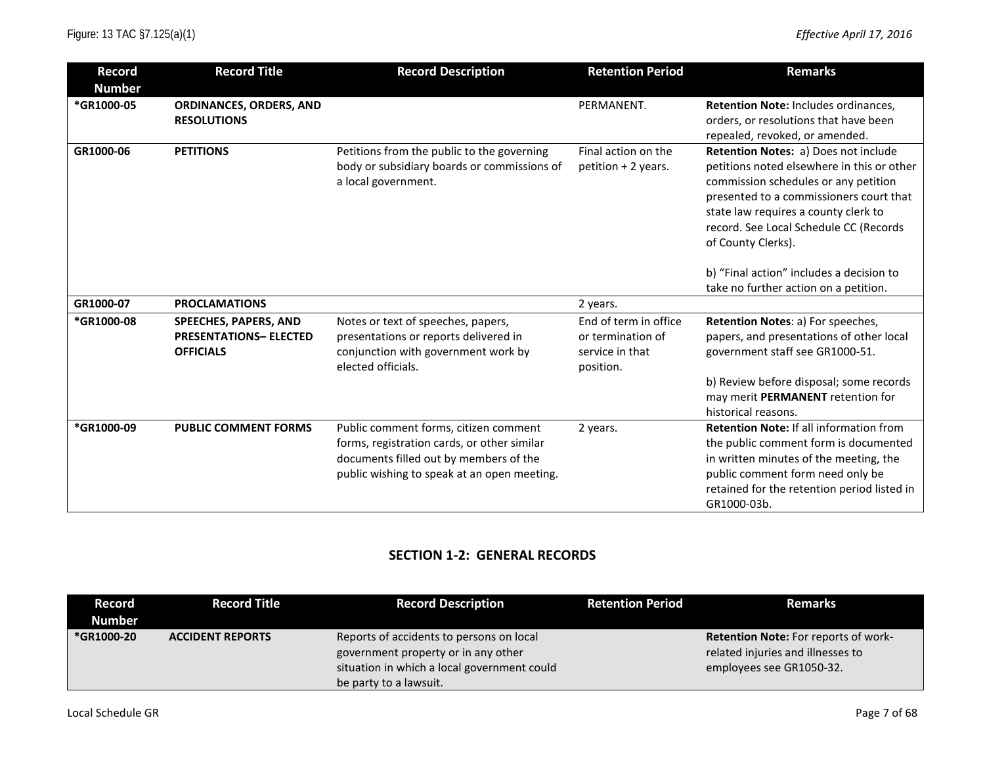| <b>Record</b> | <b>Record Title</b>           | <b>Record Description</b>                   | <b>Retention Period</b> | <b>Remarks</b>                                 |
|---------------|-------------------------------|---------------------------------------------|-------------------------|------------------------------------------------|
| <b>Number</b> |                               |                                             |                         |                                                |
| *GR1000-05    | ORDINANCES, ORDERS, AND       |                                             | PERMANENT.              | Retention Note: Includes ordinances,           |
|               | <b>RESOLUTIONS</b>            |                                             |                         | orders, or resolutions that have been          |
|               |                               |                                             |                         | repealed, revoked, or amended.                 |
| GR1000-06     | <b>PETITIONS</b>              | Petitions from the public to the governing  | Final action on the     | Retention Notes: a) Does not include           |
|               |                               | body or subsidiary boards or commissions of | petition + 2 years.     | petitions noted elsewhere in this or other     |
|               |                               | a local government.                         |                         | commission schedules or any petition           |
|               |                               |                                             |                         | presented to a commissioners court that        |
|               |                               |                                             |                         | state law requires a county clerk to           |
|               |                               |                                             |                         | record. See Local Schedule CC (Records         |
|               |                               |                                             |                         | of County Clerks).                             |
|               |                               |                                             |                         | b) "Final action" includes a decision to       |
|               |                               |                                             |                         | take no further action on a petition.          |
| GR1000-07     | <b>PROCLAMATIONS</b>          |                                             | 2 years.                |                                                |
| *GR1000-08    | SPEECHES, PAPERS, AND         | Notes or text of speeches, papers,          | End of term in office   | Retention Notes: a) For speeches,              |
|               | <b>PRESENTATIONS- ELECTED</b> | presentations or reports delivered in       | or termination of       | papers, and presentations of other local       |
|               | <b>OFFICIALS</b>              | conjunction with government work by         | service in that         | government staff see GR1000-51.                |
|               |                               | elected officials.                          | position.               |                                                |
|               |                               |                                             |                         | b) Review before disposal; some records        |
|               |                               |                                             |                         | may merit PERMANENT retention for              |
|               |                               |                                             |                         | historical reasons.                            |
| *GR1000-09    | <b>PUBLIC COMMENT FORMS</b>   | Public comment forms, citizen comment       | 2 years.                | <b>Retention Note: If all information from</b> |
|               |                               | forms, registration cards, or other similar |                         | the public comment form is documented          |
|               |                               | documents filled out by members of the      |                         | in written minutes of the meeting, the         |
|               |                               | public wishing to speak at an open meeting. |                         | public comment form need only be               |
|               |                               |                                             |                         | retained for the retention period listed in    |
|               |                               |                                             |                         | GR1000-03b.                                    |

## **SECTION 1-2: GENERAL RECORDS**

| Record        | <b>Record Title</b>     | <b>Record Description</b>                   | <b>Retention Period</b> | <b>Remarks</b>                              |
|---------------|-------------------------|---------------------------------------------|-------------------------|---------------------------------------------|
| <b>Number</b> |                         |                                             |                         |                                             |
| *GR1000-20    | <b>ACCIDENT REPORTS</b> | Reports of accidents to persons on local    |                         | <b>Retention Note:</b> For reports of work- |
|               |                         | government property or in any other         |                         | related injuries and illnesses to           |
|               |                         | situation in which a local government could |                         | employees see GR1050-32.                    |
|               |                         | be party to a lawsuit.                      |                         |                                             |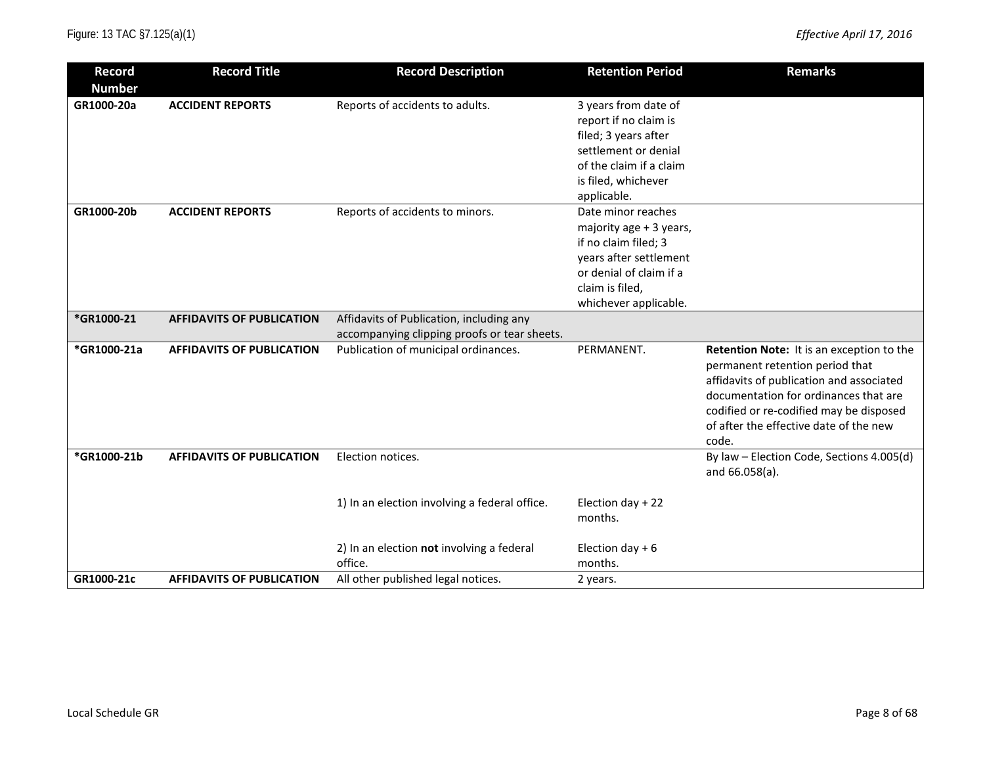| <b>Record</b><br><b>Number</b> | <b>Record Title</b>              | <b>Record Description</b>                                                                | <b>Retention Period</b>                                                                                                                                                | <b>Remarks</b>                                                                                                                                                                                                                                                  |
|--------------------------------|----------------------------------|------------------------------------------------------------------------------------------|------------------------------------------------------------------------------------------------------------------------------------------------------------------------|-----------------------------------------------------------------------------------------------------------------------------------------------------------------------------------------------------------------------------------------------------------------|
| GR1000-20a                     | <b>ACCIDENT REPORTS</b>          | Reports of accidents to adults.                                                          | 3 years from date of<br>report if no claim is<br>filed; 3 years after<br>settlement or denial<br>of the claim if a claim<br>is filed, whichever<br>applicable.         |                                                                                                                                                                                                                                                                 |
| GR1000-20b                     | <b>ACCIDENT REPORTS</b>          | Reports of accidents to minors.                                                          | Date minor reaches<br>majority age + 3 years,<br>if no claim filed; 3<br>years after settlement<br>or denial of claim if a<br>claim is filed,<br>whichever applicable. |                                                                                                                                                                                                                                                                 |
| *GR1000-21                     | <b>AFFIDAVITS OF PUBLICATION</b> | Affidavits of Publication, including any<br>accompanying clipping proofs or tear sheets. |                                                                                                                                                                        |                                                                                                                                                                                                                                                                 |
| *GR1000-21a                    | <b>AFFIDAVITS OF PUBLICATION</b> | Publication of municipal ordinances.                                                     | PERMANENT.                                                                                                                                                             | Retention Note: It is an exception to the<br>permanent retention period that<br>affidavits of publication and associated<br>documentation for ordinances that are<br>codified or re-codified may be disposed<br>of after the effective date of the new<br>code. |
| *GR1000-21b                    | <b>AFFIDAVITS OF PUBLICATION</b> | Election notices.                                                                        |                                                                                                                                                                        | By law - Election Code, Sections 4.005(d)<br>and 66.058(a).                                                                                                                                                                                                     |
|                                |                                  | 1) In an election involving a federal office.                                            | Election day + 22<br>months.                                                                                                                                           |                                                                                                                                                                                                                                                                 |
|                                |                                  | 2) In an election not involving a federal<br>office.                                     | Election day $+6$<br>months.                                                                                                                                           |                                                                                                                                                                                                                                                                 |
| GR1000-21c                     | <b>AFFIDAVITS OF PUBLICATION</b> | All other published legal notices.                                                       | 2 years.                                                                                                                                                               |                                                                                                                                                                                                                                                                 |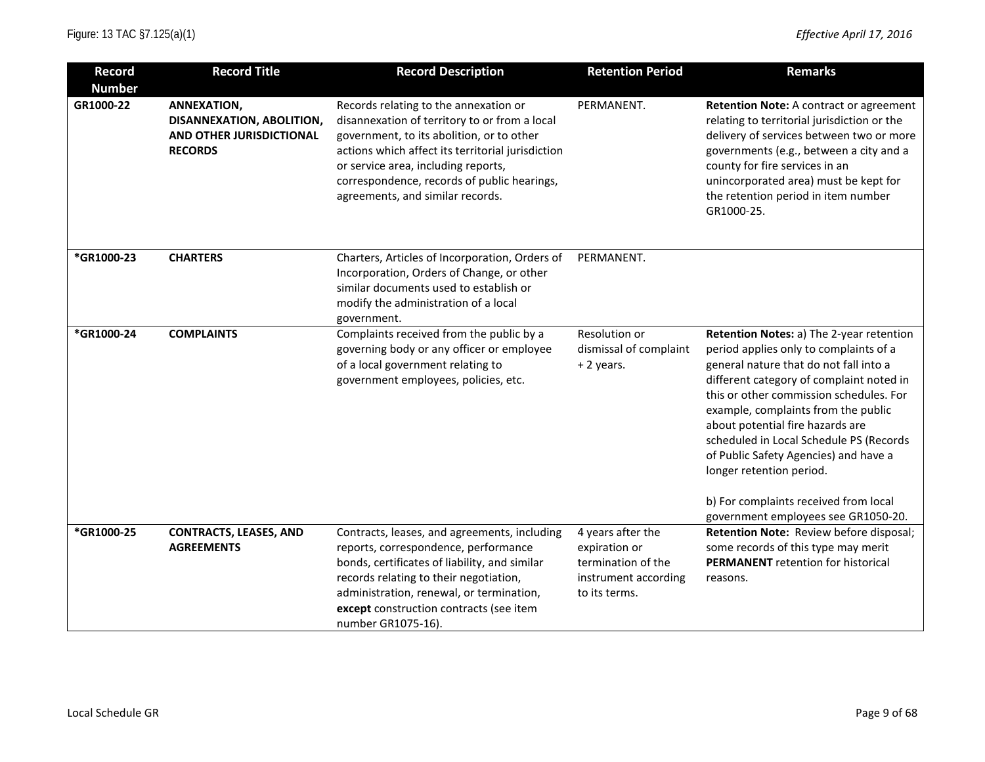| <b>Record</b><br><b>Number</b> | <b>Record Title</b>                                                                    | <b>Record Description</b>                                                                                                                                                                                                                                                                                          | <b>Retention Period</b>                                                                           | <b>Remarks</b>                                                                                                                                                                                                                                                                                                                                                                                                                                                                                 |
|--------------------------------|----------------------------------------------------------------------------------------|--------------------------------------------------------------------------------------------------------------------------------------------------------------------------------------------------------------------------------------------------------------------------------------------------------------------|---------------------------------------------------------------------------------------------------|------------------------------------------------------------------------------------------------------------------------------------------------------------------------------------------------------------------------------------------------------------------------------------------------------------------------------------------------------------------------------------------------------------------------------------------------------------------------------------------------|
| GR1000-22                      | ANNEXATION,<br>DISANNEXATION, ABOLITION,<br>AND OTHER JURISDICTIONAL<br><b>RECORDS</b> | Records relating to the annexation or<br>disannexation of territory to or from a local<br>government, to its abolition, or to other<br>actions which affect its territorial jurisdiction<br>or service area, including reports,<br>correspondence, records of public hearings,<br>agreements, and similar records. | PERMANENT.                                                                                        | <b>Retention Note: A contract or agreement</b><br>relating to territorial jurisdiction or the<br>delivery of services between two or more<br>governments (e.g., between a city and a<br>county for fire services in an<br>unincorporated area) must be kept for<br>the retention period in item number<br>GR1000-25.                                                                                                                                                                           |
| *GR1000-23                     | <b>CHARTERS</b>                                                                        | Charters, Articles of Incorporation, Orders of<br>Incorporation, Orders of Change, or other<br>similar documents used to establish or<br>modify the administration of a local<br>government.                                                                                                                       | PERMANENT.                                                                                        |                                                                                                                                                                                                                                                                                                                                                                                                                                                                                                |
| *GR1000-24                     | <b>COMPLAINTS</b>                                                                      | Complaints received from the public by a<br>governing body or any officer or employee<br>of a local government relating to<br>government employees, policies, etc.                                                                                                                                                 | Resolution or<br>dismissal of complaint<br>+ 2 years.                                             | Retention Notes: a) The 2-year retention<br>period applies only to complaints of a<br>general nature that do not fall into a<br>different category of complaint noted in<br>this or other commission schedules. For<br>example, complaints from the public<br>about potential fire hazards are<br>scheduled in Local Schedule PS (Records<br>of Public Safety Agencies) and have a<br>longer retention period.<br>b) For complaints received from local<br>government employees see GR1050-20. |
| *GR1000-25                     | <b>CONTRACTS, LEASES, AND</b><br><b>AGREEMENTS</b>                                     | Contracts, leases, and agreements, including<br>reports, correspondence, performance<br>bonds, certificates of liability, and similar<br>records relating to their negotiation,<br>administration, renewal, or termination,<br>except construction contracts (see item<br>number GR1075-16).                       | 4 years after the<br>expiration or<br>termination of the<br>instrument according<br>to its terms. | Retention Note: Review before disposal;<br>some records of this type may merit<br><b>PERMANENT</b> retention for historical<br>reasons.                                                                                                                                                                                                                                                                                                                                                        |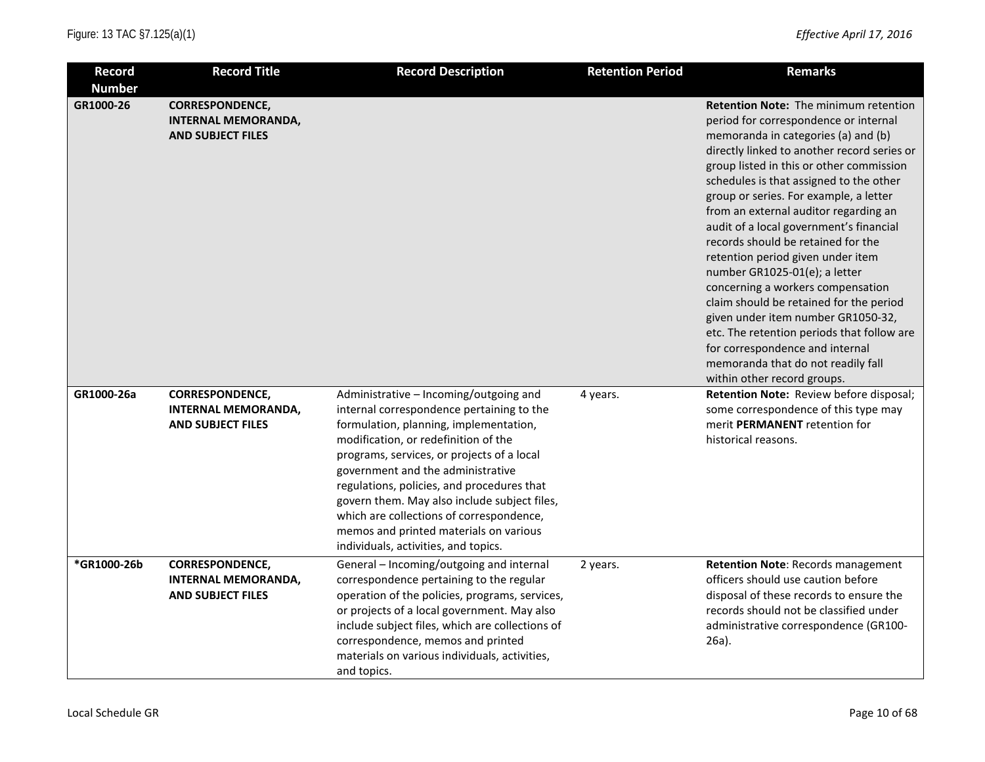| <b>Record</b><br><b>Number</b> | <b>Record Title</b>                                                              | <b>Record Description</b>                                                                                                                                                                                                                                                                                                                                                                                                                                                            | <b>Retention Period</b> | <b>Remarks</b>                                                                                                                                                                                                                                                                                                                                                                                                                                                                                                                                                                                                                                                                                                                                                                           |
|--------------------------------|----------------------------------------------------------------------------------|--------------------------------------------------------------------------------------------------------------------------------------------------------------------------------------------------------------------------------------------------------------------------------------------------------------------------------------------------------------------------------------------------------------------------------------------------------------------------------------|-------------------------|------------------------------------------------------------------------------------------------------------------------------------------------------------------------------------------------------------------------------------------------------------------------------------------------------------------------------------------------------------------------------------------------------------------------------------------------------------------------------------------------------------------------------------------------------------------------------------------------------------------------------------------------------------------------------------------------------------------------------------------------------------------------------------------|
| GR1000-26                      | <b>CORRESPONDENCE,</b><br><b>INTERNAL MEMORANDA,</b><br><b>AND SUBJECT FILES</b> |                                                                                                                                                                                                                                                                                                                                                                                                                                                                                      |                         | <b>Retention Note: The minimum retention</b><br>period for correspondence or internal<br>memoranda in categories (a) and (b)<br>directly linked to another record series or<br>group listed in this or other commission<br>schedules is that assigned to the other<br>group or series. For example, a letter<br>from an external auditor regarding an<br>audit of a local government's financial<br>records should be retained for the<br>retention period given under item<br>number GR1025-01(e); a letter<br>concerning a workers compensation<br>claim should be retained for the period<br>given under item number GR1050-32,<br>etc. The retention periods that follow are<br>for correspondence and internal<br>memoranda that do not readily fall<br>within other record groups. |
| GR1000-26a                     | <b>CORRESPONDENCE,</b><br><b>INTERNAL MEMORANDA,</b><br><b>AND SUBJECT FILES</b> | Administrative - Incoming/outgoing and<br>internal correspondence pertaining to the<br>formulation, planning, implementation,<br>modification, or redefinition of the<br>programs, services, or projects of a local<br>government and the administrative<br>regulations, policies, and procedures that<br>govern them. May also include subject files,<br>which are collections of correspondence,<br>memos and printed materials on various<br>individuals, activities, and topics. | 4 years.                | Retention Note: Review before disposal;<br>some correspondence of this type may<br>merit <b>PERMANENT</b> retention for<br>historical reasons.                                                                                                                                                                                                                                                                                                                                                                                                                                                                                                                                                                                                                                           |
| *GR1000-26b                    | <b>CORRESPONDENCE,</b><br><b>INTERNAL MEMORANDA,</b><br><b>AND SUBJECT FILES</b> | General - Incoming/outgoing and internal<br>correspondence pertaining to the regular<br>operation of the policies, programs, services,<br>or projects of a local government. May also<br>include subject files, which are collections of<br>correspondence, memos and printed<br>materials on various individuals, activities,<br>and topics.                                                                                                                                        | 2 years.                | <b>Retention Note: Records management</b><br>officers should use caution before<br>disposal of these records to ensure the<br>records should not be classified under<br>administrative correspondence (GR100-<br>$26a$ ).                                                                                                                                                                                                                                                                                                                                                                                                                                                                                                                                                                |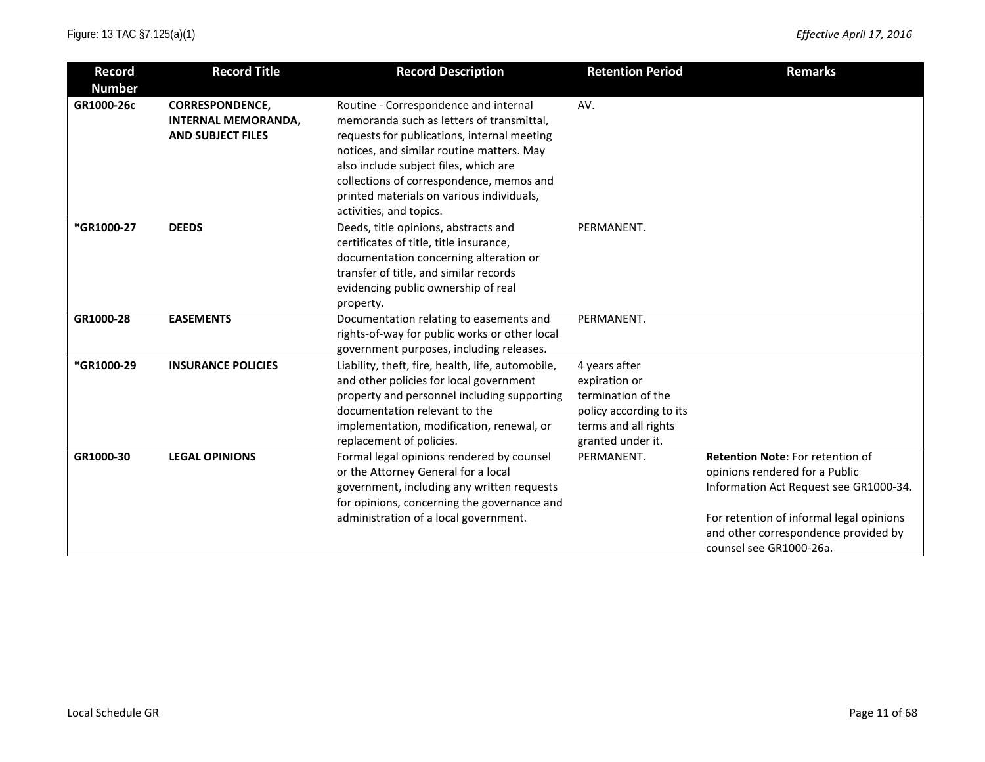| <b>Record</b> | <b>Record Title</b>        | <b>Record Description</b>                         | <b>Retention Period</b> | <b>Remarks</b>                           |
|---------------|----------------------------|---------------------------------------------------|-------------------------|------------------------------------------|
| <b>Number</b> |                            |                                                   |                         |                                          |
| GR1000-26c    | <b>CORRESPONDENCE,</b>     | Routine - Correspondence and internal             | AV.                     |                                          |
|               | <b>INTERNAL MEMORANDA,</b> | memoranda such as letters of transmittal,         |                         |                                          |
|               | <b>AND SUBJECT FILES</b>   | requests for publications, internal meeting       |                         |                                          |
|               |                            | notices, and similar routine matters. May         |                         |                                          |
|               |                            | also include subject files, which are             |                         |                                          |
|               |                            | collections of correspondence, memos and          |                         |                                          |
|               |                            | printed materials on various individuals,         |                         |                                          |
|               |                            | activities, and topics.                           |                         |                                          |
| *GR1000-27    | <b>DEEDS</b>               | Deeds, title opinions, abstracts and              | PERMANENT.              |                                          |
|               |                            | certificates of title, title insurance,           |                         |                                          |
|               |                            | documentation concerning alteration or            |                         |                                          |
|               |                            | transfer of title, and similar records            |                         |                                          |
|               |                            | evidencing public ownership of real               |                         |                                          |
|               |                            | property.                                         |                         |                                          |
| GR1000-28     | <b>EASEMENTS</b>           | Documentation relating to easements and           | PERMANENT.              |                                          |
|               |                            | rights-of-way for public works or other local     |                         |                                          |
|               |                            | government purposes, including releases.          |                         |                                          |
| *GR1000-29    | <b>INSURANCE POLICIES</b>  | Liability, theft, fire, health, life, automobile, | 4 years after           |                                          |
|               |                            | and other policies for local government           | expiration or           |                                          |
|               |                            | property and personnel including supporting       | termination of the      |                                          |
|               |                            | documentation relevant to the                     | policy according to its |                                          |
|               |                            | implementation, modification, renewal, or         | terms and all rights    |                                          |
|               |                            | replacement of policies.                          | granted under it.       |                                          |
| GR1000-30     | <b>LEGAL OPINIONS</b>      | Formal legal opinions rendered by counsel         | PERMANENT.              | Retention Note: For retention of         |
|               |                            | or the Attorney General for a local               |                         | opinions rendered for a Public           |
|               |                            | government, including any written requests        |                         | Information Act Request see GR1000-34.   |
|               |                            | for opinions, concerning the governance and       |                         |                                          |
|               |                            | administration of a local government.             |                         | For retention of informal legal opinions |
|               |                            |                                                   |                         | and other correspondence provided by     |
|               |                            |                                                   |                         | counsel see GR1000-26a.                  |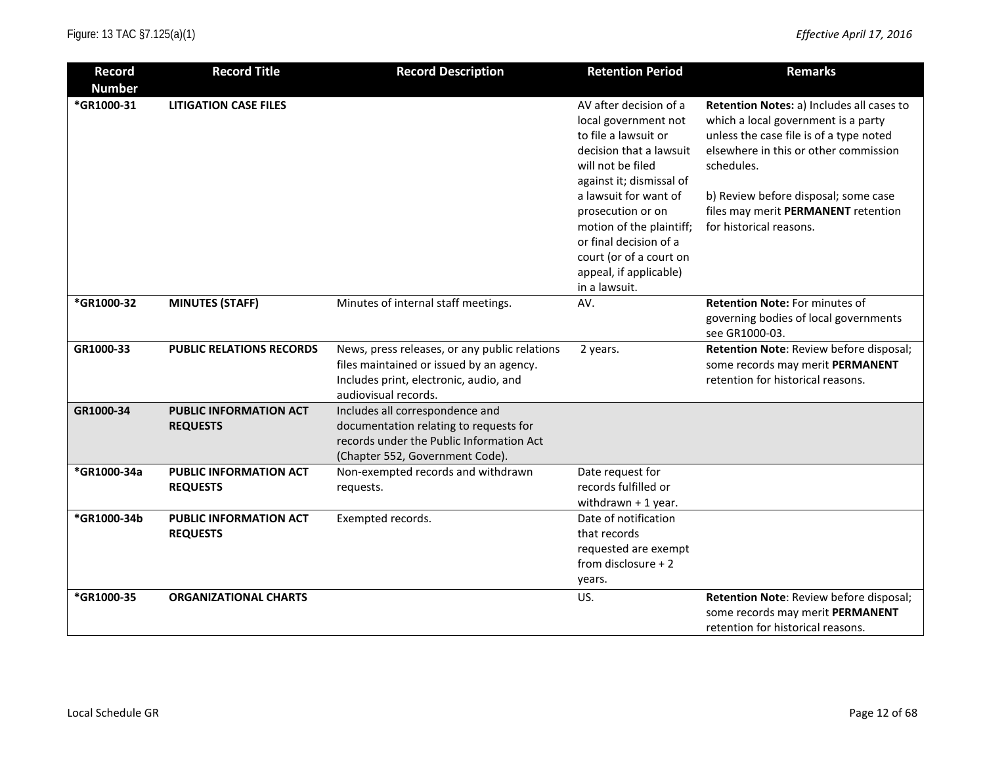| <b>Record</b> | <b>Record Title</b>                              | <b>Record Description</b>                                                                                                                                   | <b>Retention Period</b>                                                                                                                                                                                                                                                                                     | <b>Remarks</b>                                                                                                                                                                                                                                                                               |
|---------------|--------------------------------------------------|-------------------------------------------------------------------------------------------------------------------------------------------------------------|-------------------------------------------------------------------------------------------------------------------------------------------------------------------------------------------------------------------------------------------------------------------------------------------------------------|----------------------------------------------------------------------------------------------------------------------------------------------------------------------------------------------------------------------------------------------------------------------------------------------|
| <b>Number</b> |                                                  |                                                                                                                                                             |                                                                                                                                                                                                                                                                                                             |                                                                                                                                                                                                                                                                                              |
| *GR1000-31    | <b>LITIGATION CASE FILES</b>                     |                                                                                                                                                             | AV after decision of a<br>local government not<br>to file a lawsuit or<br>decision that a lawsuit<br>will not be filed<br>against it; dismissal of<br>a lawsuit for want of<br>prosecution or on<br>motion of the plaintiff;<br>or final decision of a<br>court (or of a court on<br>appeal, if applicable) | Retention Notes: a) Includes all cases to<br>which a local government is a party<br>unless the case file is of a type noted<br>elsewhere in this or other commission<br>schedules.<br>b) Review before disposal; some case<br>files may merit PERMANENT retention<br>for historical reasons. |
|               |                                                  |                                                                                                                                                             | in a lawsuit.                                                                                                                                                                                                                                                                                               |                                                                                                                                                                                                                                                                                              |
| *GR1000-32    | <b>MINUTES (STAFF)</b>                           | Minutes of internal staff meetings.                                                                                                                         | AV.                                                                                                                                                                                                                                                                                                         | <b>Retention Note: For minutes of</b><br>governing bodies of local governments<br>see GR1000-03.                                                                                                                                                                                             |
| GR1000-33     | <b>PUBLIC RELATIONS RECORDS</b>                  | News, press releases, or any public relations<br>files maintained or issued by an agency.<br>Includes print, electronic, audio, and<br>audiovisual records. | 2 years.                                                                                                                                                                                                                                                                                                    | Retention Note: Review before disposal;<br>some records may merit PERMANENT<br>retention for historical reasons.                                                                                                                                                                             |
| GR1000-34     | <b>PUBLIC INFORMATION ACT</b><br><b>REQUESTS</b> | Includes all correspondence and<br>documentation relating to requests for<br>records under the Public Information Act<br>(Chapter 552, Government Code).    |                                                                                                                                                                                                                                                                                                             |                                                                                                                                                                                                                                                                                              |
| *GR1000-34a   | <b>PUBLIC INFORMATION ACT</b><br><b>REQUESTS</b> | Non-exempted records and withdrawn<br>requests.                                                                                                             | Date request for<br>records fulfilled or<br>withdrawn $+1$ year.                                                                                                                                                                                                                                            |                                                                                                                                                                                                                                                                                              |
| *GR1000-34b   | PUBLIC INFORMATION ACT<br><b>REQUESTS</b>        | Exempted records.                                                                                                                                           | Date of notification<br>that records<br>requested are exempt<br>from disclosure $+2$<br>years.                                                                                                                                                                                                              |                                                                                                                                                                                                                                                                                              |
| *GR1000-35    | <b>ORGANIZATIONAL CHARTS</b>                     |                                                                                                                                                             | US.                                                                                                                                                                                                                                                                                                         | Retention Note: Review before disposal;<br>some records may merit PERMANENT<br>retention for historical reasons.                                                                                                                                                                             |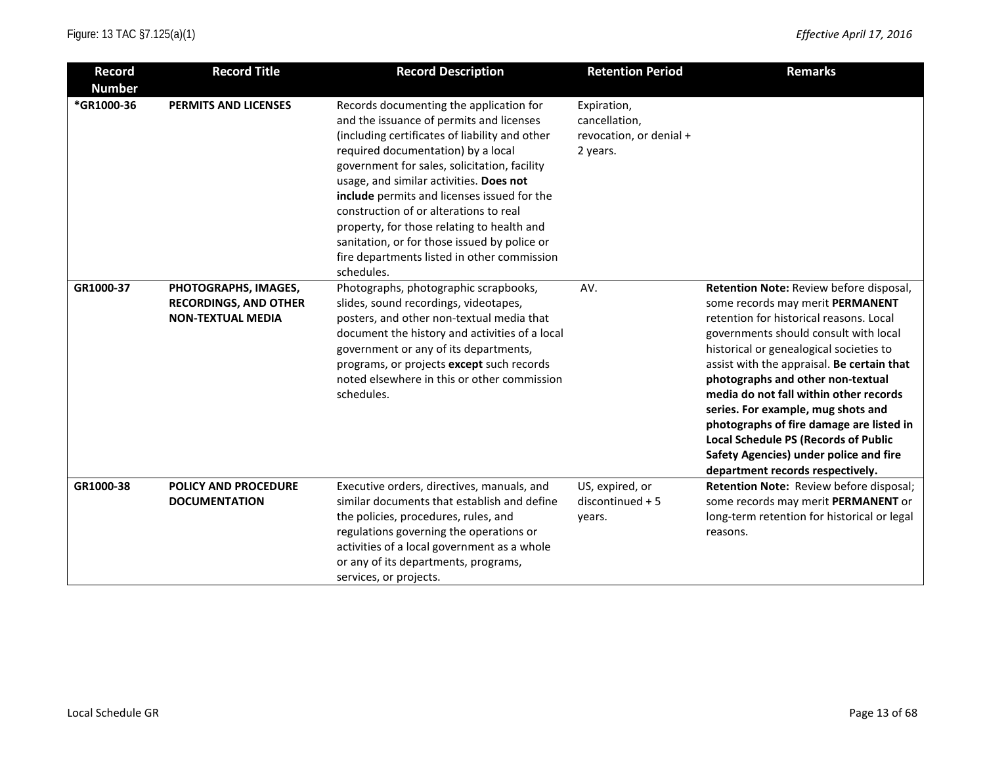| <b>Record</b> | <b>Record Title</b>                                                              | <b>Record Description</b>                                                                                                                                                                                                                                                                                                                                                                                                                                                                                                  | <b>Retention Period</b>                                             | <b>Remarks</b>                                                                                                                                                                                                                                                                                                                                                                                                                                                                                                                                         |
|---------------|----------------------------------------------------------------------------------|----------------------------------------------------------------------------------------------------------------------------------------------------------------------------------------------------------------------------------------------------------------------------------------------------------------------------------------------------------------------------------------------------------------------------------------------------------------------------------------------------------------------------|---------------------------------------------------------------------|--------------------------------------------------------------------------------------------------------------------------------------------------------------------------------------------------------------------------------------------------------------------------------------------------------------------------------------------------------------------------------------------------------------------------------------------------------------------------------------------------------------------------------------------------------|
| <b>Number</b> |                                                                                  |                                                                                                                                                                                                                                                                                                                                                                                                                                                                                                                            |                                                                     |                                                                                                                                                                                                                                                                                                                                                                                                                                                                                                                                                        |
| *GR1000-36    | <b>PERMITS AND LICENSES</b>                                                      | Records documenting the application for<br>and the issuance of permits and licenses<br>(including certificates of liability and other<br>required documentation) by a local<br>government for sales, solicitation, facility<br>usage, and similar activities. Does not<br>include permits and licenses issued for the<br>construction of or alterations to real<br>property, for those relating to health and<br>sanitation, or for those issued by police or<br>fire departments listed in other commission<br>schedules. | Expiration,<br>cancellation,<br>revocation, or denial +<br>2 years. |                                                                                                                                                                                                                                                                                                                                                                                                                                                                                                                                                        |
| GR1000-37     | PHOTOGRAPHS, IMAGES,<br><b>RECORDINGS, AND OTHER</b><br><b>NON-TEXTUAL MEDIA</b> | Photographs, photographic scrapbooks,<br>slides, sound recordings, videotapes,<br>posters, and other non-textual media that<br>document the history and activities of a local<br>government or any of its departments,<br>programs, or projects except such records<br>noted elsewhere in this or other commission<br>schedules.                                                                                                                                                                                           | AV.                                                                 | Retention Note: Review before disposal,<br>some records may merit PERMANENT<br>retention for historical reasons. Local<br>governments should consult with local<br>historical or genealogical societies to<br>assist with the appraisal. Be certain that<br>photographs and other non-textual<br>media do not fall within other records<br>series. For example, mug shots and<br>photographs of fire damage are listed in<br><b>Local Schedule PS (Records of Public</b><br>Safety Agencies) under police and fire<br>department records respectively. |
| GR1000-38     | <b>POLICY AND PROCEDURE</b><br><b>DOCUMENTATION</b>                              | Executive orders, directives, manuals, and<br>similar documents that establish and define<br>the policies, procedures, rules, and<br>regulations governing the operations or<br>activities of a local government as a whole<br>or any of its departments, programs,<br>services, or projects.                                                                                                                                                                                                                              | US, expired, or<br>$discontinued + 5$<br>years.                     | Retention Note: Review before disposal;<br>some records may merit PERMANENT or<br>long-term retention for historical or legal<br>reasons.                                                                                                                                                                                                                                                                                                                                                                                                              |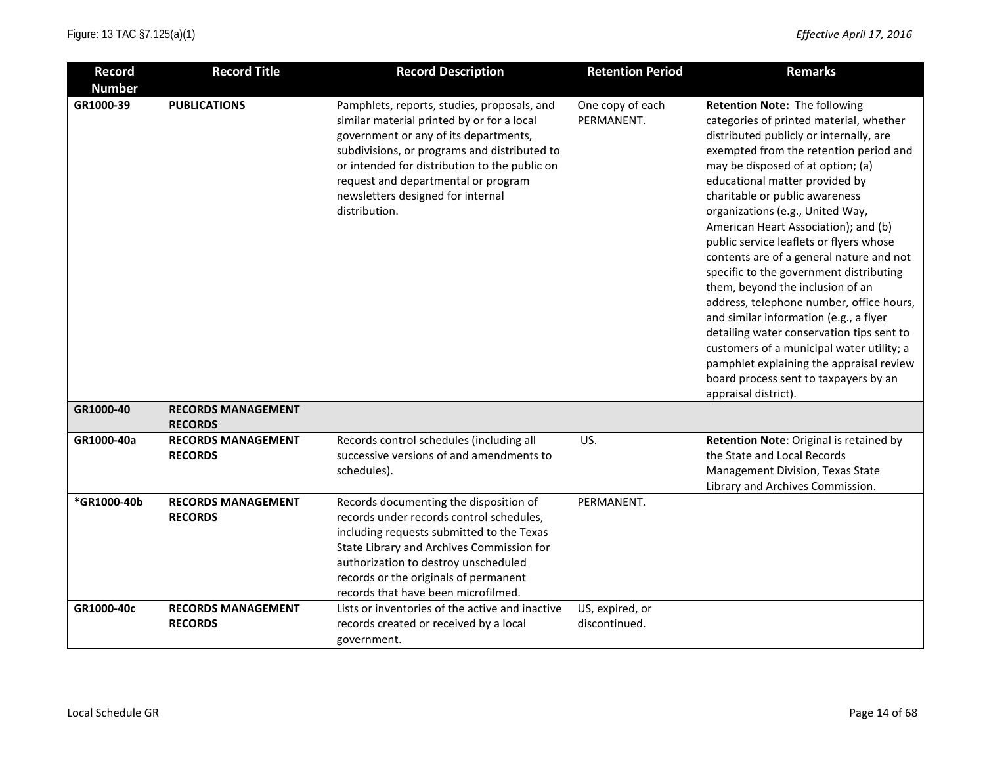| <b>Record</b> | <b>Record Title</b>                         | <b>Record Description</b>                                                                                                                                                                                                                                                                                                        | <b>Retention Period</b>          | <b>Remarks</b>                                                                                                                                                                                                                                                                                                                                                                                                                                                                                                                                                                                                                                                                                                                                                                                                        |
|---------------|---------------------------------------------|----------------------------------------------------------------------------------------------------------------------------------------------------------------------------------------------------------------------------------------------------------------------------------------------------------------------------------|----------------------------------|-----------------------------------------------------------------------------------------------------------------------------------------------------------------------------------------------------------------------------------------------------------------------------------------------------------------------------------------------------------------------------------------------------------------------------------------------------------------------------------------------------------------------------------------------------------------------------------------------------------------------------------------------------------------------------------------------------------------------------------------------------------------------------------------------------------------------|
| <b>Number</b> |                                             |                                                                                                                                                                                                                                                                                                                                  |                                  |                                                                                                                                                                                                                                                                                                                                                                                                                                                                                                                                                                                                                                                                                                                                                                                                                       |
| GR1000-39     | <b>PUBLICATIONS</b>                         | Pamphlets, reports, studies, proposals, and<br>similar material printed by or for a local<br>government or any of its departments,<br>subdivisions, or programs and distributed to<br>or intended for distribution to the public on<br>request and departmental or program<br>newsletters designed for internal<br>distribution. | One copy of each<br>PERMANENT.   | Retention Note: The following<br>categories of printed material, whether<br>distributed publicly or internally, are<br>exempted from the retention period and<br>may be disposed of at option; (a)<br>educational matter provided by<br>charitable or public awareness<br>organizations (e.g., United Way,<br>American Heart Association); and (b)<br>public service leaflets or flyers whose<br>contents are of a general nature and not<br>specific to the government distributing<br>them, beyond the inclusion of an<br>address, telephone number, office hours,<br>and similar information (e.g., a flyer<br>detailing water conservation tips sent to<br>customers of a municipal water utility; a<br>pamphlet explaining the appraisal review<br>board process sent to taxpayers by an<br>appraisal district). |
| GR1000-40     | <b>RECORDS MANAGEMENT</b><br><b>RECORDS</b> |                                                                                                                                                                                                                                                                                                                                  |                                  |                                                                                                                                                                                                                                                                                                                                                                                                                                                                                                                                                                                                                                                                                                                                                                                                                       |
| GR1000-40a    | <b>RECORDS MANAGEMENT</b><br><b>RECORDS</b> | Records control schedules (including all<br>successive versions of and amendments to<br>schedules).                                                                                                                                                                                                                              | US.                              | Retention Note: Original is retained by<br>the State and Local Records<br>Management Division, Texas State<br>Library and Archives Commission.                                                                                                                                                                                                                                                                                                                                                                                                                                                                                                                                                                                                                                                                        |
| *GR1000-40b   | <b>RECORDS MANAGEMENT</b><br><b>RECORDS</b> | Records documenting the disposition of<br>records under records control schedules,<br>including requests submitted to the Texas<br>State Library and Archives Commission for<br>authorization to destroy unscheduled<br>records or the originals of permanent<br>records that have been microfilmed.                             | PERMANENT.                       |                                                                                                                                                                                                                                                                                                                                                                                                                                                                                                                                                                                                                                                                                                                                                                                                                       |
| GR1000-40c    | <b>RECORDS MANAGEMENT</b><br><b>RECORDS</b> | Lists or inventories of the active and inactive<br>records created or received by a local<br>government.                                                                                                                                                                                                                         | US, expired, or<br>discontinued. |                                                                                                                                                                                                                                                                                                                                                                                                                                                                                                                                                                                                                                                                                                                                                                                                                       |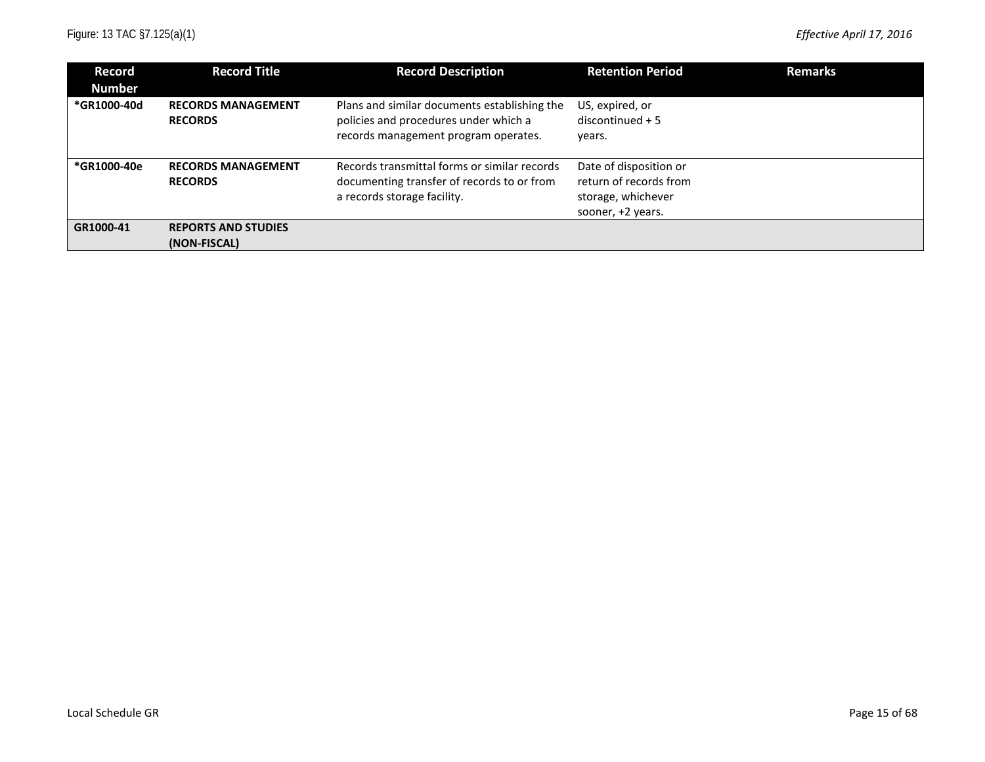| Record<br><b>Number</b> | <b>Record Title</b>                         | <b>Record Description</b>                                                                                                     | <b>Retention Period</b>                                                                     | <b>Remarks</b> |
|-------------------------|---------------------------------------------|-------------------------------------------------------------------------------------------------------------------------------|---------------------------------------------------------------------------------------------|----------------|
| *GR1000-40d             | <b>RECORDS MANAGEMENT</b><br><b>RECORDS</b> | Plans and similar documents establishing the<br>policies and procedures under which a<br>records management program operates. | US, expired, or<br>$discontinued + 5$<br>years.                                             |                |
| *GR1000-40e             | <b>RECORDS MANAGEMENT</b><br><b>RECORDS</b> | Records transmittal forms or similar records<br>documenting transfer of records to or from<br>a records storage facility.     | Date of disposition or<br>return of records from<br>storage, whichever<br>sooner, +2 years. |                |
| GR1000-41               | <b>REPORTS AND STUDIES</b><br>(NON-FISCAL)  |                                                                                                                               |                                                                                             |                |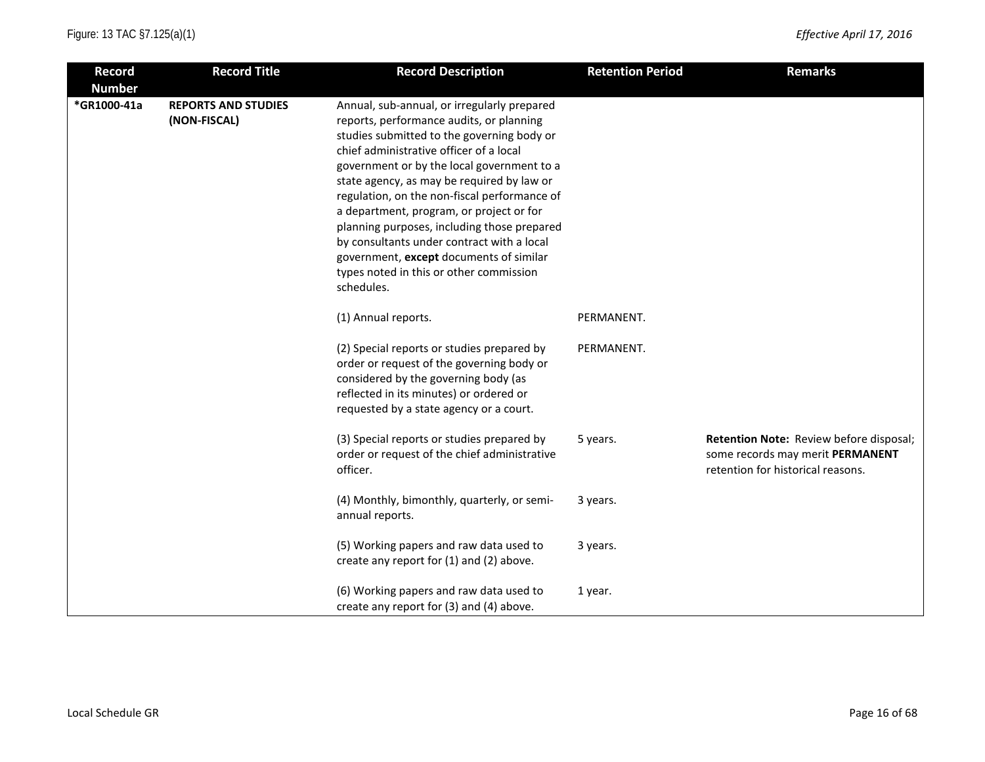| <b>Record</b> | <b>Record Title</b>                        | <b>Record Description</b>                                                                                                                                                                                                                                                                                                                                                                                                                                                                                                                                                 | <b>Retention Period</b> | <b>Remarks</b>                                                                                                   |
|---------------|--------------------------------------------|---------------------------------------------------------------------------------------------------------------------------------------------------------------------------------------------------------------------------------------------------------------------------------------------------------------------------------------------------------------------------------------------------------------------------------------------------------------------------------------------------------------------------------------------------------------------------|-------------------------|------------------------------------------------------------------------------------------------------------------|
| <b>Number</b> |                                            |                                                                                                                                                                                                                                                                                                                                                                                                                                                                                                                                                                           |                         |                                                                                                                  |
| *GR1000-41a   | <b>REPORTS AND STUDIES</b><br>(NON-FISCAL) | Annual, sub-annual, or irregularly prepared<br>reports, performance audits, or planning<br>studies submitted to the governing body or<br>chief administrative officer of a local<br>government or by the local government to a<br>state agency, as may be required by law or<br>regulation, on the non-fiscal performance of<br>a department, program, or project or for<br>planning purposes, including those prepared<br>by consultants under contract with a local<br>government, except documents of similar<br>types noted in this or other commission<br>schedules. |                         |                                                                                                                  |
|               |                                            | (1) Annual reports.                                                                                                                                                                                                                                                                                                                                                                                                                                                                                                                                                       | PERMANENT.              |                                                                                                                  |
|               |                                            | (2) Special reports or studies prepared by<br>order or request of the governing body or<br>considered by the governing body (as<br>reflected in its minutes) or ordered or<br>requested by a state agency or a court.                                                                                                                                                                                                                                                                                                                                                     | PERMANENT.              |                                                                                                                  |
|               |                                            | (3) Special reports or studies prepared by<br>order or request of the chief administrative<br>officer.                                                                                                                                                                                                                                                                                                                                                                                                                                                                    | 5 years.                | Retention Note: Review before disposal;<br>some records may merit PERMANENT<br>retention for historical reasons. |
|               |                                            | (4) Monthly, bimonthly, quarterly, or semi-<br>annual reports.                                                                                                                                                                                                                                                                                                                                                                                                                                                                                                            | 3 years.                |                                                                                                                  |
|               |                                            | (5) Working papers and raw data used to<br>create any report for (1) and (2) above.                                                                                                                                                                                                                                                                                                                                                                                                                                                                                       | 3 years.                |                                                                                                                  |
|               |                                            | (6) Working papers and raw data used to<br>create any report for (3) and (4) above.                                                                                                                                                                                                                                                                                                                                                                                                                                                                                       | 1 year.                 |                                                                                                                  |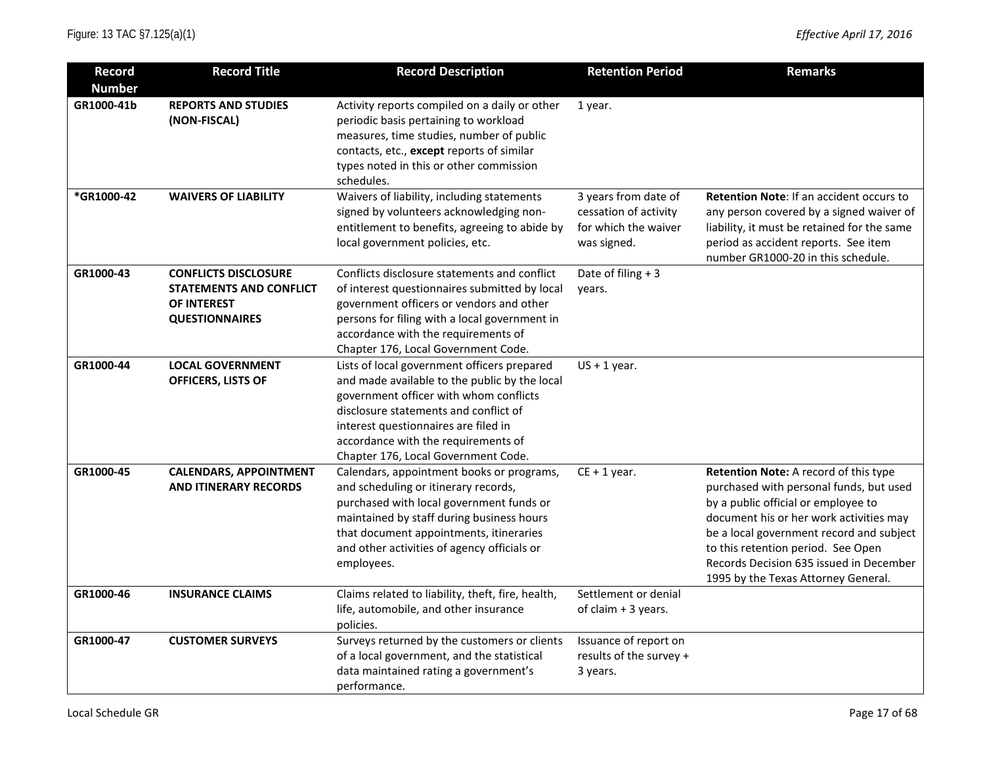| <b>Record</b> | <b>Record Title</b>                                                                                   | <b>Record Description</b>                                                                                                                                                                                                                                                                             | <b>Retention Period</b>                                                              | <b>Remarks</b>                                                                                                                                                                                                                                                                                                                         |
|---------------|-------------------------------------------------------------------------------------------------------|-------------------------------------------------------------------------------------------------------------------------------------------------------------------------------------------------------------------------------------------------------------------------------------------------------|--------------------------------------------------------------------------------------|----------------------------------------------------------------------------------------------------------------------------------------------------------------------------------------------------------------------------------------------------------------------------------------------------------------------------------------|
| <b>Number</b> |                                                                                                       |                                                                                                                                                                                                                                                                                                       |                                                                                      |                                                                                                                                                                                                                                                                                                                                        |
| GR1000-41b    | <b>REPORTS AND STUDIES</b><br>(NON-FISCAL)                                                            | Activity reports compiled on a daily or other<br>periodic basis pertaining to workload<br>measures, time studies, number of public<br>contacts, etc., except reports of similar<br>types noted in this or other commission<br>schedules.                                                              | 1 year.                                                                              |                                                                                                                                                                                                                                                                                                                                        |
| *GR1000-42    | <b>WAIVERS OF LIABILITY</b>                                                                           | Waivers of liability, including statements<br>signed by volunteers acknowledging non-<br>entitlement to benefits, agreeing to abide by<br>local government policies, etc.                                                                                                                             | 3 years from date of<br>cessation of activity<br>for which the waiver<br>was signed. | Retention Note: If an accident occurs to<br>any person covered by a signed waiver of<br>liability, it must be retained for the same<br>period as accident reports. See item<br>number GR1000-20 in this schedule.                                                                                                                      |
| GR1000-43     | <b>CONFLICTS DISCLOSURE</b><br><b>STATEMENTS AND CONFLICT</b><br>OF INTEREST<br><b>QUESTIONNAIRES</b> | Conflicts disclosure statements and conflict<br>of interest questionnaires submitted by local<br>government officers or vendors and other<br>persons for filing with a local government in<br>accordance with the requirements of<br>Chapter 176, Local Government Code.                              | Date of filing + 3<br>years.                                                         |                                                                                                                                                                                                                                                                                                                                        |
| GR1000-44     | <b>LOCAL GOVERNMENT</b><br>OFFICERS, LISTS OF                                                         | Lists of local government officers prepared<br>and made available to the public by the local<br>government officer with whom conflicts<br>disclosure statements and conflict of<br>interest questionnaires are filed in<br>accordance with the requirements of<br>Chapter 176, Local Government Code. | $US + 1$ year.                                                                       |                                                                                                                                                                                                                                                                                                                                        |
| GR1000-45     | <b>CALENDARS, APPOINTMENT</b><br><b>AND ITINERARY RECORDS</b>                                         | Calendars, appointment books or programs,<br>and scheduling or itinerary records,<br>purchased with local government funds or<br>maintained by staff during business hours<br>that document appointments, itineraries<br>and other activities of agency officials or<br>employees.                    | $CE + 1$ year.                                                                       | Retention Note: A record of this type<br>purchased with personal funds, but used<br>by a public official or employee to<br>document his or her work activities may<br>be a local government record and subject<br>to this retention period. See Open<br>Records Decision 635 issued in December<br>1995 by the Texas Attorney General. |
| GR1000-46     | <b>INSURANCE CLAIMS</b>                                                                               | Claims related to liability, theft, fire, health,<br>life, automobile, and other insurance<br>policies.                                                                                                                                                                                               | Settlement or denial<br>of claim + 3 years.                                          |                                                                                                                                                                                                                                                                                                                                        |
| GR1000-47     | <b>CUSTOMER SURVEYS</b>                                                                               | Surveys returned by the customers or clients<br>of a local government, and the statistical<br>data maintained rating a government's<br>performance.                                                                                                                                                   | Issuance of report on<br>results of the survey +<br>3 years.                         |                                                                                                                                                                                                                                                                                                                                        |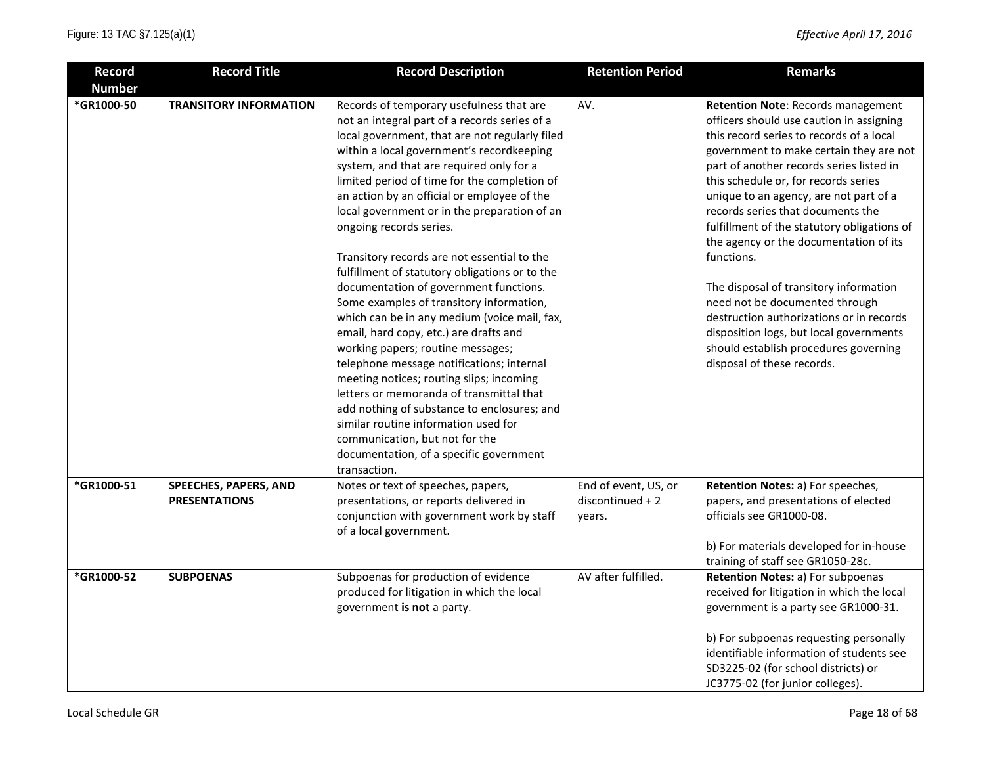| <b>Record</b> | <b>Record Title</b>                           | <b>Record Description</b>                                                                                                                                                                                                                                                                                                                                                                                                                                                                                                                                                                                                                                                                                                                                                                                                                                                                                                                                                                                                                                     | <b>Retention Period</b>                            | <b>Remarks</b>                                                                                                                                                                                                                                                                                                                                                                                                                                                                                                                                                                                                                                                                                   |
|---------------|-----------------------------------------------|---------------------------------------------------------------------------------------------------------------------------------------------------------------------------------------------------------------------------------------------------------------------------------------------------------------------------------------------------------------------------------------------------------------------------------------------------------------------------------------------------------------------------------------------------------------------------------------------------------------------------------------------------------------------------------------------------------------------------------------------------------------------------------------------------------------------------------------------------------------------------------------------------------------------------------------------------------------------------------------------------------------------------------------------------------------|----------------------------------------------------|--------------------------------------------------------------------------------------------------------------------------------------------------------------------------------------------------------------------------------------------------------------------------------------------------------------------------------------------------------------------------------------------------------------------------------------------------------------------------------------------------------------------------------------------------------------------------------------------------------------------------------------------------------------------------------------------------|
| <b>Number</b> |                                               |                                                                                                                                                                                                                                                                                                                                                                                                                                                                                                                                                                                                                                                                                                                                                                                                                                                                                                                                                                                                                                                               |                                                    |                                                                                                                                                                                                                                                                                                                                                                                                                                                                                                                                                                                                                                                                                                  |
| *GR1000-50    | <b>TRANSITORY INFORMATION</b>                 | Records of temporary usefulness that are<br>not an integral part of a records series of a<br>local government, that are not regularly filed<br>within a local government's recordkeeping<br>system, and that are required only for a<br>limited period of time for the completion of<br>an action by an official or employee of the<br>local government or in the preparation of an<br>ongoing records series.<br>Transitory records are not essential to the<br>fulfillment of statutory obligations or to the<br>documentation of government functions.<br>Some examples of transitory information,<br>which can be in any medium (voice mail, fax,<br>email, hard copy, etc.) are drafts and<br>working papers; routine messages;<br>telephone message notifications; internal<br>meeting notices; routing slips; incoming<br>letters or memoranda of transmittal that<br>add nothing of substance to enclosures; and<br>similar routine information used for<br>communication, but not for the<br>documentation, of a specific government<br>transaction. | AV.                                                | <b>Retention Note: Records management</b><br>officers should use caution in assigning<br>this record series to records of a local<br>government to make certain they are not<br>part of another records series listed in<br>this schedule or, for records series<br>unique to an agency, are not part of a<br>records series that documents the<br>fulfillment of the statutory obligations of<br>the agency or the documentation of its<br>functions.<br>The disposal of transitory information<br>need not be documented through<br>destruction authorizations or in records<br>disposition logs, but local governments<br>should establish procedures governing<br>disposal of these records. |
| *GR1000-51    | SPEECHES, PAPERS, AND<br><b>PRESENTATIONS</b> | Notes or text of speeches, papers,<br>presentations, or reports delivered in<br>conjunction with government work by staff<br>of a local government.                                                                                                                                                                                                                                                                                                                                                                                                                                                                                                                                                                                                                                                                                                                                                                                                                                                                                                           | End of event, US, or<br>discontinued + 2<br>years. | Retention Notes: a) For speeches,<br>papers, and presentations of elected<br>officials see GR1000-08.<br>b) For materials developed for in-house<br>training of staff see GR1050-28c.                                                                                                                                                                                                                                                                                                                                                                                                                                                                                                            |
| *GR1000-52    | <b>SUBPOENAS</b>                              | Subpoenas for production of evidence<br>produced for litigation in which the local<br>government is not a party.                                                                                                                                                                                                                                                                                                                                                                                                                                                                                                                                                                                                                                                                                                                                                                                                                                                                                                                                              | AV after fulfilled.                                | Retention Notes: a) For subpoenas<br>received for litigation in which the local<br>government is a party see GR1000-31.<br>b) For subpoenas requesting personally<br>identifiable information of students see<br>SD3225-02 (for school districts) or<br>JC3775-02 (for junior colleges).                                                                                                                                                                                                                                                                                                                                                                                                         |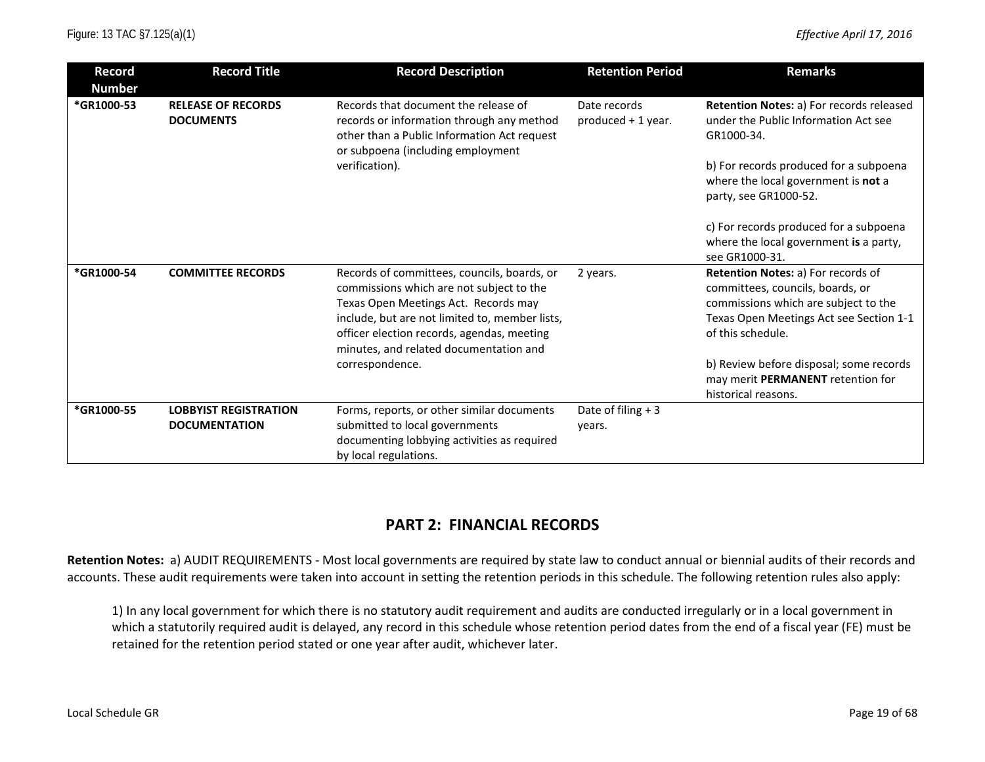| <b>Number</b><br>*GR1000-53 | <b>RELEASE OF RECORDS</b>                            |                                                                                                                                                                                                                                                                           |                                    |                                                                                                                                                                                 |
|-----------------------------|------------------------------------------------------|---------------------------------------------------------------------------------------------------------------------------------------------------------------------------------------------------------------------------------------------------------------------------|------------------------------------|---------------------------------------------------------------------------------------------------------------------------------------------------------------------------------|
|                             |                                                      |                                                                                                                                                                                                                                                                           |                                    |                                                                                                                                                                                 |
|                             | <b>DOCUMENTS</b>                                     | Records that document the release of<br>records or information through any method<br>other than a Public Information Act request<br>or subpoena (including employment<br>verification).                                                                                   | Date records<br>produced + 1 year. | Retention Notes: a) For records released<br>under the Public Information Act see<br>GR1000-34.<br>b) For records produced for a subpoena<br>where the local government is not a |
|                             |                                                      |                                                                                                                                                                                                                                                                           |                                    | party, see GR1000-52.<br>c) For records produced for a subpoena<br>where the local government is a party,<br>see GR1000-31.                                                     |
| *GR1000-54                  | <b>COMMITTEE RECORDS</b>                             | Records of committees, councils, boards, or<br>commissions which are not subject to the<br>Texas Open Meetings Act. Records may<br>include, but are not limited to, member lists,<br>officer election records, agendas, meeting<br>minutes, and related documentation and | 2 years.                           | Retention Notes: a) For records of<br>committees, councils, boards, or<br>commissions which are subject to the<br>Texas Open Meetings Act see Section 1-1<br>of this schedule.  |
|                             |                                                      | correspondence.                                                                                                                                                                                                                                                           |                                    | b) Review before disposal; some records<br>may merit PERMANENT retention for<br>historical reasons.                                                                             |
| *GR1000-55                  | <b>LOBBYIST REGISTRATION</b><br><b>DOCUMENTATION</b> | Forms, reports, or other similar documents<br>submitted to local governments<br>documenting lobbying activities as required<br>by local regulations.                                                                                                                      | Date of filing $+3$<br>years.      |                                                                                                                                                                                 |

# **PART 2: FINANCIAL RECORDS**

**Retention Notes:** a) AUDIT REQUIREMENTS - Most local governments are required by state law to conduct annual or biennial audits of their records and accounts. These audit requirements were taken into account in setting the retention periods in this schedule. The following retention rules also apply:

1) In any local government for which there is no statutory audit requirement and audits are conducted irregularly or in a local government in which a statutorily required audit is delayed, any record in this schedule whose retention period dates from the end of a fiscal year (FE) must be retained for the retention period stated or one year after audit, whichever later.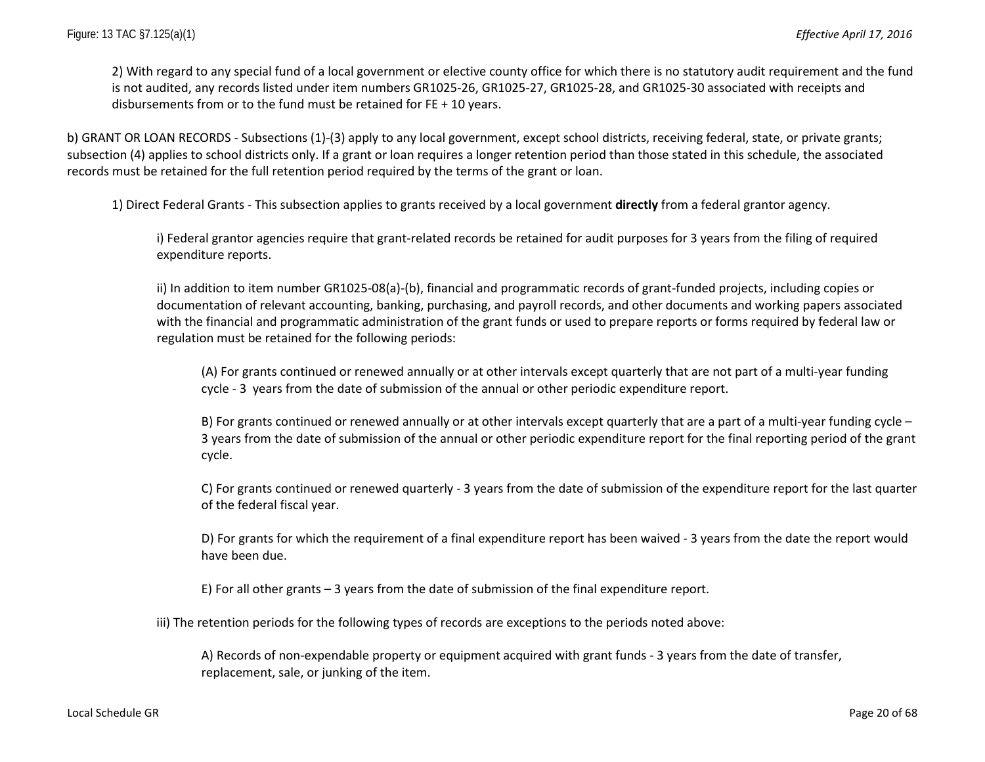2) With regard to any special fund of a local government or elective county office for which there is no statutory audit requirement and the fund is not audited, any records listed under item numbers GR1025-26, GR1025-27, GR1025-28, and GR1025-30 associated with receipts and disbursements from or to the fund must be retained for FE + 10 years.

b) GRANT OR LOAN RECORDS - Subsections (1)-(3) apply to any local government, except school districts, receiving federal, state, or private grants; subsection (4) applies to school districts only. If a grant or loan requires a longer retention period than those stated in this schedule, the associated records must be retained for the full retention period required by the terms of the grant or loan.

1) Direct Federal Grants - This subsection applies to grants received by a local government **directly** from a federal grantor agency.

i) Federal grantor agencies require that grant-related records be retained for audit purposes for 3 years from the filing of required expenditure reports.

ii) In addition to item number GR1025-08(a)-(b), financial and programmatic records of grant-funded projects, including copies or documentation of relevant accounting, banking, purchasing, and payroll records, and other documents and working papers associated with the financial and programmatic administration of the grant funds or used to prepare reports or forms required by federal law or regulation must be retained for the following periods:

(A) For grants continued or renewed annually or at other intervals except quarterly that are not part of a multi-year funding cycle - 3 years from the date of submission of the annual or other periodic expenditure report.

B) For grants continued or renewed annually or at other intervals except quarterly that are a part of a multi-year funding cycle – 3 years from the date of submission of the annual or other periodic expenditure report for the final reporting period of the grant cycle.

C) For grants continued or renewed quarterly - 3 years from the date of submission of the expenditure report for the last quarter of the federal fiscal year.

D) For grants for which the requirement of a final expenditure report has been waived - 3 years from the date the report would have been due.

E) For all other grants – 3 years from the date of submission of the final expenditure report.

iii) The retention periods for the following types of records are exceptions to the periods noted above:

A) Records of non-expendable property or equipment acquired with grant funds - 3 years from the date of transfer, replacement, sale, or junking of the item.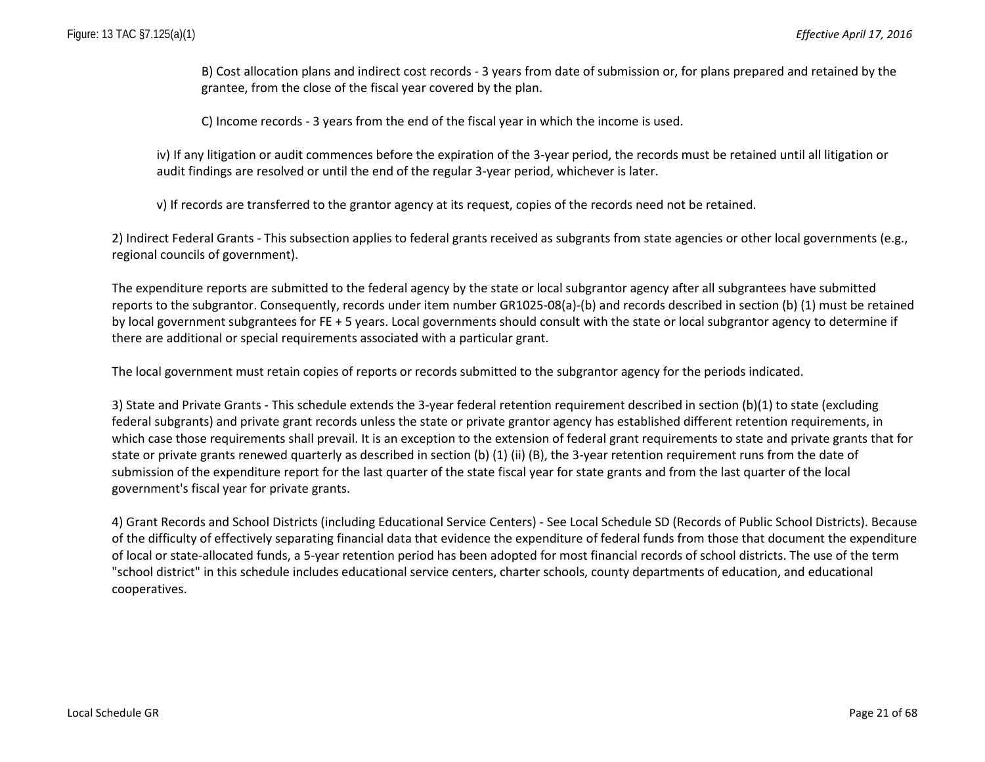B) Cost allocation plans and indirect cost records - 3 years from date of submission or, for plans prepared and retained by the grantee, from the close of the fiscal year covered by the plan.

C) Income records - 3 years from the end of the fiscal year in which the income is used.

iv) If any litigation or audit commences before the expiration of the 3-year period, the records must be retained until all litigation or audit findings are resolved or until the end of the regular 3-year period, whichever is later.

v) If records are transferred to the grantor agency at its request, copies of the records need not be retained.

2) Indirect Federal Grants - This subsection applies to federal grants received as subgrants from state agencies or other local governments (e.g., regional councils of government).

The expenditure reports are submitted to the federal agency by the state or local subgrantor agency after all subgrantees have submitted reports to the subgrantor. Consequently, records under item number GR1025-08(a)-(b) and records described in section (b) (1) must be retained by local government subgrantees for FE + 5 years. Local governments should consult with the state or local subgrantor agency to determine if there are additional or special requirements associated with a particular grant.

The local government must retain copies of reports or records submitted to the subgrantor agency for the periods indicated.

3) State and Private Grants - This schedule extends the 3-year federal retention requirement described in section (b)(1) to state (excluding federal subgrants) and private grant records unless the state or private grantor agency has established different retention requirements, in which case those requirements shall prevail. It is an exception to the extension of federal grant requirements to state and private grants that for state or private grants renewed quarterly as described in section (b) (1) (ii) (B), the 3-year retention requirement runs from the date of submission of the expenditure report for the last quarter of the state fiscal year for state grants and from the last quarter of the local government's fiscal year for private grants.

4) Grant Records and School Districts (including Educational Service Centers) - See Local Schedule SD (Records of Public School Districts). Because of the difficulty of effectively separating financial data that evidence the expenditure of federal funds from those that document the expenditure of local or state-allocated funds, a 5-year retention period has been adopted for most financial records of school districts. The use of the term "school district" in this schedule includes educational service centers, charter schools, county departments of education, and educational cooperatives.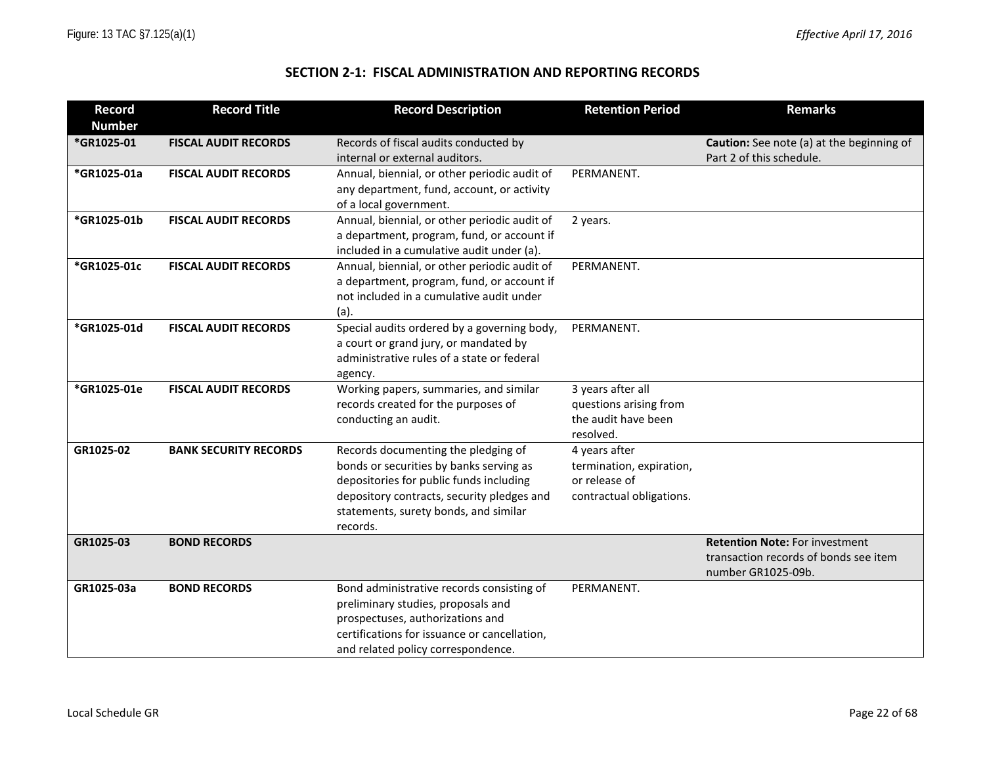### **SECTION 2-1: FISCAL ADMINISTRATION AND REPORTING RECORDS**

| <b>Record</b> | <b>Record Title</b>          | <b>Record Description</b>                                                              | <b>Retention Period</b>  | <b>Remarks</b>                                   |
|---------------|------------------------------|----------------------------------------------------------------------------------------|--------------------------|--------------------------------------------------|
| <b>Number</b> |                              |                                                                                        |                          |                                                  |
| *GR1025-01    | <b>FISCAL AUDIT RECORDS</b>  | Records of fiscal audits conducted by                                                  |                          | <b>Caution:</b> See note (a) at the beginning of |
|               |                              | internal or external auditors.                                                         |                          | Part 2 of this schedule.                         |
| *GR1025-01a   | <b>FISCAL AUDIT RECORDS</b>  | Annual, biennial, or other periodic audit of                                           | PERMANENT.               |                                                  |
|               |                              | any department, fund, account, or activity                                             |                          |                                                  |
|               |                              | of a local government.                                                                 |                          |                                                  |
| *GR1025-01b   | <b>FISCAL AUDIT RECORDS</b>  | Annual, biennial, or other periodic audit of                                           | 2 years.                 |                                                  |
|               |                              | a department, program, fund, or account if                                             |                          |                                                  |
|               |                              | included in a cumulative audit under (a).                                              |                          |                                                  |
| *GR1025-01c   | <b>FISCAL AUDIT RECORDS</b>  | Annual, biennial, or other periodic audit of                                           | PERMANENT.               |                                                  |
|               |                              | a department, program, fund, or account if<br>not included in a cumulative audit under |                          |                                                  |
|               |                              |                                                                                        |                          |                                                  |
| *GR1025-01d   | <b>FISCAL AUDIT RECORDS</b>  | (a).<br>Special audits ordered by a governing body,                                    | PERMANENT.               |                                                  |
|               |                              | a court or grand jury, or mandated by                                                  |                          |                                                  |
|               |                              | administrative rules of a state or federal                                             |                          |                                                  |
|               |                              | agency.                                                                                |                          |                                                  |
| *GR1025-01e   | <b>FISCAL AUDIT RECORDS</b>  | Working papers, summaries, and similar                                                 | 3 years after all        |                                                  |
|               |                              | records created for the purposes of                                                    | questions arising from   |                                                  |
|               |                              | conducting an audit.                                                                   | the audit have been      |                                                  |
|               |                              |                                                                                        | resolved.                |                                                  |
| GR1025-02     | <b>BANK SECURITY RECORDS</b> | Records documenting the pledging of                                                    | 4 years after            |                                                  |
|               |                              | bonds or securities by banks serving as                                                | termination, expiration, |                                                  |
|               |                              | depositories for public funds including                                                | or release of            |                                                  |
|               |                              | depository contracts, security pledges and                                             | contractual obligations. |                                                  |
|               |                              | statements, surety bonds, and similar                                                  |                          |                                                  |
| GR1025-03     | <b>BOND RECORDS</b>          | records.                                                                               |                          | <b>Retention Note: For investment</b>            |
|               |                              |                                                                                        |                          | transaction records of bonds see item            |
|               |                              |                                                                                        |                          | number GR1025-09b.                               |
| GR1025-03a    | <b>BOND RECORDS</b>          | Bond administrative records consisting of                                              | PERMANENT.               |                                                  |
|               |                              | preliminary studies, proposals and                                                     |                          |                                                  |
|               |                              | prospectuses, authorizations and                                                       |                          |                                                  |
|               |                              | certifications for issuance or cancellation,                                           |                          |                                                  |
|               |                              | and related policy correspondence.                                                     |                          |                                                  |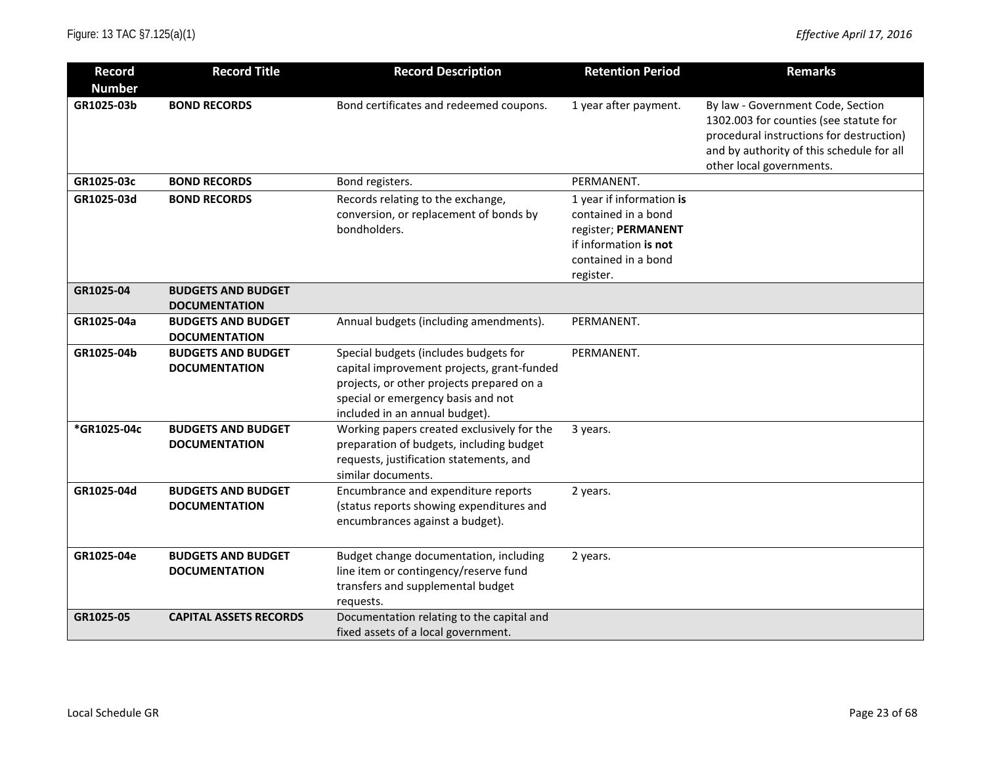| <b>Record</b> | <b>Record Title</b>           | <b>Record Description</b>                                            | <b>Retention Period</b>  | <b>Remarks</b>                                                              |
|---------------|-------------------------------|----------------------------------------------------------------------|--------------------------|-----------------------------------------------------------------------------|
| <b>Number</b> |                               |                                                                      |                          |                                                                             |
| GR1025-03b    | <b>BOND RECORDS</b>           | Bond certificates and redeemed coupons.                              | 1 year after payment.    | By law - Government Code, Section<br>1302.003 for counties (see statute for |
|               |                               |                                                                      |                          | procedural instructions for destruction)                                    |
|               |                               |                                                                      |                          | and by authority of this schedule for all                                   |
|               |                               |                                                                      |                          | other local governments.                                                    |
| GR1025-03c    | <b>BOND RECORDS</b>           | Bond registers.                                                      | PERMANENT.               |                                                                             |
| GR1025-03d    | <b>BOND RECORDS</b>           | Records relating to the exchange,                                    | 1 year if information is |                                                                             |
|               |                               | conversion, or replacement of bonds by                               | contained in a bond      |                                                                             |
|               |                               | bondholders.                                                         | register; PERMANENT      |                                                                             |
|               |                               |                                                                      | if information is not    |                                                                             |
|               |                               |                                                                      | contained in a bond      |                                                                             |
| GR1025-04     | <b>BUDGETS AND BUDGET</b>     |                                                                      | register.                |                                                                             |
|               | <b>DOCUMENTATION</b>          |                                                                      |                          |                                                                             |
| GR1025-04a    | <b>BUDGETS AND BUDGET</b>     | Annual budgets (including amendments).                               | PERMANENT.               |                                                                             |
|               | <b>DOCUMENTATION</b>          |                                                                      |                          |                                                                             |
| GR1025-04b    | <b>BUDGETS AND BUDGET</b>     | Special budgets (includes budgets for                                | PERMANENT.               |                                                                             |
|               | <b>DOCUMENTATION</b>          | capital improvement projects, grant-funded                           |                          |                                                                             |
|               |                               | projects, or other projects prepared on a                            |                          |                                                                             |
|               |                               | special or emergency basis and not<br>included in an annual budget). |                          |                                                                             |
| *GR1025-04c   | <b>BUDGETS AND BUDGET</b>     | Working papers created exclusively for the                           | 3 years.                 |                                                                             |
|               | <b>DOCUMENTATION</b>          | preparation of budgets, including budget                             |                          |                                                                             |
|               |                               | requests, justification statements, and                              |                          |                                                                             |
|               |                               | similar documents.                                                   |                          |                                                                             |
| GR1025-04d    | <b>BUDGETS AND BUDGET</b>     | Encumbrance and expenditure reports                                  | 2 years.                 |                                                                             |
|               | <b>DOCUMENTATION</b>          | (status reports showing expenditures and                             |                          |                                                                             |
|               |                               | encumbrances against a budget).                                      |                          |                                                                             |
|               |                               |                                                                      |                          |                                                                             |
| GR1025-04e    | <b>BUDGETS AND BUDGET</b>     | Budget change documentation, including                               | 2 years.                 |                                                                             |
|               | <b>DOCUMENTATION</b>          | line item or contingency/reserve fund                                |                          |                                                                             |
|               |                               | transfers and supplemental budget                                    |                          |                                                                             |
| GR1025-05     | <b>CAPITAL ASSETS RECORDS</b> | requests.<br>Documentation relating to the capital and               |                          |                                                                             |
|               |                               | fixed assets of a local government.                                  |                          |                                                                             |
|               |                               |                                                                      |                          |                                                                             |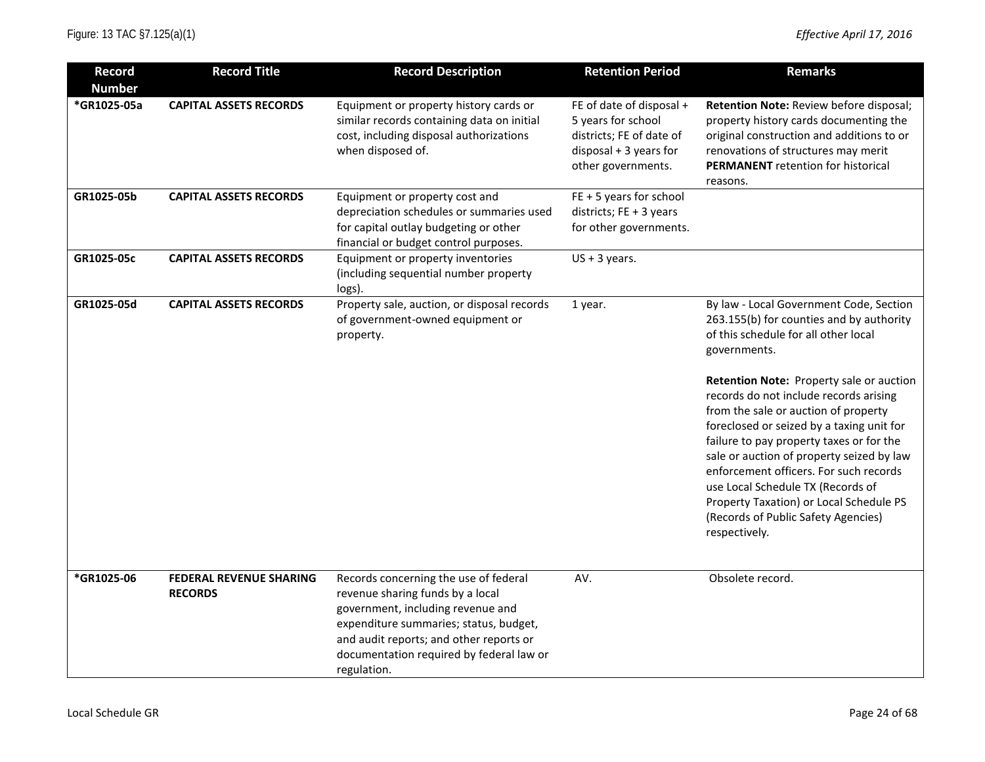| <b>Record</b> | <b>Record Title</b>                              | <b>Record Description</b>                                                                                                                                                                                                                                      | <b>Retention Period</b>                                                                                                      | <b>Remarks</b>                                                                                                                                                                                                                                                                                                                                                                                                                                                                                                                                                                                    |
|---------------|--------------------------------------------------|----------------------------------------------------------------------------------------------------------------------------------------------------------------------------------------------------------------------------------------------------------------|------------------------------------------------------------------------------------------------------------------------------|---------------------------------------------------------------------------------------------------------------------------------------------------------------------------------------------------------------------------------------------------------------------------------------------------------------------------------------------------------------------------------------------------------------------------------------------------------------------------------------------------------------------------------------------------------------------------------------------------|
| <b>Number</b> |                                                  |                                                                                                                                                                                                                                                                |                                                                                                                              |                                                                                                                                                                                                                                                                                                                                                                                                                                                                                                                                                                                                   |
| *GR1025-05a   | <b>CAPITAL ASSETS RECORDS</b>                    | Equipment or property history cards or<br>similar records containing data on initial<br>cost, including disposal authorizations<br>when disposed of.                                                                                                           | FE of date of disposal +<br>5 years for school<br>districts; FE of date of<br>$disposal + 3 years for$<br>other governments. | Retention Note: Review before disposal;<br>property history cards documenting the<br>original construction and additions to or<br>renovations of structures may merit<br><b>PERMANENT</b> retention for historical<br>reasons.                                                                                                                                                                                                                                                                                                                                                                    |
| GR1025-05b    | <b>CAPITAL ASSETS RECORDS</b>                    | Equipment or property cost and<br>depreciation schedules or summaries used<br>for capital outlay budgeting or other<br>financial or budget control purposes.                                                                                                   | $FE + 5$ years for school<br>districts; FE + 3 years<br>for other governments.                                               |                                                                                                                                                                                                                                                                                                                                                                                                                                                                                                                                                                                                   |
| GR1025-05c    | <b>CAPITAL ASSETS RECORDS</b>                    | Equipment or property inventories<br>(including sequential number property<br>logs).                                                                                                                                                                           | $US + 3$ years.                                                                                                              |                                                                                                                                                                                                                                                                                                                                                                                                                                                                                                                                                                                                   |
| GR1025-05d    | <b>CAPITAL ASSETS RECORDS</b>                    | Property sale, auction, or disposal records<br>of government-owned equipment or<br>property.                                                                                                                                                                   | 1 year.                                                                                                                      | By law - Local Government Code, Section<br>263.155(b) for counties and by authority<br>of this schedule for all other local<br>governments.<br>Retention Note: Property sale or auction<br>records do not include records arising<br>from the sale or auction of property<br>foreclosed or seized by a taxing unit for<br>failure to pay property taxes or for the<br>sale or auction of property seized by law<br>enforcement officers. For such records<br>use Local Schedule TX (Records of<br>Property Taxation) or Local Schedule PS<br>(Records of Public Safety Agencies)<br>respectively. |
| *GR1025-06    | <b>FEDERAL REVENUE SHARING</b><br><b>RECORDS</b> | Records concerning the use of federal<br>revenue sharing funds by a local<br>government, including revenue and<br>expenditure summaries; status, budget,<br>and audit reports; and other reports or<br>documentation required by federal law or<br>regulation. | AV.                                                                                                                          | Obsolete record.                                                                                                                                                                                                                                                                                                                                                                                                                                                                                                                                                                                  |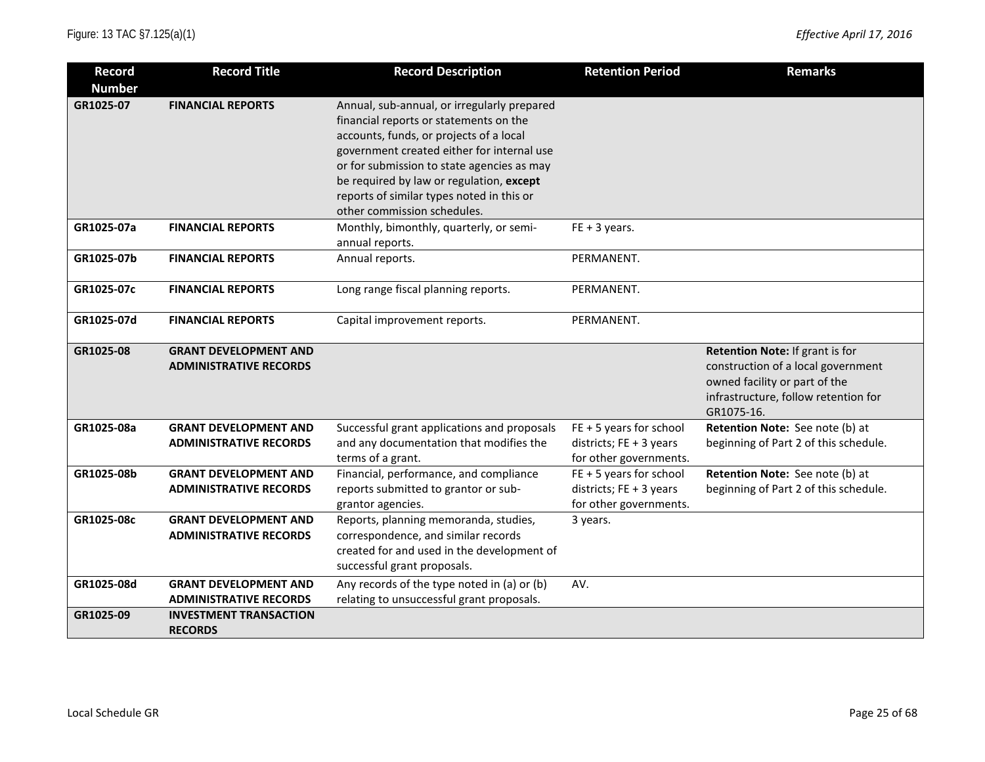| <b>Record</b><br><b>Number</b> | <b>Record Title</b>                                           | <b>Record Description</b>                                                                                                                                                                                                                                                                                                                            | <b>Retention Period</b>                                                      | <b>Remarks</b>                                                                                                                                               |
|--------------------------------|---------------------------------------------------------------|------------------------------------------------------------------------------------------------------------------------------------------------------------------------------------------------------------------------------------------------------------------------------------------------------------------------------------------------------|------------------------------------------------------------------------------|--------------------------------------------------------------------------------------------------------------------------------------------------------------|
| GR1025-07                      | <b>FINANCIAL REPORTS</b>                                      | Annual, sub-annual, or irregularly prepared<br>financial reports or statements on the<br>accounts, funds, or projects of a local<br>government created either for internal use<br>or for submission to state agencies as may<br>be required by law or regulation, except<br>reports of similar types noted in this or<br>other commission schedules. |                                                                              |                                                                                                                                                              |
| GR1025-07a                     | <b>FINANCIAL REPORTS</b>                                      | Monthly, bimonthly, quarterly, or semi-<br>annual reports.                                                                                                                                                                                                                                                                                           | $FE + 3 years.$                                                              |                                                                                                                                                              |
| GR1025-07b                     | <b>FINANCIAL REPORTS</b>                                      | Annual reports.                                                                                                                                                                                                                                                                                                                                      | PERMANENT.                                                                   |                                                                                                                                                              |
| GR1025-07c                     | <b>FINANCIAL REPORTS</b>                                      | Long range fiscal planning reports.                                                                                                                                                                                                                                                                                                                  | PERMANENT.                                                                   |                                                                                                                                                              |
| GR1025-07d                     | <b>FINANCIAL REPORTS</b>                                      | Capital improvement reports.                                                                                                                                                                                                                                                                                                                         | PERMANENT.                                                                   |                                                                                                                                                              |
| GR1025-08                      | <b>GRANT DEVELOPMENT AND</b><br><b>ADMINISTRATIVE RECORDS</b> |                                                                                                                                                                                                                                                                                                                                                      |                                                                              | Retention Note: If grant is for<br>construction of a local government<br>owned facility or part of the<br>infrastructure, follow retention for<br>GR1075-16. |
| GR1025-08a                     | <b>GRANT DEVELOPMENT AND</b><br><b>ADMINISTRATIVE RECORDS</b> | Successful grant applications and proposals<br>and any documentation that modifies the<br>terms of a grant.                                                                                                                                                                                                                                          | FE + 5 years for school<br>districts; FE + 3 years<br>for other governments. | Retention Note: See note (b) at<br>beginning of Part 2 of this schedule.                                                                                     |
| GR1025-08b                     | <b>GRANT DEVELOPMENT AND</b><br><b>ADMINISTRATIVE RECORDS</b> | Financial, performance, and compliance<br>reports submitted to grantor or sub-<br>grantor agencies.                                                                                                                                                                                                                                                  | FE + 5 years for school<br>districts; FE + 3 years<br>for other governments. | Retention Note: See note (b) at<br>beginning of Part 2 of this schedule.                                                                                     |
| GR1025-08c                     | <b>GRANT DEVELOPMENT AND</b><br><b>ADMINISTRATIVE RECORDS</b> | Reports, planning memoranda, studies,<br>correspondence, and similar records<br>created for and used in the development of<br>successful grant proposals.                                                                                                                                                                                            | 3 years.                                                                     |                                                                                                                                                              |
| GR1025-08d                     | <b>GRANT DEVELOPMENT AND</b><br><b>ADMINISTRATIVE RECORDS</b> | Any records of the type noted in (a) or (b)<br>relating to unsuccessful grant proposals.                                                                                                                                                                                                                                                             | AV.                                                                          |                                                                                                                                                              |
| GR1025-09                      | <b>INVESTMENT TRANSACTION</b><br><b>RECORDS</b>               |                                                                                                                                                                                                                                                                                                                                                      |                                                                              |                                                                                                                                                              |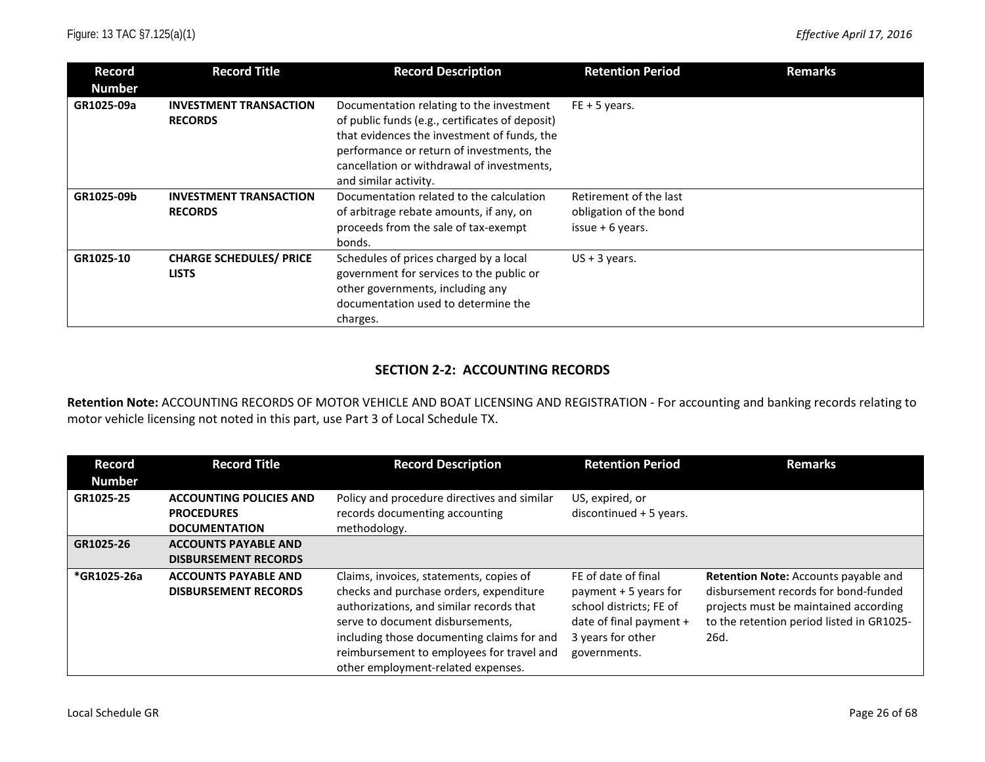| Record<br><b>Number</b> | <b>Record Title</b>                             | <b>Record Description</b>                                                                                                                                                                                                                                      | <b>Retention Period</b>                                               | <b>Remarks</b> |
|-------------------------|-------------------------------------------------|----------------------------------------------------------------------------------------------------------------------------------------------------------------------------------------------------------------------------------------------------------------|-----------------------------------------------------------------------|----------------|
| GR1025-09a              | <b>INVESTMENT TRANSACTION</b><br><b>RECORDS</b> | Documentation relating to the investment<br>of public funds (e.g., certificates of deposit)<br>that evidences the investment of funds, the<br>performance or return of investments, the<br>cancellation or withdrawal of investments,<br>and similar activity. | $FE + 5$ years.                                                       |                |
| GR1025-09b              | <b>INVESTMENT TRANSACTION</b><br><b>RECORDS</b> | Documentation related to the calculation<br>of arbitrage rebate amounts, if any, on<br>proceeds from the sale of tax-exempt<br>bonds.                                                                                                                          | Retirement of the last<br>obligation of the bond<br>issue $+6$ years. |                |
| GR1025-10               | <b>CHARGE SCHEDULES/ PRICE</b><br><b>LISTS</b>  | Schedules of prices charged by a local<br>government for services to the public or<br>other governments, including any<br>documentation used to determine the<br>charges.                                                                                      | $US + 3$ years.                                                       |                |

#### **SECTION 2-2: ACCOUNTING RECORDS**

**Retention Note:** ACCOUNTING RECORDS OF MOTOR VEHICLE AND BOAT LICENSING AND REGISTRATION - For accounting and banking records relating to motor vehicle licensing not noted in this part, use Part 3 of Local Schedule TX.

| Record<br><b>Number</b> | <b>Record Title</b>                                                         | <b>Record Description</b>                                                                                                                                                                                                                                                                           | <b>Retention Period</b>                                                                                                                  | <b>Remarks</b>                                                                                                                                                             |
|-------------------------|-----------------------------------------------------------------------------|-----------------------------------------------------------------------------------------------------------------------------------------------------------------------------------------------------------------------------------------------------------------------------------------------------|------------------------------------------------------------------------------------------------------------------------------------------|----------------------------------------------------------------------------------------------------------------------------------------------------------------------------|
| GR1025-25               | <b>ACCOUNTING POLICIES AND</b><br><b>PROCEDURES</b><br><b>DOCUMENTATION</b> | Policy and procedure directives and similar<br>records documenting accounting<br>methodology.                                                                                                                                                                                                       | US, expired, or<br>discontinued $+5$ years.                                                                                              |                                                                                                                                                                            |
| GR1025-26               | <b>ACCOUNTS PAYABLE AND</b><br><b>DISBURSEMENT RECORDS</b>                  |                                                                                                                                                                                                                                                                                                     |                                                                                                                                          |                                                                                                                                                                            |
| *GR1025-26a             | <b>ACCOUNTS PAYABLE AND</b><br><b>DISBURSEMENT RECORDS</b>                  | Claims, invoices, statements, copies of<br>checks and purchase orders, expenditure<br>authorizations, and similar records that<br>serve to document disbursements,<br>including those documenting claims for and<br>reimbursement to employees for travel and<br>other employment-related expenses. | FE of date of final<br>payment $+5$ years for<br>school districts; FE of<br>date of final payment +<br>3 years for other<br>governments. | Retention Note: Accounts payable and<br>disbursement records for bond-funded<br>projects must be maintained according<br>to the retention period listed in GR1025-<br>26d. |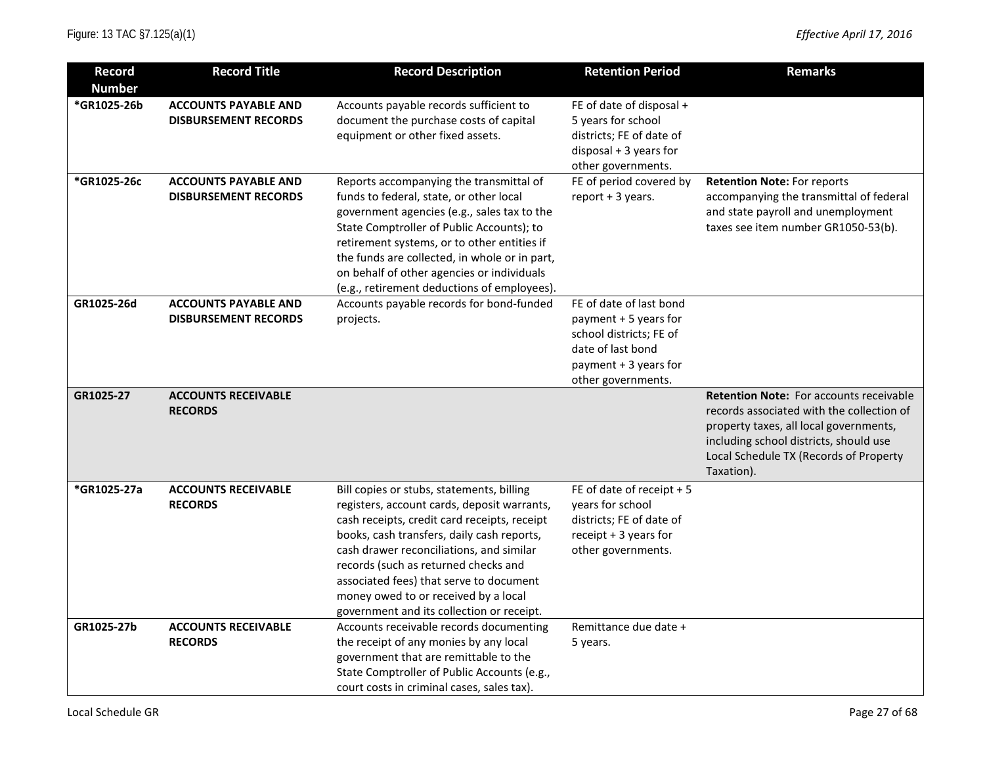| <b>Record</b>                | <b>Record Title</b>                                        | <b>Record Description</b>                                                                                                                                                                                                                                                                                                                                                                                  | <b>Retention Period</b>                                                                                                                         | <b>Remarks</b>                                                                                                                                                                                                                          |
|------------------------------|------------------------------------------------------------|------------------------------------------------------------------------------------------------------------------------------------------------------------------------------------------------------------------------------------------------------------------------------------------------------------------------------------------------------------------------------------------------------------|-------------------------------------------------------------------------------------------------------------------------------------------------|-----------------------------------------------------------------------------------------------------------------------------------------------------------------------------------------------------------------------------------------|
| <b>Number</b><br>*GR1025-26b | <b>ACCOUNTS PAYABLE AND</b>                                | Accounts payable records sufficient to                                                                                                                                                                                                                                                                                                                                                                     | FE of date of disposal +                                                                                                                        |                                                                                                                                                                                                                                         |
|                              | <b>DISBURSEMENT RECORDS</b>                                | document the purchase costs of capital<br>equipment or other fixed assets.                                                                                                                                                                                                                                                                                                                                 | 5 years for school<br>districts; FE of date of                                                                                                  |                                                                                                                                                                                                                                         |
|                              |                                                            |                                                                                                                                                                                                                                                                                                                                                                                                            | $disposal + 3 years for$<br>other governments.                                                                                                  |                                                                                                                                                                                                                                         |
| *GR1025-26c                  | <b>ACCOUNTS PAYABLE AND</b><br><b>DISBURSEMENT RECORDS</b> | Reports accompanying the transmittal of<br>funds to federal, state, or other local<br>government agencies (e.g., sales tax to the<br>State Comptroller of Public Accounts); to<br>retirement systems, or to other entities if<br>the funds are collected, in whole or in part,<br>on behalf of other agencies or individuals<br>(e.g., retirement deductions of employees).                                | FE of period covered by<br>report $+3$ years.                                                                                                   | <b>Retention Note: For reports</b><br>accompanying the transmittal of federal<br>and state payroll and unemployment<br>taxes see item number GR1050-53(b).                                                                              |
| GR1025-26d                   | <b>ACCOUNTS PAYABLE AND</b><br><b>DISBURSEMENT RECORDS</b> | Accounts payable records for bond-funded<br>projects.                                                                                                                                                                                                                                                                                                                                                      | FE of date of last bond<br>payment + 5 years for<br>school districts; FE of<br>date of last bond<br>payment + 3 years for<br>other governments. |                                                                                                                                                                                                                                         |
| GR1025-27                    | <b>ACCOUNTS RECEIVABLE</b><br><b>RECORDS</b>               |                                                                                                                                                                                                                                                                                                                                                                                                            |                                                                                                                                                 | <b>Retention Note: For accounts receivable</b><br>records associated with the collection of<br>property taxes, all local governments,<br>including school districts, should use<br>Local Schedule TX (Records of Property<br>Taxation). |
| *GR1025-27a                  | <b>ACCOUNTS RECEIVABLE</b><br><b>RECORDS</b>               | Bill copies or stubs, statements, billing<br>registers, account cards, deposit warrants,<br>cash receipts, credit card receipts, receipt<br>books, cash transfers, daily cash reports,<br>cash drawer reconciliations, and similar<br>records (such as returned checks and<br>associated fees) that serve to document<br>money owed to or received by a local<br>government and its collection or receipt. | FE of date of receipt + 5<br>years for school<br>districts; FE of date of<br>receipt $+3$ years for<br>other governments.                       |                                                                                                                                                                                                                                         |
| GR1025-27b                   | <b>ACCOUNTS RECEIVABLE</b><br><b>RECORDS</b>               | Accounts receivable records documenting<br>the receipt of any monies by any local<br>government that are remittable to the<br>State Comptroller of Public Accounts (e.g.,<br>court costs in criminal cases, sales tax).                                                                                                                                                                                    | Remittance due date +<br>5 years.                                                                                                               |                                                                                                                                                                                                                                         |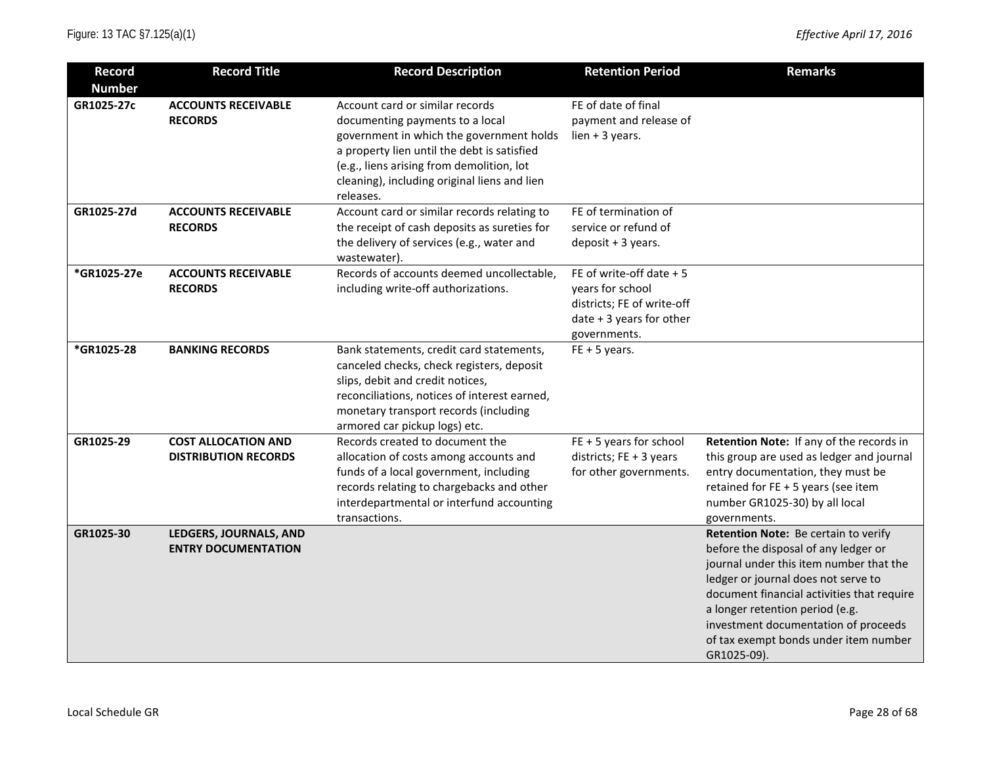| <b>Record</b> | <b>Record Title</b>                                       | <b>Record Description</b>                                                                                                                                                                                                                                               | <b>Retention Period</b>                                                                                                 | <b>Remarks</b>                                                                                                                                                                                                                                                                                                                                  |
|---------------|-----------------------------------------------------------|-------------------------------------------------------------------------------------------------------------------------------------------------------------------------------------------------------------------------------------------------------------------------|-------------------------------------------------------------------------------------------------------------------------|-------------------------------------------------------------------------------------------------------------------------------------------------------------------------------------------------------------------------------------------------------------------------------------------------------------------------------------------------|
| <b>Number</b> |                                                           |                                                                                                                                                                                                                                                                         |                                                                                                                         |                                                                                                                                                                                                                                                                                                                                                 |
| GR1025-27c    | <b>ACCOUNTS RECEIVABLE</b><br><b>RECORDS</b>              | Account card or similar records<br>documenting payments to a local<br>government in which the government holds<br>a property lien until the debt is satisfied<br>(e.g., liens arising from demolition, lot<br>cleaning), including original liens and lien<br>releases. | FE of date of final<br>payment and release of<br>lien $+3$ years.                                                       |                                                                                                                                                                                                                                                                                                                                                 |
| GR1025-27d    | <b>ACCOUNTS RECEIVABLE</b><br><b>RECORDS</b>              | Account card or similar records relating to<br>the receipt of cash deposits as sureties for<br>the delivery of services (e.g., water and<br>wastewater).                                                                                                                | FE of termination of<br>service or refund of<br>deposit + 3 years.                                                      |                                                                                                                                                                                                                                                                                                                                                 |
| *GR1025-27e   | <b>ACCOUNTS RECEIVABLE</b><br><b>RECORDS</b>              | Records of accounts deemed uncollectable,<br>including write-off authorizations.                                                                                                                                                                                        | FE of write-off date $+5$<br>years for school<br>districts; FE of write-off<br>date + 3 years for other<br>governments. |                                                                                                                                                                                                                                                                                                                                                 |
| *GR1025-28    | <b>BANKING RECORDS</b>                                    | Bank statements, credit card statements,<br>canceled checks, check registers, deposit<br>slips, debit and credit notices,<br>reconciliations, notices of interest earned,<br>monetary transport records (including<br>armored car pickup logs) etc.                     | $FE + 5 years$ .                                                                                                        |                                                                                                                                                                                                                                                                                                                                                 |
| GR1025-29     | <b>COST ALLOCATION AND</b><br><b>DISTRIBUTION RECORDS</b> | Records created to document the<br>allocation of costs among accounts and<br>funds of a local government, including<br>records relating to chargebacks and other<br>interdepartmental or interfund accounting<br>transactions.                                          | $FE + 5$ years for school<br>districts; FE + 3 years<br>for other governments.                                          | Retention Note: If any of the records in<br>this group are used as ledger and journal<br>entry documentation, they must be<br>retained for FE + 5 years (see item<br>number GR1025-30) by all local<br>governments.                                                                                                                             |
| GR1025-30     | LEDGERS, JOURNALS, AND<br><b>ENTRY DOCUMENTATION</b>      |                                                                                                                                                                                                                                                                         |                                                                                                                         | Retention Note: Be certain to verify<br>before the disposal of any ledger or<br>journal under this item number that the<br>ledger or journal does not serve to<br>document financial activities that require<br>a longer retention period (e.g.<br>investment documentation of proceeds<br>of tax exempt bonds under item number<br>GR1025-09). |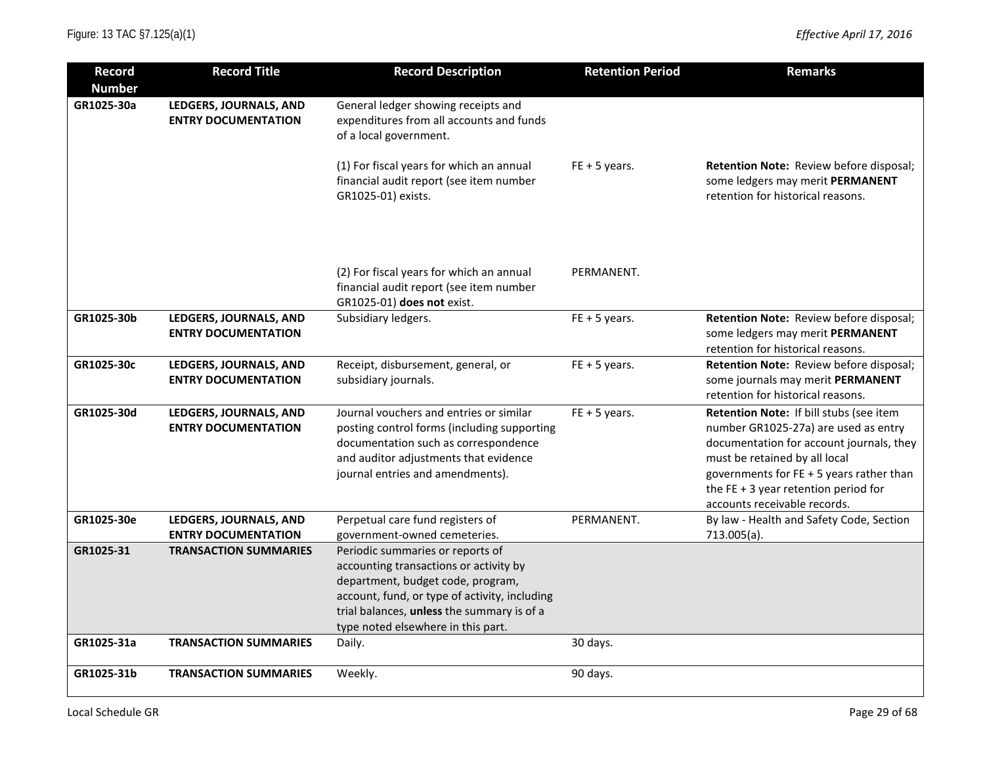| <b>Record</b><br><b>Number</b> | <b>Record Title</b>                                  | <b>Record Description</b>                                                                                                                                                                                                                            | <b>Retention Period</b> | <b>Remarks</b>                                                                                                                                                                                                                                                                       |
|--------------------------------|------------------------------------------------------|------------------------------------------------------------------------------------------------------------------------------------------------------------------------------------------------------------------------------------------------------|-------------------------|--------------------------------------------------------------------------------------------------------------------------------------------------------------------------------------------------------------------------------------------------------------------------------------|
| GR1025-30a                     | LEDGERS, JOURNALS, AND<br><b>ENTRY DOCUMENTATION</b> | General ledger showing receipts and<br>expenditures from all accounts and funds<br>of a local government.                                                                                                                                            |                         |                                                                                                                                                                                                                                                                                      |
|                                |                                                      | (1) For fiscal years for which an annual<br>financial audit report (see item number<br>GR1025-01) exists.                                                                                                                                            | $FE + 5$ years.         | Retention Note: Review before disposal;<br>some ledgers may merit PERMANENT<br>retention for historical reasons.                                                                                                                                                                     |
|                                |                                                      | (2) For fiscal years for which an annual<br>financial audit report (see item number<br>GR1025-01) does not exist.                                                                                                                                    | PERMANENT.              |                                                                                                                                                                                                                                                                                      |
| GR1025-30b                     | LEDGERS, JOURNALS, AND<br><b>ENTRY DOCUMENTATION</b> | Subsidiary ledgers.                                                                                                                                                                                                                                  | $FE + 5$ years.         | Retention Note: Review before disposal;<br>some ledgers may merit PERMANENT<br>retention for historical reasons.                                                                                                                                                                     |
| GR1025-30c                     | LEDGERS, JOURNALS, AND<br><b>ENTRY DOCUMENTATION</b> | Receipt, disbursement, general, or<br>subsidiary journals.                                                                                                                                                                                           | $FE + 5$ years.         | Retention Note: Review before disposal;<br>some journals may merit PERMANENT<br>retention for historical reasons.                                                                                                                                                                    |
| GR1025-30d                     | LEDGERS, JOURNALS, AND<br><b>ENTRY DOCUMENTATION</b> | Journal vouchers and entries or similar<br>posting control forms (including supporting<br>documentation such as correspondence<br>and auditor adjustments that evidence<br>journal entries and amendments).                                          | $FE + 5 years$ .        | Retention Note: If bill stubs (see item<br>number GR1025-27a) are used as entry<br>documentation for account journals, they<br>must be retained by all local<br>governments for $FE + 5$ years rather than<br>the FE $+$ 3 year retention period for<br>accounts receivable records. |
| GR1025-30e                     | LEDGERS, JOURNALS, AND<br><b>ENTRY DOCUMENTATION</b> | Perpetual care fund registers of<br>government-owned cemeteries.                                                                                                                                                                                     | PERMANENT.              | By law - Health and Safety Code, Section<br>713.005(a).                                                                                                                                                                                                                              |
| GR1025-31                      | <b>TRANSACTION SUMMARIES</b>                         | Periodic summaries or reports of<br>accounting transactions or activity by<br>department, budget code, program,<br>account, fund, or type of activity, including<br>trial balances, unless the summary is of a<br>type noted elsewhere in this part. |                         |                                                                                                                                                                                                                                                                                      |
| GR1025-31a                     | <b>TRANSACTION SUMMARIES</b>                         | Daily.                                                                                                                                                                                                                                               | 30 days.                |                                                                                                                                                                                                                                                                                      |
| GR1025-31b                     | <b>TRANSACTION SUMMARIES</b>                         | Weekly.                                                                                                                                                                                                                                              | 90 days.                |                                                                                                                                                                                                                                                                                      |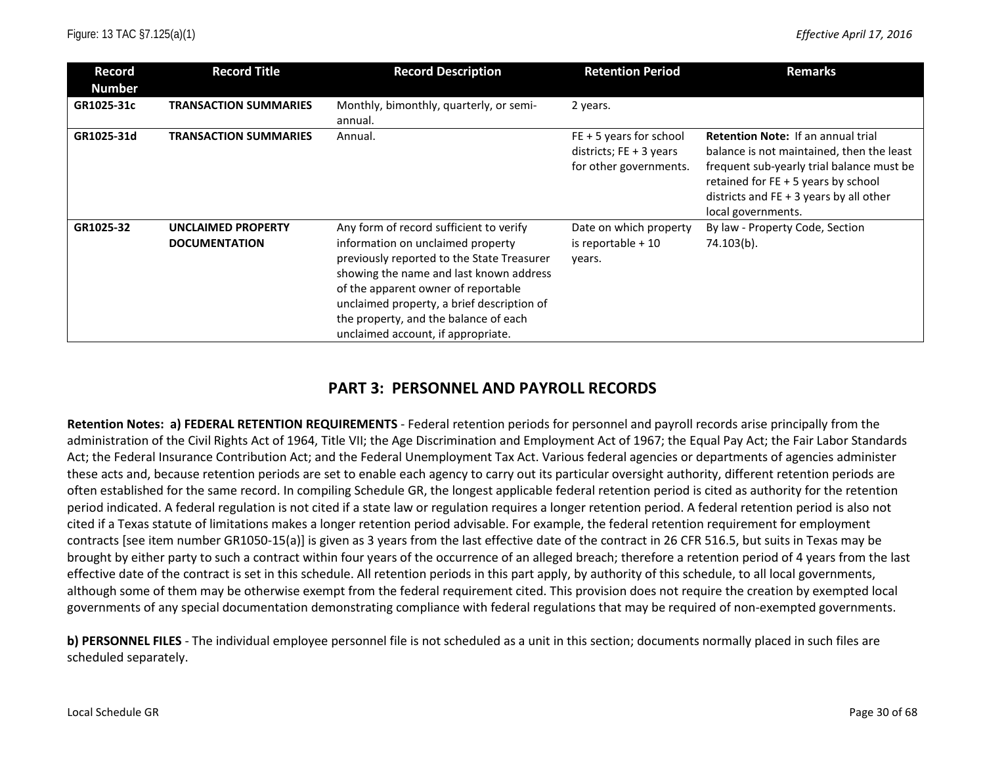| Record        | <b>Record Title</b>                               | <b>Record Description</b>                                                                                                                                                                                                                                                                                                                 | <b>Retention Period</b>                                                          | <b>Remarks</b>                                                                                                                                                                                                                                |
|---------------|---------------------------------------------------|-------------------------------------------------------------------------------------------------------------------------------------------------------------------------------------------------------------------------------------------------------------------------------------------------------------------------------------------|----------------------------------------------------------------------------------|-----------------------------------------------------------------------------------------------------------------------------------------------------------------------------------------------------------------------------------------------|
| <b>Number</b> |                                                   |                                                                                                                                                                                                                                                                                                                                           |                                                                                  |                                                                                                                                                                                                                                               |
| GR1025-31c    | <b>TRANSACTION SUMMARIES</b>                      | Monthly, bimonthly, quarterly, or semi-                                                                                                                                                                                                                                                                                                   | 2 years.                                                                         |                                                                                                                                                                                                                                               |
|               |                                                   | annual.                                                                                                                                                                                                                                                                                                                                   |                                                                                  |                                                                                                                                                                                                                                               |
| GR1025-31d    | <b>TRANSACTION SUMMARIES</b>                      | Annual.                                                                                                                                                                                                                                                                                                                                   | $FE + 5$ years for school<br>districts; $FE + 3$ years<br>for other governments. | <b>Retention Note: If an annual trial</b><br>balance is not maintained, then the least<br>frequent sub-yearly trial balance must be<br>retained for FE + 5 years by school<br>districts and $FE + 3$ years by all other<br>local governments. |
| GR1025-32     | <b>UNCLAIMED PROPERTY</b><br><b>DOCUMENTATION</b> | Any form of record sufficient to verify<br>information on unclaimed property<br>previously reported to the State Treasurer<br>showing the name and last known address<br>of the apparent owner of reportable<br>unclaimed property, a brief description of<br>the property, and the balance of each<br>unclaimed account, if appropriate. | Date on which property<br>is reportable $+10$<br>years.                          | By law - Property Code, Section<br>74.103(b).                                                                                                                                                                                                 |

## **PART 3: PERSONNEL AND PAYROLL RECORDS**

**Retention Notes: a) FEDERAL RETENTION REQUIREMENTS** - Federal retention periods for personnel and payroll records arise principally from the administration of the Civil Rights Act of 1964, Title VII; the Age Discrimination and Employment Act of 1967; the Equal Pay Act; the Fair Labor Standards Act; the Federal Insurance Contribution Act; and the Federal Unemployment Tax Act. Various federal agencies or departments of agencies administer these acts and, because retention periods are set to enable each agency to carry out its particular oversight authority, different retention periods are often established for the same record. In compiling Schedule GR, the longest applicable federal retention period is cited as authority for the retention period indicated. A federal regulation is not cited if a state law or regulation requires a longer retention period. A federal retention period is also not cited if a Texas statute of limitations makes a longer retention period advisable. For example, the federal retention requirement for employment contracts [see item number GR1050-15(a)] is given as 3 years from the last effective date of the contract in 26 CFR 516.5, but suits in Texas may be brought by either party to such a contract within four years of the occurrence of an alleged breach; therefore a retention period of 4 years from the last effective date of the contract is set in this schedule. All retention periods in this part apply, by authority of this schedule, to all local governments, although some of them may be otherwise exempt from the federal requirement cited. This provision does not require the creation by exempted local governments of any special documentation demonstrating compliance with federal regulations that may be required of non-exempted governments.

**b) PERSONNEL FILES** - The individual employee personnel file is not scheduled as a unit in this section; documents normally placed in such files are scheduled separately.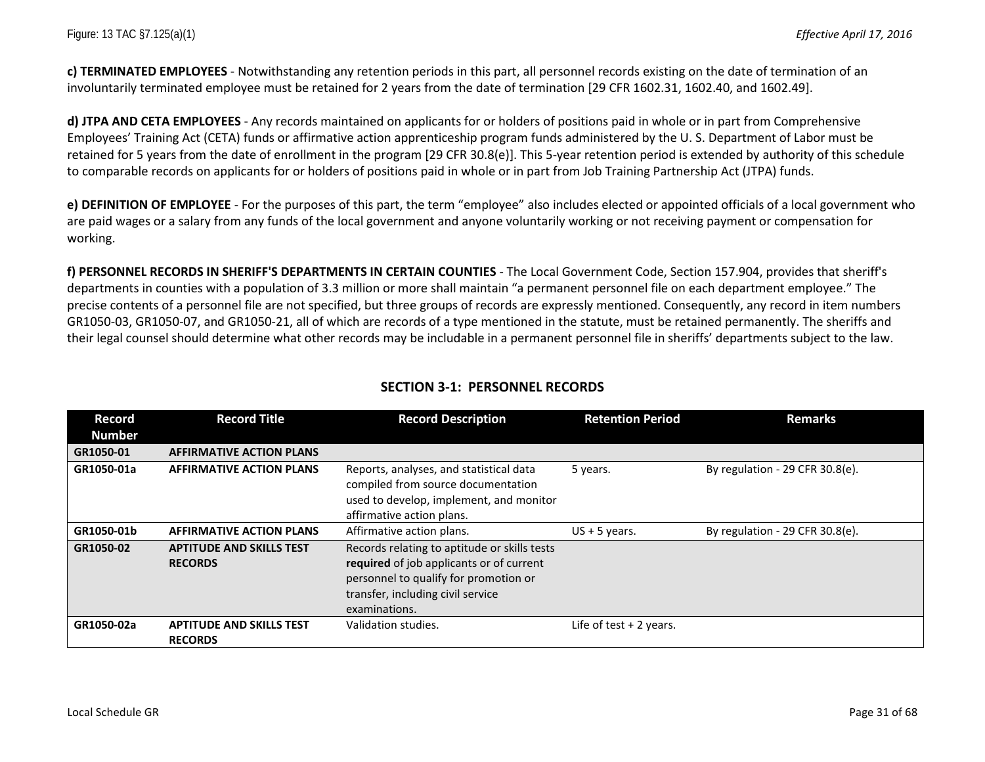**c) TERMINATED EMPLOYEES** - Notwithstanding any retention periods in this part, all personnel records existing on the date of termination of an involuntarily terminated employee must be retained for 2 years from the date of termination [29 CFR 1602.31, 1602.40, and 1602.49].

**d) JTPA AND CETA EMPLOYEES** - Any records maintained on applicants for or holders of positions paid in whole or in part from Comprehensive Employees' Training Act (CETA) funds or affirmative action apprenticeship program funds administered by the U. S. Department of Labor must be retained for 5 years from the date of enrollment in the program [29 CFR 30.8(e)]. This 5-year retention period is extended by authority of this schedule to comparable records on applicants for or holders of positions paid in whole or in part from Job Training Partnership Act (JTPA) funds.

**e) DEFINITION OF EMPLOYEE** - For the purposes of this part, the term "employee" also includes elected or appointed officials of a local government who are paid wages or a salary from any funds of the local government and anyone voluntarily working or not receiving payment or compensation for working.

**f) PERSONNEL RECORDS IN SHERIFF'S DEPARTMENTS IN CERTAIN COUNTIES** - The Local Government Code, Section 157.904, provides that sheriff's departments in counties with a population of 3.3 million or more shall maintain "a permanent personnel file on each department employee." The precise contents of a personnel file are not specified, but three groups of records are expressly mentioned. Consequently, any record in item numbers GR1050-03, GR1050-07, and GR1050-21, all of which are records of a type mentioned in the statute, must be retained permanently. The sheriffs and their legal counsel should determine what other records may be includable in a permanent personnel file in sheriffs' departments subject to the law.

| Record        | <b>Record Title</b>                               | <b>Record Description</b>                                                                                                                                                               | <b>Retention Period</b>  | <b>Remarks</b>                     |
|---------------|---------------------------------------------------|-----------------------------------------------------------------------------------------------------------------------------------------------------------------------------------------|--------------------------|------------------------------------|
| <b>Number</b> |                                                   |                                                                                                                                                                                         |                          |                                    |
| GR1050-01     | <b>AFFIRMATIVE ACTION PLANS</b>                   |                                                                                                                                                                                         |                          |                                    |
| GR1050-01a    | <b>AFFIRMATIVE ACTION PLANS</b>                   | Reports, analyses, and statistical data<br>compiled from source documentation<br>used to develop, implement, and monitor<br>affirmative action plans.                                   | 5 years.                 | By regulation - 29 CFR $30.8(e)$ . |
| GR1050-01b    | <b>AFFIRMATIVE ACTION PLANS</b>                   | Affirmative action plans.                                                                                                                                                               | $US + 5$ years.          | By regulation - 29 CFR $30.8(e)$ . |
| GR1050-02     | <b>APTITUDE AND SKILLS TEST</b><br><b>RECORDS</b> | Records relating to aptitude or skills tests<br>required of job applicants or of current<br>personnel to qualify for promotion or<br>transfer, including civil service<br>examinations. |                          |                                    |
| GR1050-02a    | <b>APTITUDE AND SKILLS TEST</b><br><b>RECORDS</b> | Validation studies.                                                                                                                                                                     | Life of test $+2$ years. |                                    |

### **SECTION 3-1: PERSONNEL RECORDS**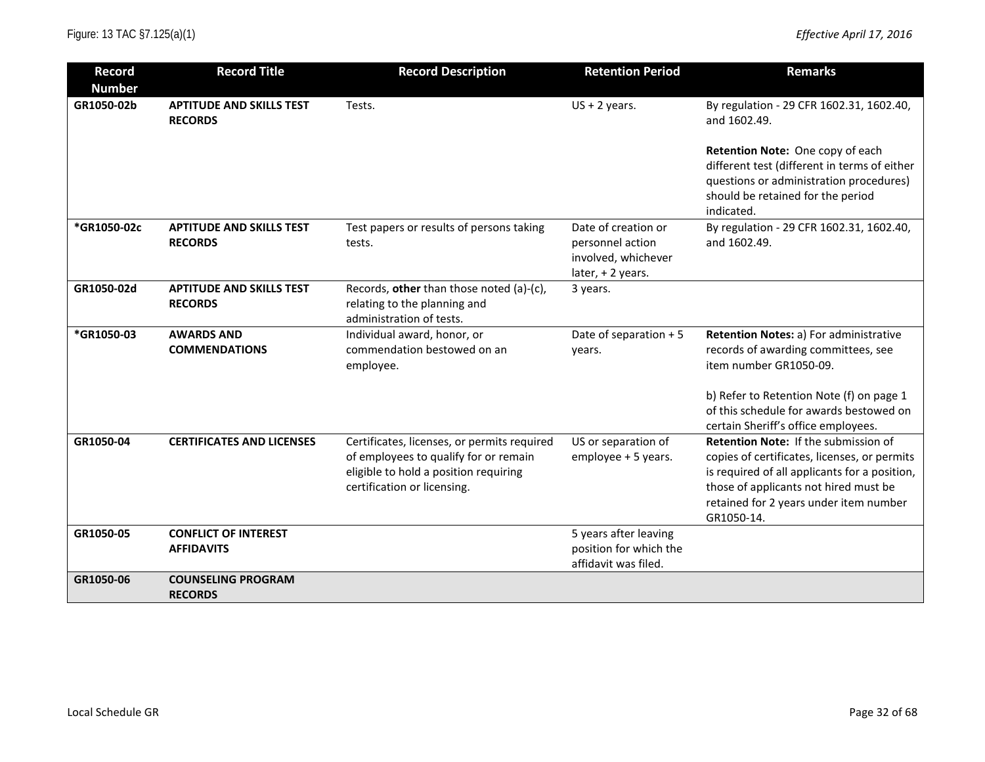| <b>Record</b><br><b>Number</b> | <b>Record Title</b>                               | <b>Record Description</b>                                                                                                                                    | <b>Retention Period</b>                                                            | <b>Remarks</b>                                                                                                                                                                                                                         |
|--------------------------------|---------------------------------------------------|--------------------------------------------------------------------------------------------------------------------------------------------------------------|------------------------------------------------------------------------------------|----------------------------------------------------------------------------------------------------------------------------------------------------------------------------------------------------------------------------------------|
| GR1050-02b                     | <b>APTITUDE AND SKILLS TEST</b><br><b>RECORDS</b> | Tests.                                                                                                                                                       | $US + 2$ years.                                                                    | By regulation - 29 CFR 1602.31, 1602.40,<br>and 1602.49.                                                                                                                                                                               |
|                                |                                                   |                                                                                                                                                              |                                                                                    | Retention Note: One copy of each<br>different test (different in terms of either<br>questions or administration procedures)<br>should be retained for the period<br>indicated.                                                         |
| *GR1050-02c                    | <b>APTITUDE AND SKILLS TEST</b><br><b>RECORDS</b> | Test papers or results of persons taking<br>tests.                                                                                                           | Date of creation or<br>personnel action<br>involved, whichever<br>later, +2 years. | By regulation - 29 CFR 1602.31, 1602.40,<br>and 1602.49.                                                                                                                                                                               |
| GR1050-02d                     | <b>APTITUDE AND SKILLS TEST</b><br><b>RECORDS</b> | Records, other than those noted (a)-(c),<br>relating to the planning and<br>administration of tests.                                                         | 3 years.                                                                           |                                                                                                                                                                                                                                        |
| *GR1050-03                     | <b>AWARDS AND</b><br><b>COMMENDATIONS</b>         | Individual award, honor, or<br>commendation bestowed on an<br>employee.                                                                                      | Date of separation + 5<br>years.                                                   | Retention Notes: a) For administrative<br>records of awarding committees, see<br>item number GR1050-09.                                                                                                                                |
|                                |                                                   |                                                                                                                                                              |                                                                                    | b) Refer to Retention Note (f) on page 1<br>of this schedule for awards bestowed on<br>certain Sheriff's office employees.                                                                                                             |
| GR1050-04                      | <b>CERTIFICATES AND LICENSES</b>                  | Certificates, licenses, or permits required<br>of employees to qualify for or remain<br>eligible to hold a position requiring<br>certification or licensing. | US or separation of<br>employee + 5 years.                                         | Retention Note: If the submission of<br>copies of certificates, licenses, or permits<br>is required of all applicants for a position,<br>those of applicants not hired must be<br>retained for 2 years under item number<br>GR1050-14. |
| GR1050-05                      | <b>CONFLICT OF INTEREST</b><br><b>AFFIDAVITS</b>  |                                                                                                                                                              | 5 years after leaving<br>position for which the<br>affidavit was filed.            |                                                                                                                                                                                                                                        |
| GR1050-06                      | <b>COUNSELING PROGRAM</b><br><b>RECORDS</b>       |                                                                                                                                                              |                                                                                    |                                                                                                                                                                                                                                        |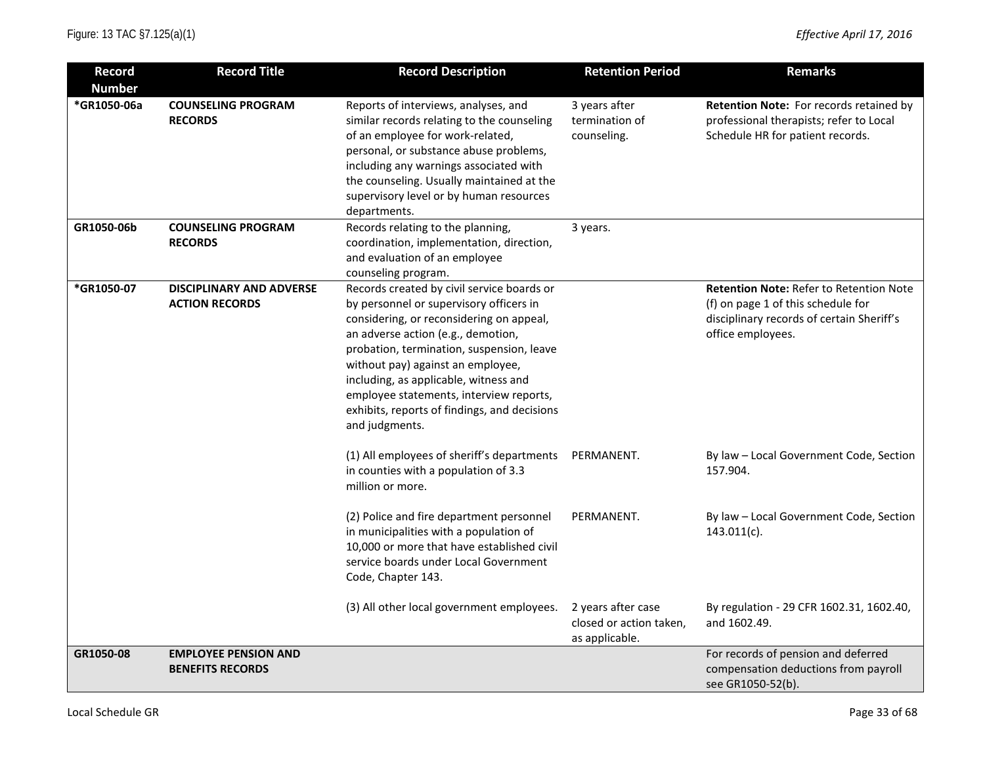| <b>Record</b><br><b>Number</b> | <b>Record Title</b>                                      | <b>Record Description</b>                                                                                                                                                                                                                                                                                                                                                                                       | <b>Retention Period</b>                                         | <b>Remarks</b>                                                                                                                                         |
|--------------------------------|----------------------------------------------------------|-----------------------------------------------------------------------------------------------------------------------------------------------------------------------------------------------------------------------------------------------------------------------------------------------------------------------------------------------------------------------------------------------------------------|-----------------------------------------------------------------|--------------------------------------------------------------------------------------------------------------------------------------------------------|
| *GR1050-06a                    | <b>COUNSELING PROGRAM</b><br><b>RECORDS</b>              | Reports of interviews, analyses, and<br>similar records relating to the counseling<br>of an employee for work-related,<br>personal, or substance abuse problems,<br>including any warnings associated with<br>the counseling. Usually maintained at the<br>supervisory level or by human resources<br>departments.                                                                                              | 3 years after<br>termination of<br>counseling.                  | Retention Note: For records retained by<br>professional therapists; refer to Local<br>Schedule HR for patient records.                                 |
| GR1050-06b                     | <b>COUNSELING PROGRAM</b><br><b>RECORDS</b>              | Records relating to the planning,<br>coordination, implementation, direction,<br>and evaluation of an employee<br>counseling program.                                                                                                                                                                                                                                                                           | 3 years.                                                        |                                                                                                                                                        |
| *GR1050-07                     | <b>DISCIPLINARY AND ADVERSE</b><br><b>ACTION RECORDS</b> | Records created by civil service boards or<br>by personnel or supervisory officers in<br>considering, or reconsidering on appeal,<br>an adverse action (e.g., demotion,<br>probation, termination, suspension, leave<br>without pay) against an employee,<br>including, as applicable, witness and<br>employee statements, interview reports,<br>exhibits, reports of findings, and decisions<br>and judgments. |                                                                 | <b>Retention Note: Refer to Retention Note</b><br>(f) on page 1 of this schedule for<br>disciplinary records of certain Sheriff's<br>office employees. |
|                                |                                                          | (1) All employees of sheriff's departments<br>in counties with a population of 3.3<br>million or more.                                                                                                                                                                                                                                                                                                          | PERMANENT.                                                      | By law - Local Government Code, Section<br>157.904.                                                                                                    |
|                                |                                                          | (2) Police and fire department personnel<br>in municipalities with a population of<br>10,000 or more that have established civil<br>service boards under Local Government<br>Code, Chapter 143.                                                                                                                                                                                                                 | PERMANENT.                                                      | By law - Local Government Code, Section<br>$143.011(c)$ .                                                                                              |
|                                |                                                          | (3) All other local government employees.                                                                                                                                                                                                                                                                                                                                                                       | 2 years after case<br>closed or action taken,<br>as applicable. | By regulation - 29 CFR 1602.31, 1602.40,<br>and 1602.49.                                                                                               |
| GR1050-08                      | <b>EMPLOYEE PENSION AND</b><br><b>BENEFITS RECORDS</b>   |                                                                                                                                                                                                                                                                                                                                                                                                                 |                                                                 | For records of pension and deferred<br>compensation deductions from payroll<br>see GR1050-52(b).                                                       |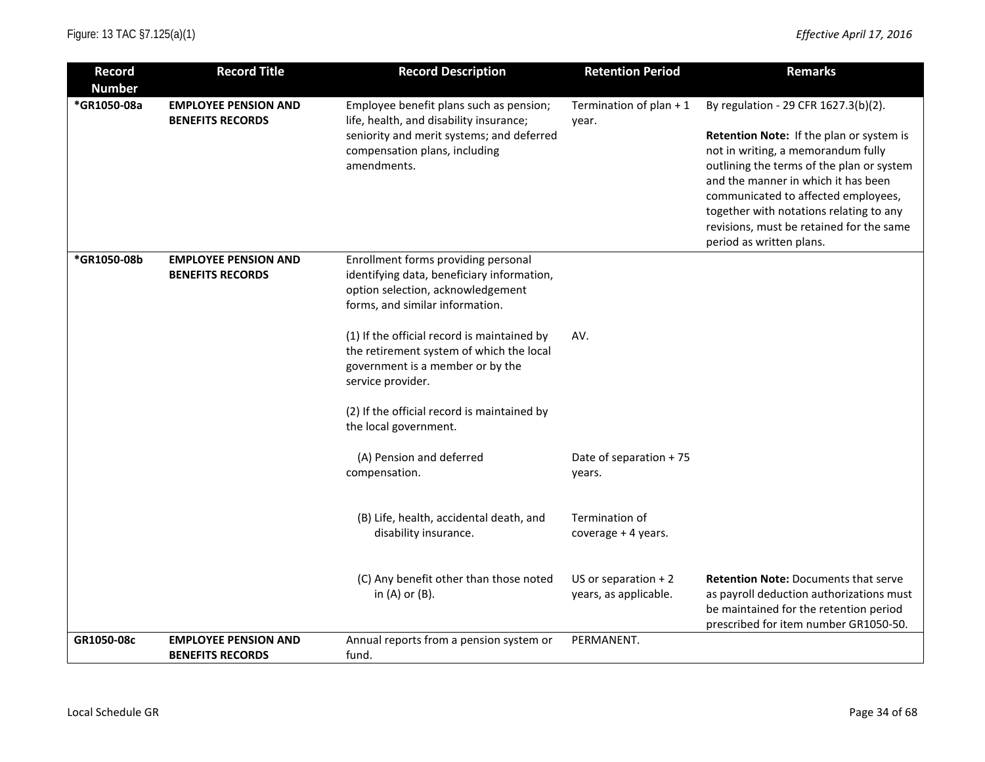| <b>Record</b><br><b>Number</b> | <b>Record Title</b>                                    | <b>Record Description</b>                                                                                                                                                       | <b>Retention Period</b>                        | <b>Remarks</b>                                                                                                                                                                                                                                                                                                                                                       |
|--------------------------------|--------------------------------------------------------|---------------------------------------------------------------------------------------------------------------------------------------------------------------------------------|------------------------------------------------|----------------------------------------------------------------------------------------------------------------------------------------------------------------------------------------------------------------------------------------------------------------------------------------------------------------------------------------------------------------------|
| *GR1050-08a                    | <b>EMPLOYEE PENSION AND</b><br><b>BENEFITS RECORDS</b> | Employee benefit plans such as pension;<br>life, health, and disability insurance;<br>seniority and merit systems; and deferred<br>compensation plans, including<br>amendments. | Termination of plan $+1$<br>year.              | By regulation - 29 CFR 1627.3(b)(2).<br>Retention Note: If the plan or system is<br>not in writing, a memorandum fully<br>outlining the terms of the plan or system<br>and the manner in which it has been<br>communicated to affected employees,<br>together with notations relating to any<br>revisions, must be retained for the same<br>period as written plans. |
| *GR1050-08b                    | <b>EMPLOYEE PENSION AND</b><br><b>BENEFITS RECORDS</b> | Enrollment forms providing personal<br>identifying data, beneficiary information,<br>option selection, acknowledgement<br>forms, and similar information.                       |                                                |                                                                                                                                                                                                                                                                                                                                                                      |
|                                |                                                        | (1) If the official record is maintained by<br>the retirement system of which the local<br>government is a member or by the<br>service provider.                                | AV.                                            |                                                                                                                                                                                                                                                                                                                                                                      |
|                                |                                                        | (2) If the official record is maintained by<br>the local government.                                                                                                            |                                                |                                                                                                                                                                                                                                                                                                                                                                      |
|                                |                                                        | (A) Pension and deferred<br>compensation.                                                                                                                                       | Date of separation + 75<br>years.              |                                                                                                                                                                                                                                                                                                                                                                      |
|                                |                                                        | (B) Life, health, accidental death, and<br>disability insurance.                                                                                                                | Termination of<br>coverage + 4 years.          |                                                                                                                                                                                                                                                                                                                                                                      |
|                                |                                                        | (C) Any benefit other than those noted<br>in $(A)$ or $(B)$ .                                                                                                                   | US or separation $+2$<br>years, as applicable. | <b>Retention Note: Documents that serve</b><br>as payroll deduction authorizations must<br>be maintained for the retention period<br>prescribed for item number GR1050-50.                                                                                                                                                                                           |
| GR1050-08c                     | <b>EMPLOYEE PENSION AND</b>                            | Annual reports from a pension system or                                                                                                                                         | PERMANENT.                                     |                                                                                                                                                                                                                                                                                                                                                                      |
|                                | <b>BENEFITS RECORDS</b>                                | fund.                                                                                                                                                                           |                                                |                                                                                                                                                                                                                                                                                                                                                                      |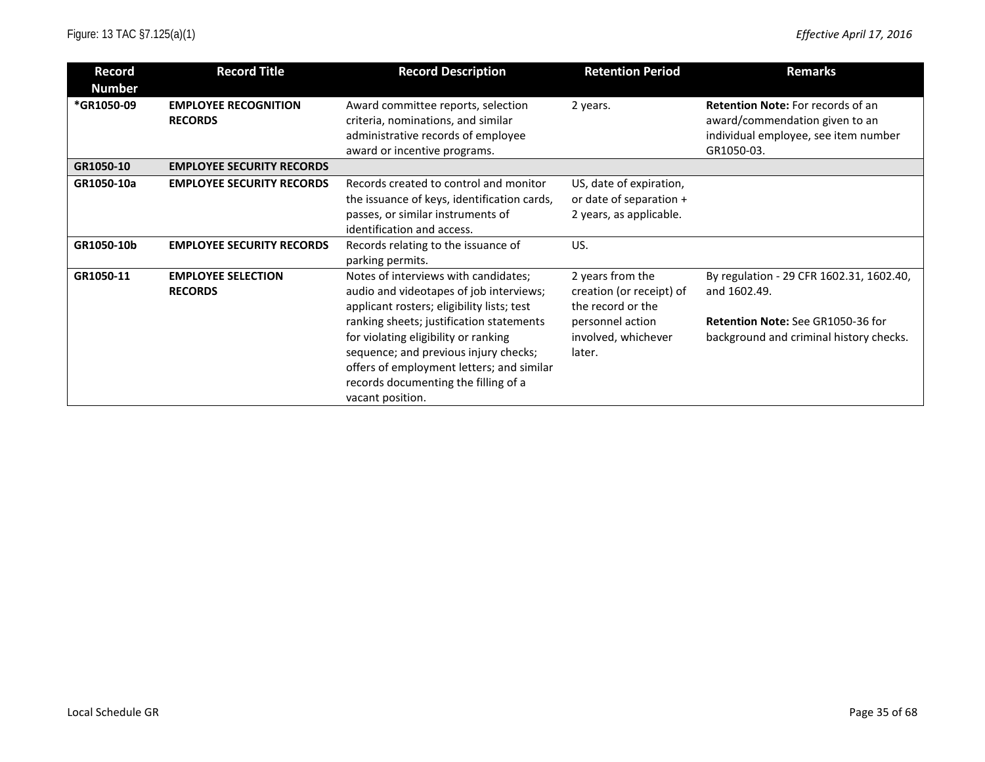| <b>Record</b> | <b>Record Title</b>              | <b>Record Description</b>                   | <b>Retention Period</b>  | <b>Remarks</b>                           |
|---------------|----------------------------------|---------------------------------------------|--------------------------|------------------------------------------|
| <b>Number</b> |                                  |                                             |                          |                                          |
| *GR1050-09    | <b>EMPLOYEE RECOGNITION</b>      | Award committee reports, selection          | 2 years.                 | <b>Retention Note:</b> For records of an |
|               | <b>RECORDS</b>                   | criteria, nominations, and similar          |                          | award/commendation given to an           |
|               |                                  | administrative records of employee          |                          | individual employee, see item number     |
|               |                                  | award or incentive programs.                |                          | GR1050-03.                               |
| GR1050-10     | <b>EMPLOYEE SECURITY RECORDS</b> |                                             |                          |                                          |
| GR1050-10a    | <b>EMPLOYEE SECURITY RECORDS</b> | Records created to control and monitor      | US, date of expiration,  |                                          |
|               |                                  | the issuance of keys, identification cards, | or date of separation +  |                                          |
|               |                                  | passes, or similar instruments of           | 2 years, as applicable.  |                                          |
|               |                                  | identification and access.                  |                          |                                          |
| GR1050-10b    | <b>EMPLOYEE SECURITY RECORDS</b> | Records relating to the issuance of         | US.                      |                                          |
|               |                                  | parking permits.                            |                          |                                          |
| GR1050-11     | <b>EMPLOYEE SELECTION</b>        | Notes of interviews with candidates;        | 2 years from the         | By regulation - 29 CFR 1602.31, 1602.40, |
|               | <b>RECORDS</b>                   | audio and videotapes of job interviews;     | creation (or receipt) of | and 1602.49.                             |
|               |                                  | applicant rosters; eligibility lists; test  | the record or the        |                                          |
|               |                                  | ranking sheets; justification statements    | personnel action         | <b>Retention Note: See GR1050-36 for</b> |
|               |                                  | for violating eligibility or ranking        | involved, whichever      | background and criminal history checks.  |
|               |                                  | sequence; and previous injury checks;       | later.                   |                                          |
|               |                                  | offers of employment letters; and similar   |                          |                                          |
|               |                                  | records documenting the filling of a        |                          |                                          |
|               |                                  | vacant position.                            |                          |                                          |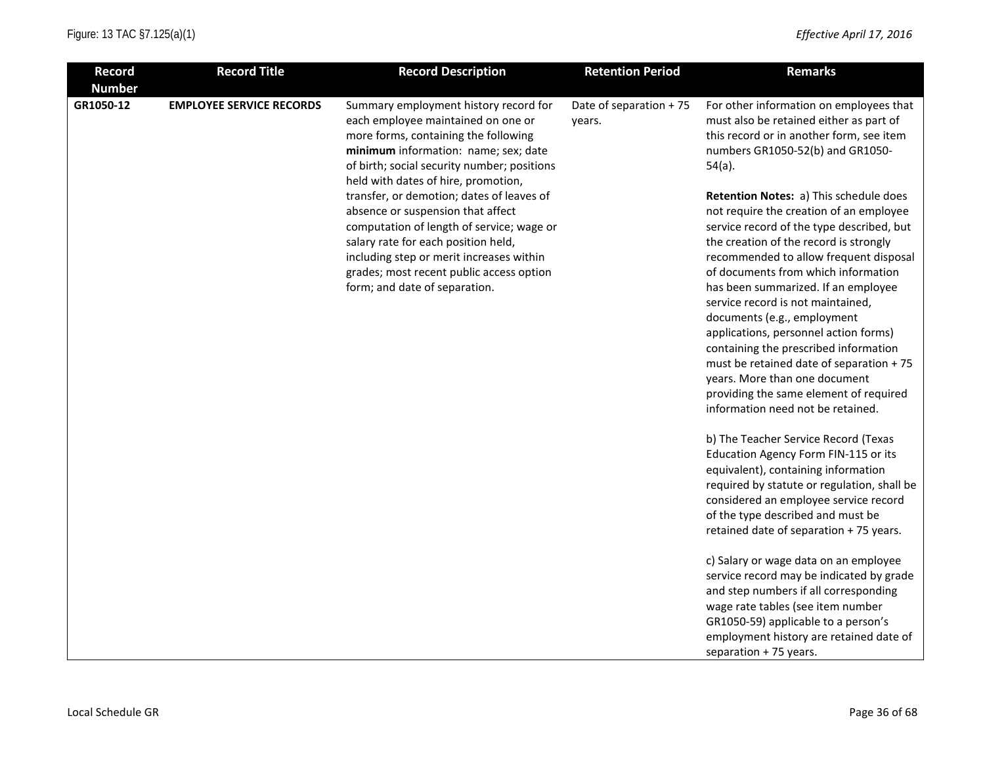| <b>Record</b> | <b>Record Title</b>             | <b>Record Description</b>                                                                                                                                                                                                                                                                                                                                                                                                                                                                                                                        | <b>Retention Period</b>           | <b>Remarks</b>                                                                                                                                                                                                                                                                                                                                                                                                                                                                                                                                                                                                                                                                                                                                                                                        |
|---------------|---------------------------------|--------------------------------------------------------------------------------------------------------------------------------------------------------------------------------------------------------------------------------------------------------------------------------------------------------------------------------------------------------------------------------------------------------------------------------------------------------------------------------------------------------------------------------------------------|-----------------------------------|-------------------------------------------------------------------------------------------------------------------------------------------------------------------------------------------------------------------------------------------------------------------------------------------------------------------------------------------------------------------------------------------------------------------------------------------------------------------------------------------------------------------------------------------------------------------------------------------------------------------------------------------------------------------------------------------------------------------------------------------------------------------------------------------------------|
| <b>Number</b> |                                 |                                                                                                                                                                                                                                                                                                                                                                                                                                                                                                                                                  |                                   |                                                                                                                                                                                                                                                                                                                                                                                                                                                                                                                                                                                                                                                                                                                                                                                                       |
| GR1050-12     | <b>EMPLOYEE SERVICE RECORDS</b> | Summary employment history record for<br>each employee maintained on one or<br>more forms, containing the following<br>minimum information: name; sex; date<br>of birth; social security number; positions<br>held with dates of hire, promotion,<br>transfer, or demotion; dates of leaves of<br>absence or suspension that affect<br>computation of length of service; wage or<br>salary rate for each position held,<br>including step or merit increases within<br>grades; most recent public access option<br>form; and date of separation. | Date of separation + 75<br>years. | For other information on employees that<br>must also be retained either as part of<br>this record or in another form, see item<br>numbers GR1050-52(b) and GR1050-<br>$54(a)$ .<br>Retention Notes: a) This schedule does<br>not require the creation of an employee<br>service record of the type described, but<br>the creation of the record is strongly<br>recommended to allow frequent disposal<br>of documents from which information<br>has been summarized. If an employee<br>service record is not maintained,<br>documents (e.g., employment<br>applications, personnel action forms)<br>containing the prescribed information<br>must be retained date of separation + 75<br>years. More than one document<br>providing the same element of required<br>information need not be retained. |
|               |                                 |                                                                                                                                                                                                                                                                                                                                                                                                                                                                                                                                                  |                                   | b) The Teacher Service Record (Texas<br>Education Agency Form FIN-115 or its<br>equivalent), containing information<br>required by statute or regulation, shall be<br>considered an employee service record<br>of the type described and must be<br>retained date of separation + 75 years.                                                                                                                                                                                                                                                                                                                                                                                                                                                                                                           |
|               |                                 |                                                                                                                                                                                                                                                                                                                                                                                                                                                                                                                                                  |                                   | c) Salary or wage data on an employee<br>service record may be indicated by grade<br>and step numbers if all corresponding<br>wage rate tables (see item number<br>GR1050-59) applicable to a person's<br>employment history are retained date of<br>separation + 75 years.                                                                                                                                                                                                                                                                                                                                                                                                                                                                                                                           |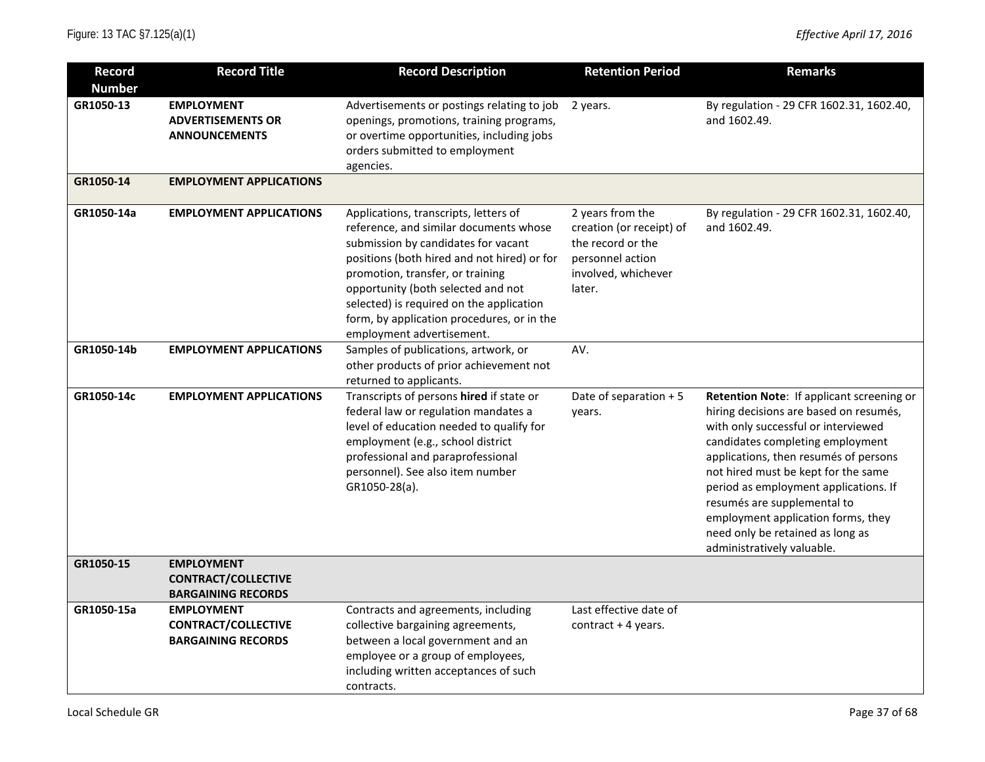| <b>Record</b>              | <b>Record Title</b>                                                          | <b>Record Description</b>                                                                                                                                                                                                                                                                                                                                              | <b>Retention Period</b>                                                                                                | <b>Remarks</b>                                                                                                                                                                                                                                                                                                                                                                                                                 |
|----------------------------|------------------------------------------------------------------------------|------------------------------------------------------------------------------------------------------------------------------------------------------------------------------------------------------------------------------------------------------------------------------------------------------------------------------------------------------------------------|------------------------------------------------------------------------------------------------------------------------|--------------------------------------------------------------------------------------------------------------------------------------------------------------------------------------------------------------------------------------------------------------------------------------------------------------------------------------------------------------------------------------------------------------------------------|
| <b>Number</b><br>GR1050-13 | <b>EMPLOYMENT</b><br><b>ADVERTISEMENTS OR</b><br><b>ANNOUNCEMENTS</b>        | Advertisements or postings relating to job<br>openings, promotions, training programs,<br>or overtime opportunities, including jobs<br>orders submitted to employment<br>agencies.                                                                                                                                                                                     | 2 years.                                                                                                               | By regulation - 29 CFR 1602.31, 1602.40,<br>and 1602.49.                                                                                                                                                                                                                                                                                                                                                                       |
| GR1050-14                  | <b>EMPLOYMENT APPLICATIONS</b>                                               |                                                                                                                                                                                                                                                                                                                                                                        |                                                                                                                        |                                                                                                                                                                                                                                                                                                                                                                                                                                |
| GR1050-14a                 | <b>EMPLOYMENT APPLICATIONS</b>                                               | Applications, transcripts, letters of<br>reference, and similar documents whose<br>submission by candidates for vacant<br>positions (both hired and not hired) or for<br>promotion, transfer, or training<br>opportunity (both selected and not<br>selected) is required on the application<br>form, by application procedures, or in the<br>employment advertisement. | 2 years from the<br>creation (or receipt) of<br>the record or the<br>personnel action<br>involved, whichever<br>later. | By regulation - 29 CFR 1602.31, 1602.40,<br>and 1602.49.                                                                                                                                                                                                                                                                                                                                                                       |
| GR1050-14b                 | <b>EMPLOYMENT APPLICATIONS</b>                                               | Samples of publications, artwork, or<br>other products of prior achievement not<br>returned to applicants.                                                                                                                                                                                                                                                             | AV.                                                                                                                    |                                                                                                                                                                                                                                                                                                                                                                                                                                |
| GR1050-14c                 | <b>EMPLOYMENT APPLICATIONS</b>                                               | Transcripts of persons hired if state or<br>federal law or regulation mandates a<br>level of education needed to qualify for<br>employment (e.g., school district<br>professional and paraprofessional<br>personnel). See also item number<br>GR1050-28(a).                                                                                                            | Date of separation + 5<br>years.                                                                                       | Retention Note: If applicant screening or<br>hiring decisions are based on resumés,<br>with only successful or interviewed<br>candidates completing employment<br>applications, then resumés of persons<br>not hired must be kept for the same<br>period as employment applications. If<br>resumés are supplemental to<br>employment application forms, they<br>need only be retained as long as<br>administratively valuable. |
| GR1050-15                  | <b>EMPLOYMENT</b><br><b>CONTRACT/COLLECTIVE</b><br><b>BARGAINING RECORDS</b> |                                                                                                                                                                                                                                                                                                                                                                        |                                                                                                                        |                                                                                                                                                                                                                                                                                                                                                                                                                                |
| GR1050-15a                 | <b>EMPLOYMENT</b><br><b>CONTRACT/COLLECTIVE</b><br><b>BARGAINING RECORDS</b> | Contracts and agreements, including<br>collective bargaining agreements,<br>between a local government and an<br>employee or a group of employees,<br>including written acceptances of such<br>contracts.                                                                                                                                                              | Last effective date of<br>contract + 4 years.                                                                          |                                                                                                                                                                                                                                                                                                                                                                                                                                |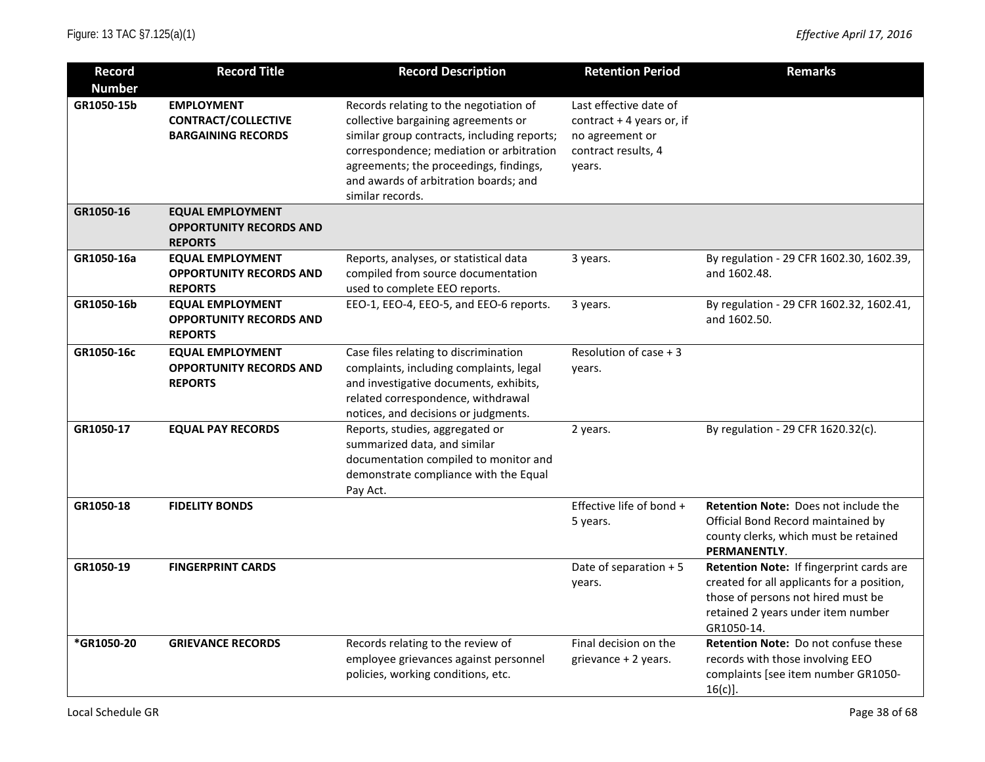| <b>Record</b> | <b>Record Title</b>            | <b>Record Description</b>                   | <b>Retention Period</b>   | <b>Remarks</b>                              |
|---------------|--------------------------------|---------------------------------------------|---------------------------|---------------------------------------------|
| <b>Number</b> |                                |                                             |                           |                                             |
| GR1050-15b    | <b>EMPLOYMENT</b>              | Records relating to the negotiation of      | Last effective date of    |                                             |
|               | <b>CONTRACT/COLLECTIVE</b>     | collective bargaining agreements or         | contract + 4 years or, if |                                             |
|               | <b>BARGAINING RECORDS</b>      | similar group contracts, including reports; | no agreement or           |                                             |
|               |                                | correspondence; mediation or arbitration    | contract results, 4       |                                             |
|               |                                | agreements; the proceedings, findings,      | years.                    |                                             |
|               |                                | and awards of arbitration boards; and       |                           |                                             |
|               |                                | similar records.                            |                           |                                             |
| GR1050-16     | <b>EQUAL EMPLOYMENT</b>        |                                             |                           |                                             |
|               | <b>OPPORTUNITY RECORDS AND</b> |                                             |                           |                                             |
|               | <b>REPORTS</b>                 |                                             |                           |                                             |
| GR1050-16a    | <b>EQUAL EMPLOYMENT</b>        | Reports, analyses, or statistical data      | 3 years.                  | By regulation - 29 CFR 1602.30, 1602.39,    |
|               | <b>OPPORTUNITY RECORDS AND</b> | compiled from source documentation          |                           | and 1602.48.                                |
|               | <b>REPORTS</b>                 | used to complete EEO reports.               |                           |                                             |
| GR1050-16b    | <b>EQUAL EMPLOYMENT</b>        | EEO-1, EEO-4, EEO-5, and EEO-6 reports.     | 3 years.                  | By regulation - 29 CFR 1602.32, 1602.41,    |
|               | <b>OPPORTUNITY RECORDS AND</b> |                                             |                           | and 1602.50.                                |
|               | <b>REPORTS</b>                 |                                             |                           |                                             |
| GR1050-16c    | <b>EQUAL EMPLOYMENT</b>        | Case files relating to discrimination       | Resolution of case + 3    |                                             |
|               | <b>OPPORTUNITY RECORDS AND</b> | complaints, including complaints, legal     | years.                    |                                             |
|               | <b>REPORTS</b>                 | and investigative documents, exhibits,      |                           |                                             |
|               |                                | related correspondence, withdrawal          |                           |                                             |
|               |                                | notices, and decisions or judgments.        |                           |                                             |
| GR1050-17     | <b>EQUAL PAY RECORDS</b>       | Reports, studies, aggregated or             | 2 years.                  | By regulation - 29 CFR 1620.32(c).          |
|               |                                | summarized data, and similar                |                           |                                             |
|               |                                | documentation compiled to monitor and       |                           |                                             |
|               |                                | demonstrate compliance with the Equal       |                           |                                             |
|               |                                | Pay Act.                                    |                           |                                             |
| GR1050-18     | <b>FIDELITY BONDS</b>          |                                             | Effective life of bond +  | <b>Retention Note: Does not include the</b> |
|               |                                |                                             | 5 years.                  | Official Bond Record maintained by          |
|               |                                |                                             |                           | county clerks, which must be retained       |
|               |                                |                                             |                           | PERMANENTLY.                                |
| GR1050-19     | <b>FINGERPRINT CARDS</b>       |                                             | Date of separation + 5    | Retention Note: If fingerprint cards are    |
|               |                                |                                             | years.                    | created for all applicants for a position,  |
|               |                                |                                             |                           | those of persons not hired must be          |
|               |                                |                                             |                           | retained 2 years under item number          |
|               |                                |                                             |                           | GR1050-14.                                  |
| *GR1050-20    | <b>GRIEVANCE RECORDS</b>       | Records relating to the review of           | Final decision on the     | <b>Retention Note: Do not confuse these</b> |
|               |                                | employee grievances against personnel       | grievance + 2 years.      | records with those involving EEO            |
|               |                                | policies, working conditions, etc.          |                           | complaints [see item number GR1050-         |
|               |                                |                                             |                           | $16(c)$ ].                                  |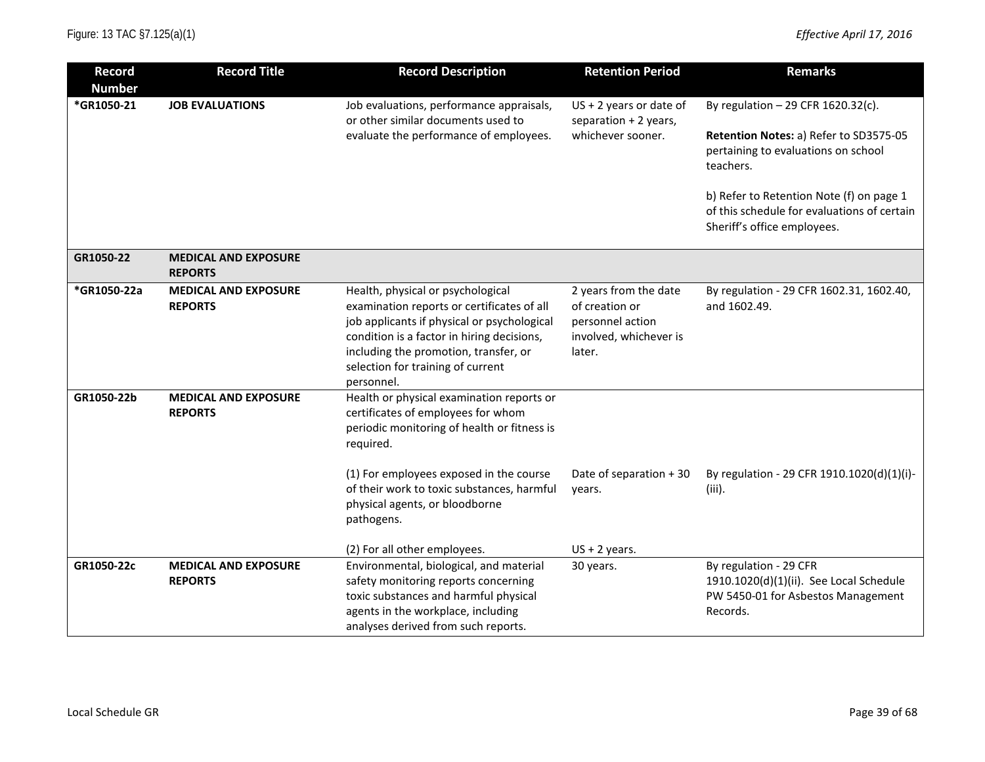| <b>Record</b> | <b>Record Title</b>                           | <b>Record Description</b>                                                                                                                                                                                                                                                | <b>Retention Period</b>                                                                         | <b>Remarks</b>                                                                                                                                                                |
|---------------|-----------------------------------------------|--------------------------------------------------------------------------------------------------------------------------------------------------------------------------------------------------------------------------------------------------------------------------|-------------------------------------------------------------------------------------------------|-------------------------------------------------------------------------------------------------------------------------------------------------------------------------------|
| <b>Number</b> |                                               |                                                                                                                                                                                                                                                                          |                                                                                                 |                                                                                                                                                                               |
| *GR1050-21    | <b>JOB EVALUATIONS</b>                        | Job evaluations, performance appraisals,<br>or other similar documents used to<br>evaluate the performance of employees.                                                                                                                                                 | $US + 2$ years or date of<br>separation + 2 years,<br>whichever sooner.                         | By regulation $-29$ CFR 1620.32(c).<br>Retention Notes: a) Refer to SD3575-05<br>pertaining to evaluations on school<br>teachers.<br>b) Refer to Retention Note (f) on page 1 |
|               |                                               |                                                                                                                                                                                                                                                                          |                                                                                                 | of this schedule for evaluations of certain<br>Sheriff's office employees.                                                                                                    |
| GR1050-22     | <b>MEDICAL AND EXPOSURE</b><br><b>REPORTS</b> |                                                                                                                                                                                                                                                                          |                                                                                                 |                                                                                                                                                                               |
| *GR1050-22a   | <b>MEDICAL AND EXPOSURE</b><br><b>REPORTS</b> | Health, physical or psychological<br>examination reports or certificates of all<br>job applicants if physical or psychological<br>condition is a factor in hiring decisions,<br>including the promotion, transfer, or<br>selection for training of current<br>personnel. | 2 years from the date<br>of creation or<br>personnel action<br>involved, whichever is<br>later. | By regulation - 29 CFR 1602.31, 1602.40,<br>and 1602.49.                                                                                                                      |
| GR1050-22b    | <b>MEDICAL AND EXPOSURE</b><br><b>REPORTS</b> | Health or physical examination reports or<br>certificates of employees for whom<br>periodic monitoring of health or fitness is<br>required.                                                                                                                              |                                                                                                 |                                                                                                                                                                               |
|               |                                               | (1) For employees exposed in the course<br>of their work to toxic substances, harmful<br>physical agents, or bloodborne<br>pathogens.                                                                                                                                    | Date of separation + 30<br>years.                                                               | By regulation - 29 CFR 1910.1020(d)(1)(i)-<br>(iii).                                                                                                                          |
|               |                                               | (2) For all other employees.                                                                                                                                                                                                                                             | $US + 2$ years.                                                                                 |                                                                                                                                                                               |
| GR1050-22c    | <b>MEDICAL AND EXPOSURE</b><br><b>REPORTS</b> | Environmental, biological, and material<br>safety monitoring reports concerning<br>toxic substances and harmful physical<br>agents in the workplace, including<br>analyses derived from such reports.                                                                    | 30 years.                                                                                       | By regulation - 29 CFR<br>1910.1020(d)(1)(ii). See Local Schedule<br>PW 5450-01 for Asbestos Management<br>Records.                                                           |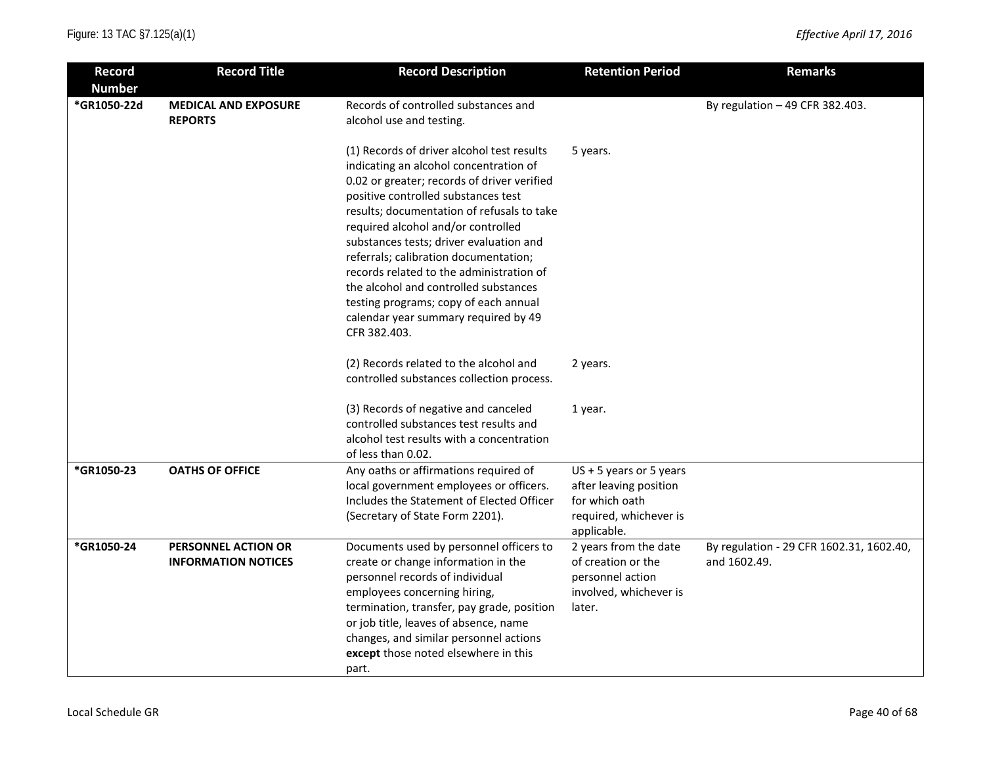| <b>Record</b>                | <b>Record Title</b>                               | <b>Record Description</b>                                                                                                                                                                                                                                                                                                                                                                                                                                                                                                                | <b>Retention Period</b>                                                                                        | <b>Remarks</b>                                           |
|------------------------------|---------------------------------------------------|------------------------------------------------------------------------------------------------------------------------------------------------------------------------------------------------------------------------------------------------------------------------------------------------------------------------------------------------------------------------------------------------------------------------------------------------------------------------------------------------------------------------------------------|----------------------------------------------------------------------------------------------------------------|----------------------------------------------------------|
| <b>Number</b><br>*GR1050-22d | <b>MEDICAL AND EXPOSURE</b><br><b>REPORTS</b>     | Records of controlled substances and<br>alcohol use and testing.                                                                                                                                                                                                                                                                                                                                                                                                                                                                         |                                                                                                                | By regulation $-49$ CFR 382.403.                         |
|                              |                                                   | (1) Records of driver alcohol test results<br>indicating an alcohol concentration of<br>0.02 or greater; records of driver verified<br>positive controlled substances test<br>results; documentation of refusals to take<br>required alcohol and/or controlled<br>substances tests; driver evaluation and<br>referrals; calibration documentation;<br>records related to the administration of<br>the alcohol and controlled substances<br>testing programs; copy of each annual<br>calendar year summary required by 49<br>CFR 382.403. | 5 years.                                                                                                       |                                                          |
|                              |                                                   | (2) Records related to the alcohol and<br>controlled substances collection process.                                                                                                                                                                                                                                                                                                                                                                                                                                                      | 2 years.                                                                                                       |                                                          |
|                              |                                                   | (3) Records of negative and canceled<br>controlled substances test results and<br>alcohol test results with a concentration<br>of less than 0.02.                                                                                                                                                                                                                                                                                                                                                                                        | 1 year.                                                                                                        |                                                          |
| *GR1050-23                   | <b>OATHS OF OFFICE</b>                            | Any oaths or affirmations required of<br>local government employees or officers.<br>Includes the Statement of Elected Officer<br>(Secretary of State Form 2201).                                                                                                                                                                                                                                                                                                                                                                         | $US + 5$ years or 5 years<br>after leaving position<br>for which oath<br>required, whichever is<br>applicable. |                                                          |
| *GR1050-24                   | PERSONNEL ACTION OR<br><b>INFORMATION NOTICES</b> | Documents used by personnel officers to<br>create or change information in the<br>personnel records of individual<br>employees concerning hiring,<br>termination, transfer, pay grade, position<br>or job title, leaves of absence, name<br>changes, and similar personnel actions<br>except those noted elsewhere in this<br>part.                                                                                                                                                                                                      | 2 years from the date<br>of creation or the<br>personnel action<br>involved, whichever is<br>later.            | By regulation - 29 CFR 1602.31, 1602.40,<br>and 1602.49. |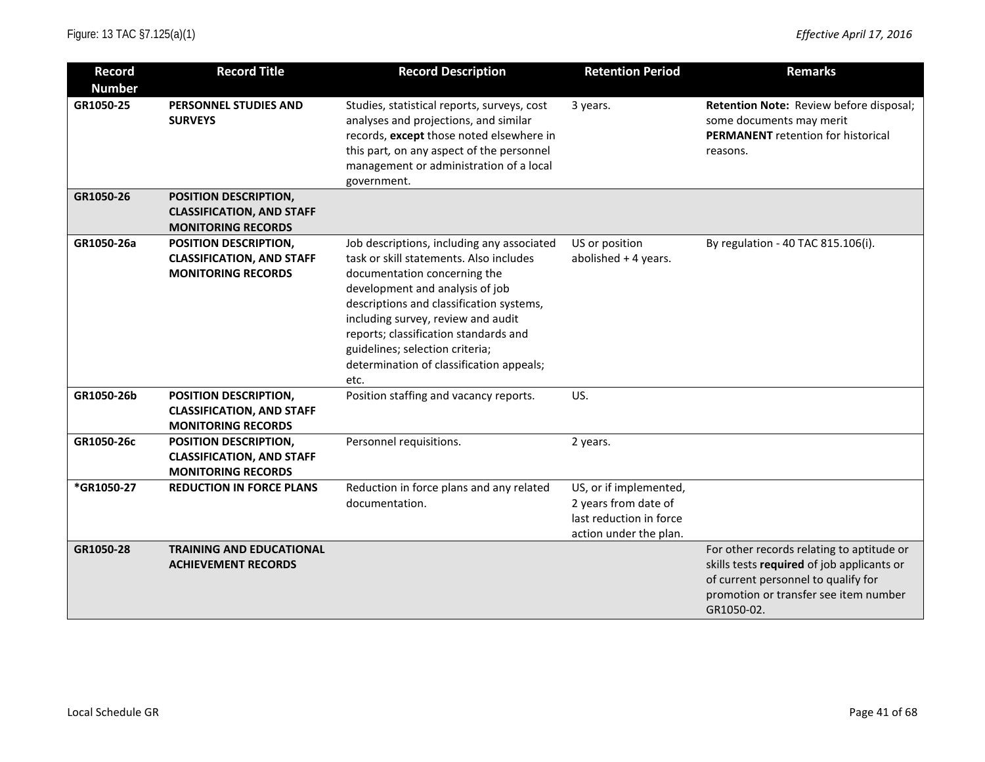| <b>Record</b> | <b>Record Title</b>                                                                    | <b>Record Description</b>                                                                                                                                                                                                                                                                                                                                                  | <b>Retention Period</b>                                                                             | <b>Remarks</b>                                                                                                                                                                        |
|---------------|----------------------------------------------------------------------------------------|----------------------------------------------------------------------------------------------------------------------------------------------------------------------------------------------------------------------------------------------------------------------------------------------------------------------------------------------------------------------------|-----------------------------------------------------------------------------------------------------|---------------------------------------------------------------------------------------------------------------------------------------------------------------------------------------|
| <b>Number</b> |                                                                                        |                                                                                                                                                                                                                                                                                                                                                                            |                                                                                                     |                                                                                                                                                                                       |
| GR1050-25     | <b>PERSONNEL STUDIES AND</b><br><b>SURVEYS</b>                                         | Studies, statistical reports, surveys, cost<br>analyses and projections, and similar<br>records, except those noted elsewhere in<br>this part, on any aspect of the personnel<br>management or administration of a local<br>government.                                                                                                                                    | 3 years.                                                                                            | Retention Note: Review before disposal;<br>some documents may merit<br><b>PERMANENT</b> retention for historical<br>reasons.                                                          |
| GR1050-26     | POSITION DESCRIPTION,<br><b>CLASSIFICATION, AND STAFF</b><br><b>MONITORING RECORDS</b> |                                                                                                                                                                                                                                                                                                                                                                            |                                                                                                     |                                                                                                                                                                                       |
| GR1050-26a    | POSITION DESCRIPTION,<br><b>CLASSIFICATION, AND STAFF</b><br><b>MONITORING RECORDS</b> | Job descriptions, including any associated<br>task or skill statements. Also includes<br>documentation concerning the<br>development and analysis of job<br>descriptions and classification systems,<br>including survey, review and audit<br>reports; classification standards and<br>guidelines; selection criteria;<br>determination of classification appeals;<br>etc. | US or position<br>abolished + 4 years.                                                              | By regulation - 40 TAC 815.106(i).                                                                                                                                                    |
| GR1050-26b    | POSITION DESCRIPTION,<br><b>CLASSIFICATION, AND STAFF</b><br><b>MONITORING RECORDS</b> | Position staffing and vacancy reports.                                                                                                                                                                                                                                                                                                                                     | US.                                                                                                 |                                                                                                                                                                                       |
| GR1050-26c    | POSITION DESCRIPTION,<br><b>CLASSIFICATION, AND STAFF</b><br><b>MONITORING RECORDS</b> | Personnel requisitions.                                                                                                                                                                                                                                                                                                                                                    | 2 years.                                                                                            |                                                                                                                                                                                       |
| *GR1050-27    | <b>REDUCTION IN FORCE PLANS</b>                                                        | Reduction in force plans and any related<br>documentation.                                                                                                                                                                                                                                                                                                                 | US, or if implemented,<br>2 years from date of<br>last reduction in force<br>action under the plan. |                                                                                                                                                                                       |
| GR1050-28     | <b>TRAINING AND EDUCATIONAL</b><br><b>ACHIEVEMENT RECORDS</b>                          |                                                                                                                                                                                                                                                                                                                                                                            |                                                                                                     | For other records relating to aptitude or<br>skills tests required of job applicants or<br>of current personnel to qualify for<br>promotion or transfer see item number<br>GR1050-02. |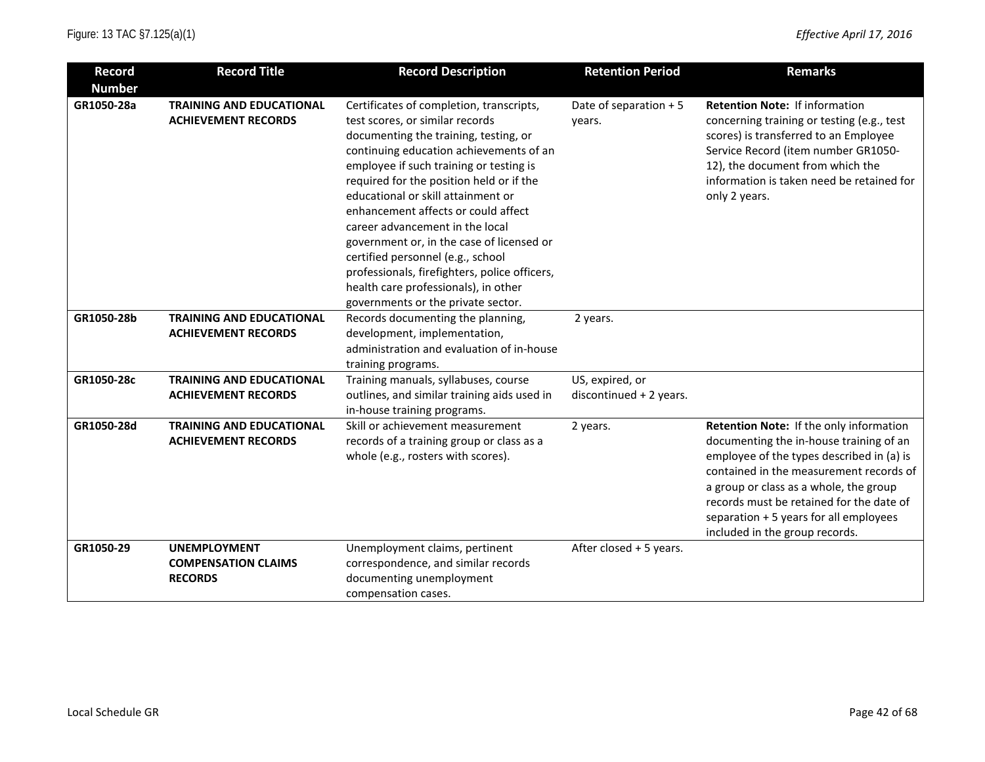| <b>Record</b> | <b>Record Title</b>                                                 | <b>Record Description</b>                                                                                                                                                                                                                                                                                                                                                                                                                                                                                                                                                               | <b>Retention Period</b>                    | <b>Remarks</b>                                                                                                                                                                                                                                                                                                                               |
|---------------|---------------------------------------------------------------------|-----------------------------------------------------------------------------------------------------------------------------------------------------------------------------------------------------------------------------------------------------------------------------------------------------------------------------------------------------------------------------------------------------------------------------------------------------------------------------------------------------------------------------------------------------------------------------------------|--------------------------------------------|----------------------------------------------------------------------------------------------------------------------------------------------------------------------------------------------------------------------------------------------------------------------------------------------------------------------------------------------|
| <b>Number</b> |                                                                     |                                                                                                                                                                                                                                                                                                                                                                                                                                                                                                                                                                                         |                                            |                                                                                                                                                                                                                                                                                                                                              |
| GR1050-28a    | <b>TRAINING AND EDUCATIONAL</b><br><b>ACHIEVEMENT RECORDS</b>       | Certificates of completion, transcripts,<br>test scores, or similar records<br>documenting the training, testing, or<br>continuing education achievements of an<br>employee if such training or testing is<br>required for the position held or if the<br>educational or skill attainment or<br>enhancement affects or could affect<br>career advancement in the local<br>government or, in the case of licensed or<br>certified personnel (e.g., school<br>professionals, firefighters, police officers,<br>health care professionals), in other<br>governments or the private sector. | Date of separation + 5<br>years.           | <b>Retention Note: If information</b><br>concerning training or testing (e.g., test<br>scores) is transferred to an Employee<br>Service Record (item number GR1050-<br>12), the document from which the<br>information is taken need be retained for<br>only 2 years.                                                                        |
| GR1050-28b    | <b>TRAINING AND EDUCATIONAL</b><br><b>ACHIEVEMENT RECORDS</b>       | Records documenting the planning,<br>development, implementation,<br>administration and evaluation of in-house<br>training programs.                                                                                                                                                                                                                                                                                                                                                                                                                                                    | 2 years.                                   |                                                                                                                                                                                                                                                                                                                                              |
| GR1050-28c    | <b>TRAINING AND EDUCATIONAL</b><br><b>ACHIEVEMENT RECORDS</b>       | Training manuals, syllabuses, course<br>outlines, and similar training aids used in<br>in-house training programs.                                                                                                                                                                                                                                                                                                                                                                                                                                                                      | US, expired, or<br>discontinued + 2 years. |                                                                                                                                                                                                                                                                                                                                              |
| GR1050-28d    | <b>TRAINING AND EDUCATIONAL</b><br><b>ACHIEVEMENT RECORDS</b>       | Skill or achievement measurement<br>records of a training group or class as a<br>whole (e.g., rosters with scores).                                                                                                                                                                                                                                                                                                                                                                                                                                                                     | 2 years.                                   | Retention Note: If the only information<br>documenting the in-house training of an<br>employee of the types described in (a) is<br>contained in the measurement records of<br>a group or class as a whole, the group<br>records must be retained for the date of<br>separation + 5 years for all employees<br>included in the group records. |
| GR1050-29     | <b>UNEMPLOYMENT</b><br><b>COMPENSATION CLAIMS</b><br><b>RECORDS</b> | Unemployment claims, pertinent<br>correspondence, and similar records<br>documenting unemployment<br>compensation cases.                                                                                                                                                                                                                                                                                                                                                                                                                                                                | After closed + 5 years.                    |                                                                                                                                                                                                                                                                                                                                              |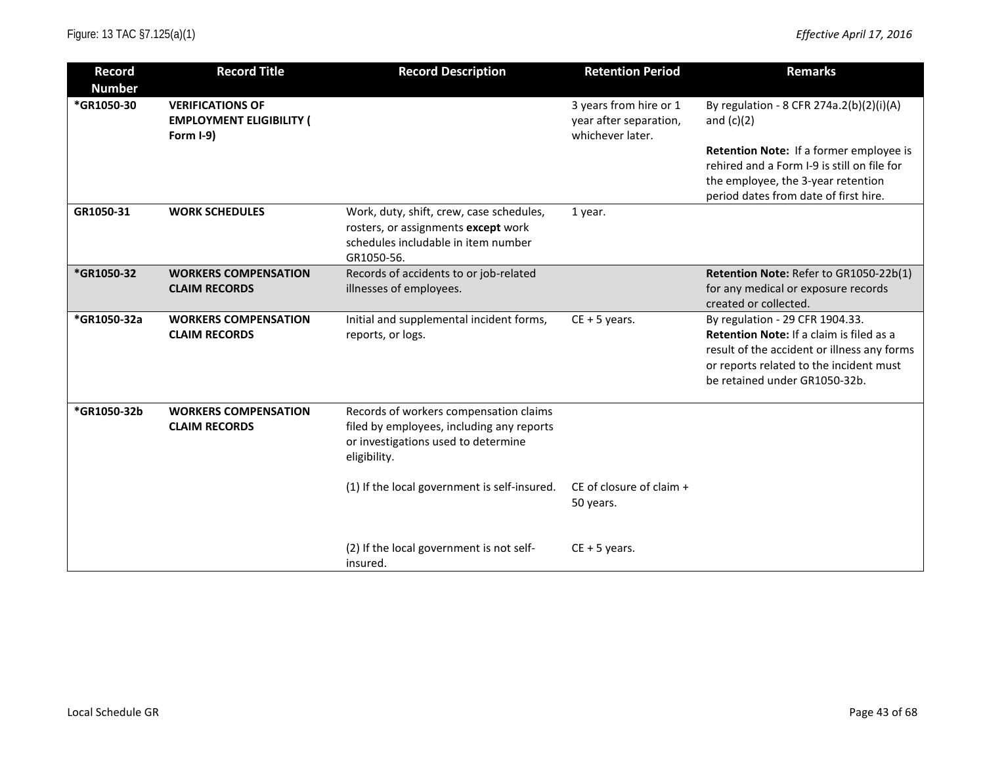| <b>Record</b><br><b>Number</b> | <b>Record Title</b>                                                     | <b>Record Description</b>                                                                                                                  | <b>Retention Period</b>                                              | <b>Remarks</b>                                                                                                                                                                                         |
|--------------------------------|-------------------------------------------------------------------------|--------------------------------------------------------------------------------------------------------------------------------------------|----------------------------------------------------------------------|--------------------------------------------------------------------------------------------------------------------------------------------------------------------------------------------------------|
| *GR1050-30                     | <b>VERIFICATIONS OF</b><br><b>EMPLOYMENT ELIGIBILITY (</b><br>Form I-9) |                                                                                                                                            | 3 years from hire or 1<br>year after separation,<br>whichever later. | By regulation - 8 CFR 274a.2(b)(2)(i)(A)<br>and $(c)(2)$                                                                                                                                               |
|                                |                                                                         |                                                                                                                                            |                                                                      | Retention Note: If a former employee is<br>rehired and a Form I-9 is still on file for<br>the employee, the 3-year retention<br>period dates from date of first hire.                                  |
| GR1050-31                      | <b>WORK SCHEDULES</b>                                                   | Work, duty, shift, crew, case schedules,<br>rosters, or assignments except work<br>schedules includable in item number<br>GR1050-56.       | 1 year.                                                              |                                                                                                                                                                                                        |
| *GR1050-32                     | <b>WORKERS COMPENSATION</b><br><b>CLAIM RECORDS</b>                     | Records of accidents to or job-related<br>illnesses of employees.                                                                          |                                                                      | Retention Note: Refer to GR1050-22b(1)<br>for any medical or exposure records<br>created or collected.                                                                                                 |
| *GR1050-32a                    | <b>WORKERS COMPENSATION</b><br><b>CLAIM RECORDS</b>                     | Initial and supplemental incident forms,<br>reports, or logs.                                                                              | $CE + 5$ years.                                                      | By regulation - 29 CFR 1904.33.<br>Retention Note: If a claim is filed as a<br>result of the accident or illness any forms<br>or reports related to the incident must<br>be retained under GR1050-32b. |
| *GR1050-32b                    | <b>WORKERS COMPENSATION</b><br><b>CLAIM RECORDS</b>                     | Records of workers compensation claims<br>filed by employees, including any reports<br>or investigations used to determine<br>eligibility. |                                                                      |                                                                                                                                                                                                        |
|                                |                                                                         | (1) If the local government is self-insured.                                                                                               | CE of closure of claim $+$<br>50 years.                              |                                                                                                                                                                                                        |
|                                |                                                                         | (2) If the local government is not self-<br>insured.                                                                                       | $CE + 5$ years.                                                      |                                                                                                                                                                                                        |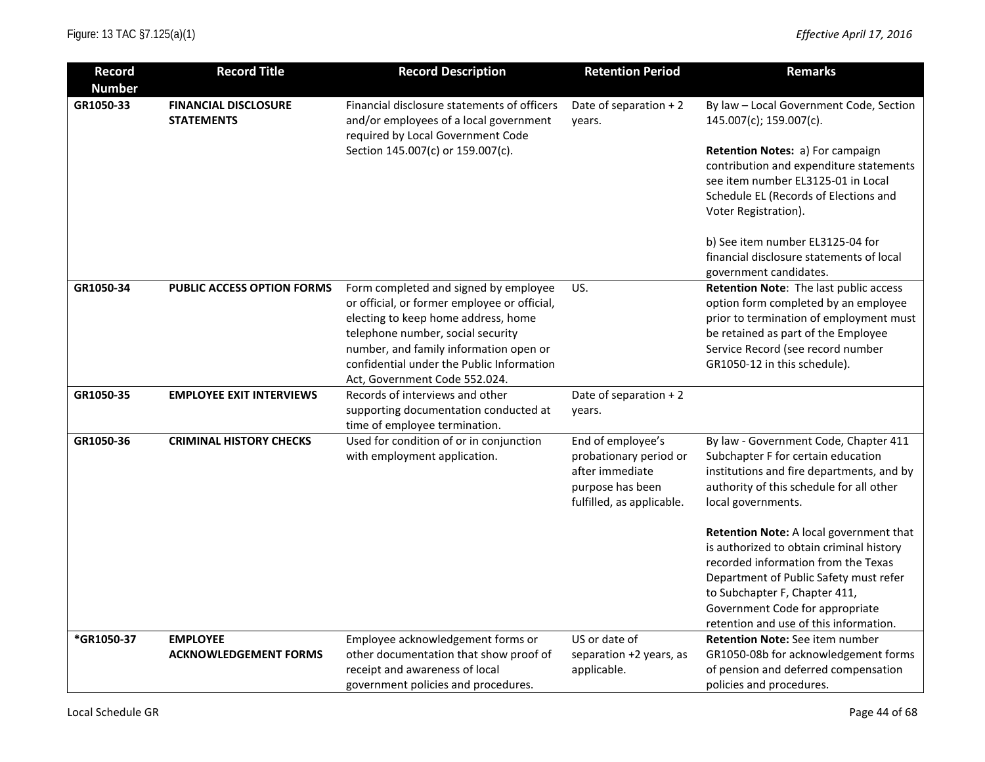| <b>Record</b> | <b>Record Title</b>                              | <b>Record Description</b>                                                                                                                                                                                                                                                                 | <b>Retention Period</b>                                                                                         | <b>Remarks</b>                                                                                                                                                                                                                                           |
|---------------|--------------------------------------------------|-------------------------------------------------------------------------------------------------------------------------------------------------------------------------------------------------------------------------------------------------------------------------------------------|-----------------------------------------------------------------------------------------------------------------|----------------------------------------------------------------------------------------------------------------------------------------------------------------------------------------------------------------------------------------------------------|
| <b>Number</b> |                                                  |                                                                                                                                                                                                                                                                                           |                                                                                                                 |                                                                                                                                                                                                                                                          |
| GR1050-33     | <b>FINANCIAL DISCLOSURE</b><br><b>STATEMENTS</b> | Financial disclosure statements of officers<br>and/or employees of a local government<br>required by Local Government Code<br>Section 145.007(c) or 159.007(c).                                                                                                                           | Date of separation + 2<br>years.                                                                                | By law - Local Government Code, Section<br>145.007(c); 159.007(c).<br>Retention Notes: a) For campaign<br>contribution and expenditure statements<br>see item number EL3125-01 in Local<br>Schedule EL (Records of Elections and<br>Voter Registration). |
|               |                                                  |                                                                                                                                                                                                                                                                                           |                                                                                                                 | b) See item number EL3125-04 for<br>financial disclosure statements of local<br>government candidates.                                                                                                                                                   |
| GR1050-34     | <b>PUBLIC ACCESS OPTION FORMS</b>                | Form completed and signed by employee<br>or official, or former employee or official,<br>electing to keep home address, home<br>telephone number, social security<br>number, and family information open or<br>confidential under the Public Information<br>Act, Government Code 552.024. | US.                                                                                                             | Retention Note: The last public access<br>option form completed by an employee<br>prior to termination of employment must<br>be retained as part of the Employee<br>Service Record (see record number<br>GR1050-12 in this schedule).                    |
| GR1050-35     | <b>EMPLOYEE EXIT INTERVIEWS</b>                  | Records of interviews and other<br>supporting documentation conducted at<br>time of employee termination.                                                                                                                                                                                 | Date of separation + 2<br>years.                                                                                |                                                                                                                                                                                                                                                          |
| GR1050-36     | <b>CRIMINAL HISTORY CHECKS</b>                   | Used for condition of or in conjunction<br>with employment application.                                                                                                                                                                                                                   | End of employee's<br>probationary period or<br>after immediate<br>purpose has been<br>fulfilled, as applicable. | By law - Government Code, Chapter 411<br>Subchapter F for certain education<br>institutions and fire departments, and by<br>authority of this schedule for all other<br>local governments.<br>Retention Note: A local government that                    |
|               |                                                  |                                                                                                                                                                                                                                                                                           |                                                                                                                 | is authorized to obtain criminal history<br>recorded information from the Texas<br>Department of Public Safety must refer<br>to Subchapter F, Chapter 411,<br>Government Code for appropriate<br>retention and use of this information.                  |
| *GR1050-37    | <b>EMPLOYEE</b><br><b>ACKNOWLEDGEMENT FORMS</b>  | Employee acknowledgement forms or<br>other documentation that show proof of<br>receipt and awareness of local<br>government policies and procedures.                                                                                                                                      | US or date of<br>separation +2 years, as<br>applicable.                                                         | <b>Retention Note:</b> See item number<br>GR1050-08b for acknowledgement forms<br>of pension and deferred compensation<br>policies and procedures.                                                                                                       |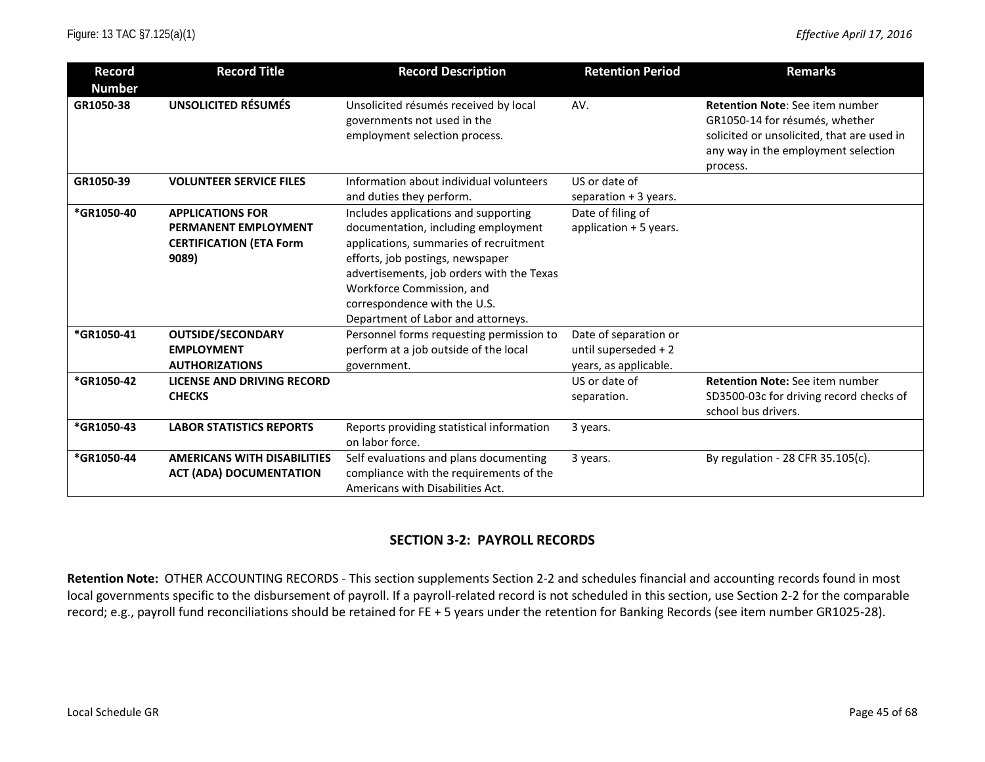| <b>Record</b> | <b>Record Title</b>                                                                        | <b>Record Description</b>                                                                                                                                                                                                                                                                                 | <b>Retention Period</b>                                                | <b>Remarks</b>                                                                                                                                                            |
|---------------|--------------------------------------------------------------------------------------------|-----------------------------------------------------------------------------------------------------------------------------------------------------------------------------------------------------------------------------------------------------------------------------------------------------------|------------------------------------------------------------------------|---------------------------------------------------------------------------------------------------------------------------------------------------------------------------|
| <b>Number</b> |                                                                                            |                                                                                                                                                                                                                                                                                                           |                                                                        |                                                                                                                                                                           |
| GR1050-38     | <b>UNSOLICITED RÉSUMÉS</b>                                                                 | Unsolicited résumés received by local<br>governments not used in the<br>employment selection process.                                                                                                                                                                                                     | AV.                                                                    | <b>Retention Note:</b> See item number<br>GR1050-14 for résumés, whether<br>solicited or unsolicited, that are used in<br>any way in the employment selection<br>process. |
| GR1050-39     | <b>VOLUNTEER SERVICE FILES</b>                                                             | Information about individual volunteers<br>and duties they perform.                                                                                                                                                                                                                                       | US or date of<br>separation $+3$ years.                                |                                                                                                                                                                           |
| *GR1050-40    | <b>APPLICATIONS FOR</b><br>PERMANENT EMPLOYMENT<br><b>CERTIFICATION (ETA Form</b><br>9089) | Includes applications and supporting<br>documentation, including employment<br>applications, summaries of recruitment<br>efforts, job postings, newspaper<br>advertisements, job orders with the Texas<br>Workforce Commission, and<br>correspondence with the U.S.<br>Department of Labor and attorneys. | Date of filing of<br>application + 5 years.                            |                                                                                                                                                                           |
| *GR1050-41    | <b>OUTSIDE/SECONDARY</b><br><b>EMPLOYMENT</b><br><b>AUTHORIZATIONS</b>                     | Personnel forms requesting permission to<br>perform at a job outside of the local<br>government.                                                                                                                                                                                                          | Date of separation or<br>until superseded + 2<br>years, as applicable. |                                                                                                                                                                           |
| *GR1050-42    | <b>LICENSE AND DRIVING RECORD</b><br><b>CHECKS</b>                                         |                                                                                                                                                                                                                                                                                                           | US or date of<br>separation.                                           | <b>Retention Note:</b> See item number<br>SD3500-03c for driving record checks of<br>school bus drivers.                                                                  |
| *GR1050-43    | <b>LABOR STATISTICS REPORTS</b>                                                            | Reports providing statistical information<br>on labor force.                                                                                                                                                                                                                                              | 3 years.                                                               |                                                                                                                                                                           |
| *GR1050-44    | <b>AMERICANS WITH DISABILITIES</b><br><b>ACT (ADA) DOCUMENTATION</b>                       | Self evaluations and plans documenting<br>compliance with the requirements of the<br>Americans with Disabilities Act.                                                                                                                                                                                     | 3 years.                                                               | By regulation - 28 CFR 35.105(c).                                                                                                                                         |

## **SECTION 3-2: PAYROLL RECORDS**

Retention Note: OTHER ACCOUNTING RECORDS - This section supplements Section 2-2 and schedules financial and accounting records found in most local governments specific to the disbursement of payroll. If a payroll-related record is not scheduled in this section, use Section 2-2 for the comparable record; e.g., payroll fund reconciliations should be retained for FE + 5 years under the retention for Banking Records (see item number GR1025-28).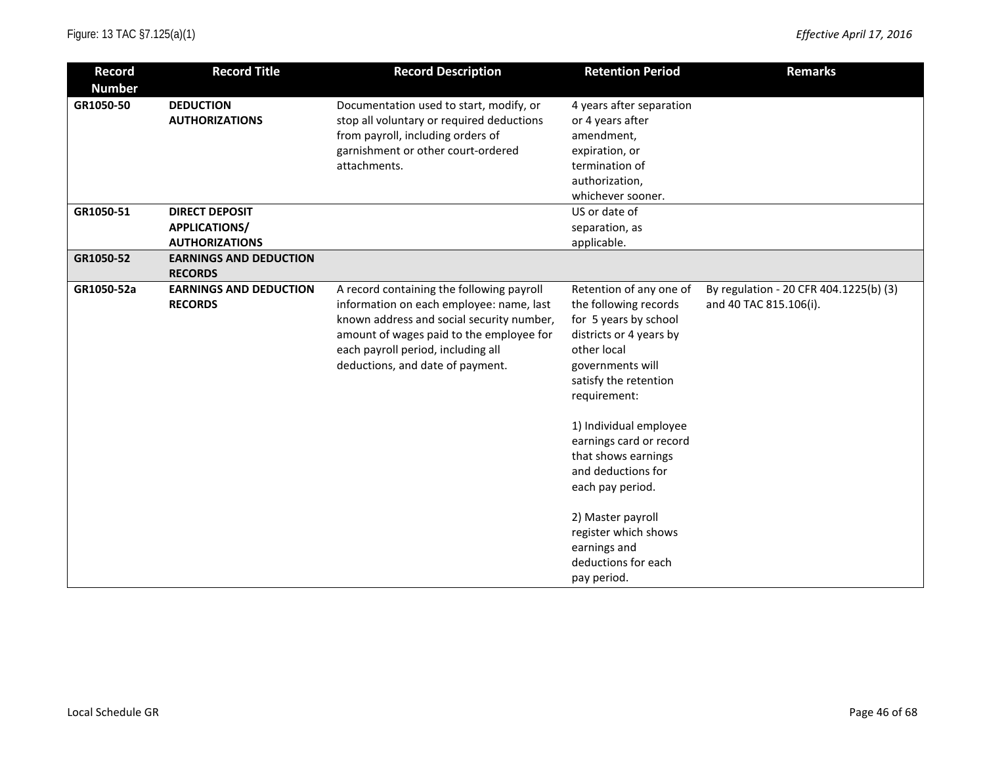| <b>Record</b><br><b>Number</b> | <b>Record Title</b>                                                      | <b>Record Description</b>                                                                                                                                                                                                                                | <b>Retention Period</b>                                                                                                                                                                                                                                                                                                                                                                                   | <b>Remarks</b>                                                   |
|--------------------------------|--------------------------------------------------------------------------|----------------------------------------------------------------------------------------------------------------------------------------------------------------------------------------------------------------------------------------------------------|-----------------------------------------------------------------------------------------------------------------------------------------------------------------------------------------------------------------------------------------------------------------------------------------------------------------------------------------------------------------------------------------------------------|------------------------------------------------------------------|
| GR1050-50                      | <b>DEDUCTION</b><br><b>AUTHORIZATIONS</b>                                | Documentation used to start, modify, or<br>stop all voluntary or required deductions<br>from payroll, including orders of<br>garnishment or other court-ordered<br>attachments.                                                                          | 4 years after separation<br>or 4 years after<br>amendment,<br>expiration, or<br>termination of<br>authorization,<br>whichever sooner.                                                                                                                                                                                                                                                                     |                                                                  |
| GR1050-51                      | <b>DIRECT DEPOSIT</b><br><b>APPLICATIONS/</b>                            |                                                                                                                                                                                                                                                          | US or date of<br>separation, as                                                                                                                                                                                                                                                                                                                                                                           |                                                                  |
| GR1050-52                      | <b>AUTHORIZATIONS</b><br><b>EARNINGS AND DEDUCTION</b><br><b>RECORDS</b> |                                                                                                                                                                                                                                                          | applicable.                                                                                                                                                                                                                                                                                                                                                                                               |                                                                  |
| GR1050-52a                     | <b>EARNINGS AND DEDUCTION</b><br><b>RECORDS</b>                          | A record containing the following payroll<br>information on each employee: name, last<br>known address and social security number,<br>amount of wages paid to the employee for<br>each payroll period, including all<br>deductions, and date of payment. | Retention of any one of<br>the following records<br>for 5 years by school<br>districts or 4 years by<br>other local<br>governments will<br>satisfy the retention<br>requirement:<br>1) Individual employee<br>earnings card or record<br>that shows earnings<br>and deductions for<br>each pay period.<br>2) Master payroll<br>register which shows<br>earnings and<br>deductions for each<br>pay period. | By regulation - 20 CFR 404.1225(b) (3)<br>and 40 TAC 815.106(i). |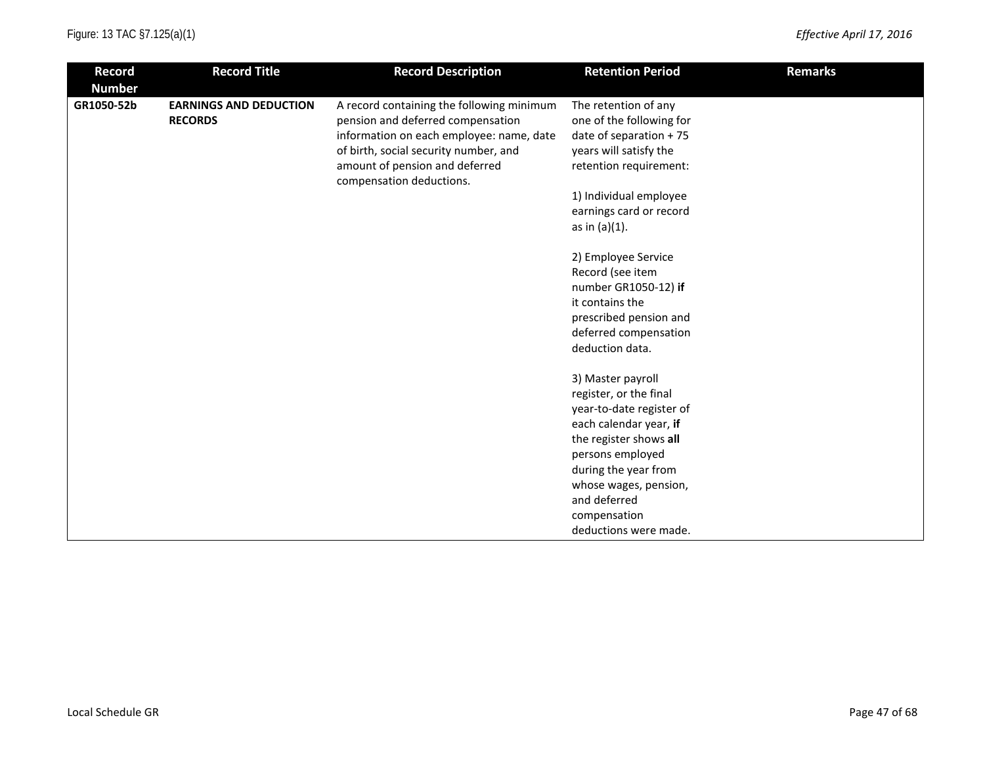| <b>Record</b>               | <b>Record Title</b>                             | <b>Record Description</b>                                                                                                  | <b>Retention Period</b>                                                     | <b>Remarks</b> |
|-----------------------------|-------------------------------------------------|----------------------------------------------------------------------------------------------------------------------------|-----------------------------------------------------------------------------|----------------|
| <b>Number</b><br>GR1050-52b | <b>EARNINGS AND DEDUCTION</b><br><b>RECORDS</b> | A record containing the following minimum<br>pension and deferred compensation<br>information on each employee: name, date | The retention of any<br>one of the following for<br>date of separation + 75 |                |
|                             |                                                 | of birth, social security number, and<br>amount of pension and deferred<br>compensation deductions.                        | years will satisfy the<br>retention requirement:                            |                |
|                             |                                                 |                                                                                                                            | 1) Individual employee<br>earnings card or record<br>as in $(a)(1)$ .       |                |
|                             |                                                 |                                                                                                                            | 2) Employee Service<br>Record (see item                                     |                |
|                             |                                                 |                                                                                                                            | number GR1050-12) if                                                        |                |
|                             |                                                 |                                                                                                                            | it contains the<br>prescribed pension and                                   |                |
|                             |                                                 |                                                                                                                            | deferred compensation<br>deduction data.                                    |                |
|                             |                                                 |                                                                                                                            | 3) Master payroll                                                           |                |
|                             |                                                 |                                                                                                                            | register, or the final<br>year-to-date register of                          |                |
|                             |                                                 |                                                                                                                            | each calendar year, if                                                      |                |
|                             |                                                 |                                                                                                                            | the register shows all                                                      |                |
|                             |                                                 |                                                                                                                            | persons employed<br>during the year from                                    |                |
|                             |                                                 |                                                                                                                            | whose wages, pension,                                                       |                |
|                             |                                                 |                                                                                                                            | and deferred                                                                |                |
|                             |                                                 |                                                                                                                            | compensation                                                                |                |
|                             |                                                 |                                                                                                                            | deductions were made.                                                       |                |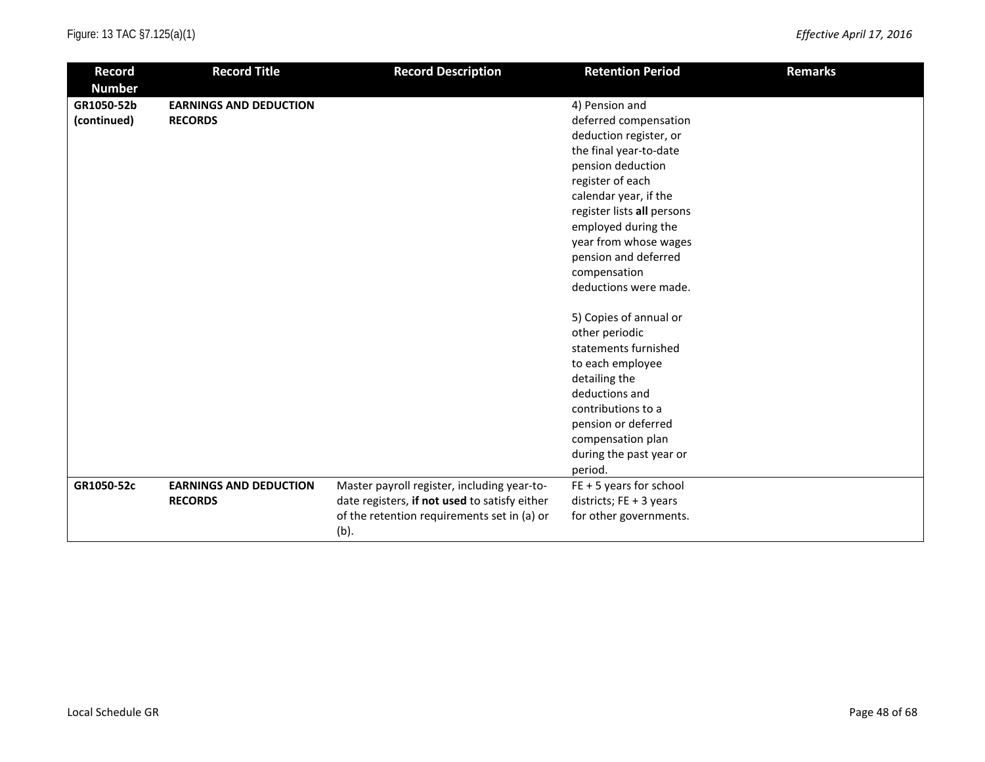| <b>Record</b>               | <b>Record Title</b>           | <b>Record Description</b>                           | <b>Retention Period</b>    | <b>Remarks</b> |
|-----------------------------|-------------------------------|-----------------------------------------------------|----------------------------|----------------|
| <b>Number</b><br>GR1050-52b | <b>EARNINGS AND DEDUCTION</b> |                                                     | 4) Pension and             |                |
| (continued)                 | <b>RECORDS</b>                |                                                     | deferred compensation      |                |
|                             |                               |                                                     | deduction register, or     |                |
|                             |                               |                                                     | the final year-to-date     |                |
|                             |                               |                                                     | pension deduction          |                |
|                             |                               |                                                     | register of each           |                |
|                             |                               |                                                     | calendar year, if the      |                |
|                             |                               |                                                     | register lists all persons |                |
|                             |                               |                                                     | employed during the        |                |
|                             |                               |                                                     | year from whose wages      |                |
|                             |                               |                                                     | pension and deferred       |                |
|                             |                               |                                                     | compensation               |                |
|                             |                               |                                                     | deductions were made.      |                |
|                             |                               |                                                     |                            |                |
|                             |                               |                                                     | 5) Copies of annual or     |                |
|                             |                               |                                                     | other periodic             |                |
|                             |                               |                                                     | statements furnished       |                |
|                             |                               |                                                     | to each employee           |                |
|                             |                               |                                                     | detailing the              |                |
|                             |                               |                                                     | deductions and             |                |
|                             |                               |                                                     | contributions to a         |                |
|                             |                               |                                                     | pension or deferred        |                |
|                             |                               |                                                     | compensation plan          |                |
|                             |                               |                                                     | during the past year or    |                |
|                             |                               |                                                     | period.                    |                |
| GR1050-52c                  | <b>EARNINGS AND DEDUCTION</b> | Master payroll register, including year-to-         | $FE + 5$ years for school  |                |
|                             | <b>RECORDS</b>                | date registers, if not used to satisfy either       | districts; FE + 3 years    |                |
|                             |                               | of the retention requirements set in (a) or<br>(b). | for other governments.     |                |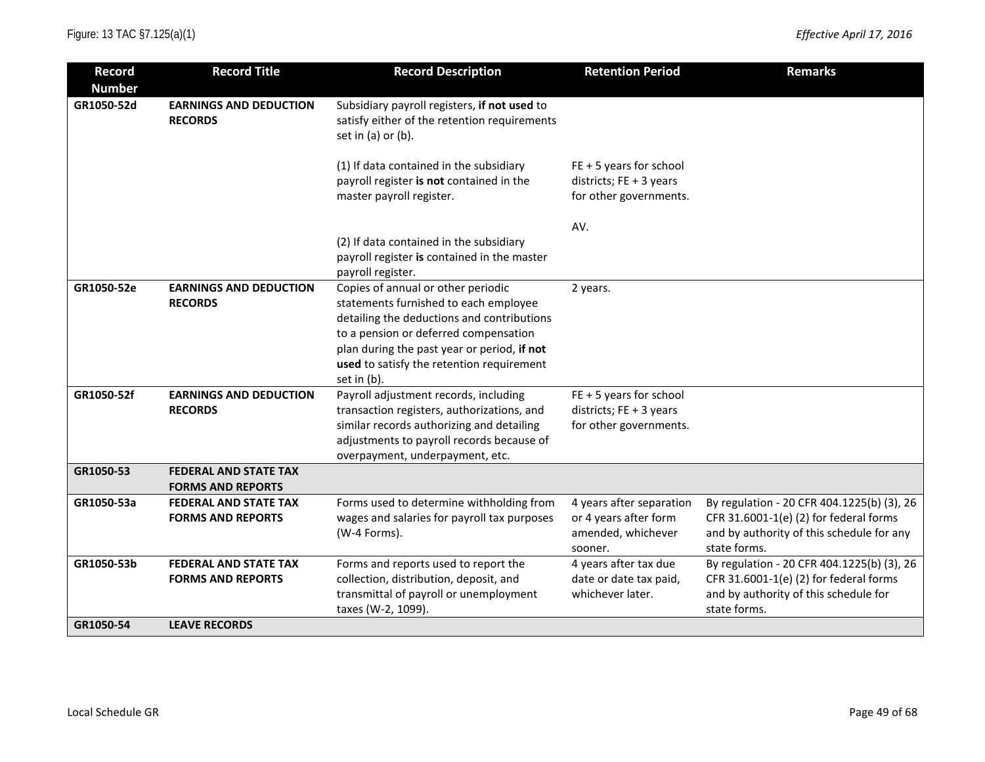| <b>Record</b>               | <b>Record Title</b>                                      | <b>Record Description</b>                                                                                                                                                                                                                                                     | <b>Retention Period</b>                                                            | <b>Remarks</b>                                                                                                                                    |
|-----------------------------|----------------------------------------------------------|-------------------------------------------------------------------------------------------------------------------------------------------------------------------------------------------------------------------------------------------------------------------------------|------------------------------------------------------------------------------------|---------------------------------------------------------------------------------------------------------------------------------------------------|
| <b>Number</b><br>GR1050-52d | <b>EARNINGS AND DEDUCTION</b><br><b>RECORDS</b>          | Subsidiary payroll registers, if not used to<br>satisfy either of the retention requirements<br>set in (a) or (b).                                                                                                                                                            |                                                                                    |                                                                                                                                                   |
|                             |                                                          | (1) If data contained in the subsidiary<br>payroll register is not contained in the<br>master payroll register.                                                                                                                                                               | $FE + 5$ years for school<br>districts; $FE + 3$ years<br>for other governments.   |                                                                                                                                                   |
|                             |                                                          | (2) If data contained in the subsidiary<br>payroll register is contained in the master<br>payroll register.                                                                                                                                                                   | AV.                                                                                |                                                                                                                                                   |
| GR1050-52e                  | <b>EARNINGS AND DEDUCTION</b><br><b>RECORDS</b>          | Copies of annual or other periodic<br>statements furnished to each employee<br>detailing the deductions and contributions<br>to a pension or deferred compensation<br>plan during the past year or period, if not<br>used to satisfy the retention requirement<br>set in (b). | 2 years.                                                                           |                                                                                                                                                   |
| GR1050-52f                  | <b>EARNINGS AND DEDUCTION</b><br><b>RECORDS</b>          | Payroll adjustment records, including<br>transaction registers, authorizations, and<br>similar records authorizing and detailing<br>adjustments to payroll records because of<br>overpayment, underpayment, etc.                                                              | $FE + 5$ years for school<br>districts; $FE + 3$ years<br>for other governments.   |                                                                                                                                                   |
| GR1050-53                   | <b>FEDERAL AND STATE TAX</b><br><b>FORMS AND REPORTS</b> |                                                                                                                                                                                                                                                                               |                                                                                    |                                                                                                                                                   |
| GR1050-53a                  | <b>FEDERAL AND STATE TAX</b><br><b>FORMS AND REPORTS</b> | Forms used to determine withholding from<br>wages and salaries for payroll tax purposes<br>(W-4 Forms).                                                                                                                                                                       | 4 years after separation<br>or 4 years after form<br>amended, whichever<br>sooner. | By regulation - 20 CFR 404.1225(b) (3), 26<br>CFR 31.6001-1(e) (2) for federal forms<br>and by authority of this schedule for any<br>state forms. |
| GR1050-53b                  | <b>FEDERAL AND STATE TAX</b><br><b>FORMS AND REPORTS</b> | Forms and reports used to report the<br>collection, distribution, deposit, and<br>transmittal of payroll or unemployment<br>taxes (W-2, 1099).                                                                                                                                | 4 years after tax due<br>date or date tax paid,<br>whichever later.                | By regulation - 20 CFR 404.1225(b) (3), 26<br>CFR 31.6001-1(e) (2) for federal forms<br>and by authority of this schedule for<br>state forms.     |
| GR1050-54                   | <b>LEAVE RECORDS</b>                                     |                                                                                                                                                                                                                                                                               |                                                                                    |                                                                                                                                                   |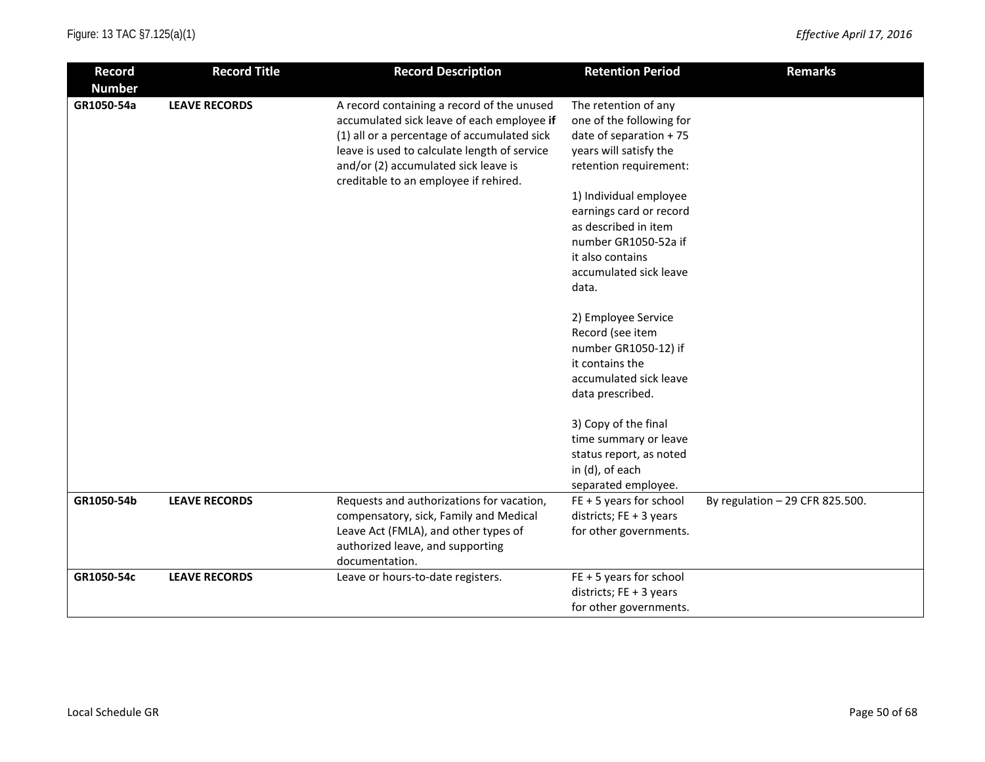| <b>Record</b> | <b>Record Title</b>  | <b>Record Description</b>                                                     | <b>Retention Period</b>   | <b>Remarks</b>                  |
|---------------|----------------------|-------------------------------------------------------------------------------|---------------------------|---------------------------------|
| <b>Number</b> |                      |                                                                               |                           |                                 |
| GR1050-54a    | <b>LEAVE RECORDS</b> | A record containing a record of the unused                                    | The retention of any      |                                 |
|               |                      | accumulated sick leave of each employee if                                    | one of the following for  |                                 |
|               |                      | (1) all or a percentage of accumulated sick                                   | date of separation + 75   |                                 |
|               |                      | leave is used to calculate length of service                                  | years will satisfy the    |                                 |
|               |                      | and/or (2) accumulated sick leave is<br>creditable to an employee if rehired. | retention requirement:    |                                 |
|               |                      |                                                                               | 1) Individual employee    |                                 |
|               |                      |                                                                               | earnings card or record   |                                 |
|               |                      |                                                                               | as described in item      |                                 |
|               |                      |                                                                               | number GR1050-52a if      |                                 |
|               |                      |                                                                               | it also contains          |                                 |
|               |                      |                                                                               | accumulated sick leave    |                                 |
|               |                      |                                                                               | data.                     |                                 |
|               |                      |                                                                               | 2) Employee Service       |                                 |
|               |                      |                                                                               | Record (see item          |                                 |
|               |                      |                                                                               | number GR1050-12) if      |                                 |
|               |                      |                                                                               | it contains the           |                                 |
|               |                      |                                                                               | accumulated sick leave    |                                 |
|               |                      |                                                                               | data prescribed.          |                                 |
|               |                      |                                                                               | 3) Copy of the final      |                                 |
|               |                      |                                                                               | time summary or leave     |                                 |
|               |                      |                                                                               | status report, as noted   |                                 |
|               |                      |                                                                               | in (d), of each           |                                 |
|               |                      |                                                                               | separated employee.       |                                 |
| GR1050-54b    | <b>LEAVE RECORDS</b> | Requests and authorizations for vacation,                                     | $FE + 5$ years for school | By regulation - 29 CFR 825.500. |
|               |                      | compensatory, sick, Family and Medical                                        | districts; FE + 3 years   |                                 |
|               |                      | Leave Act (FMLA), and other types of                                          | for other governments.    |                                 |
|               |                      | authorized leave, and supporting                                              |                           |                                 |
|               |                      | documentation.                                                                |                           |                                 |
| GR1050-54c    | <b>LEAVE RECORDS</b> | Leave or hours-to-date registers.                                             | $FE + 5$ years for school |                                 |
|               |                      |                                                                               | districts; FE + 3 years   |                                 |
|               |                      |                                                                               | for other governments.    |                                 |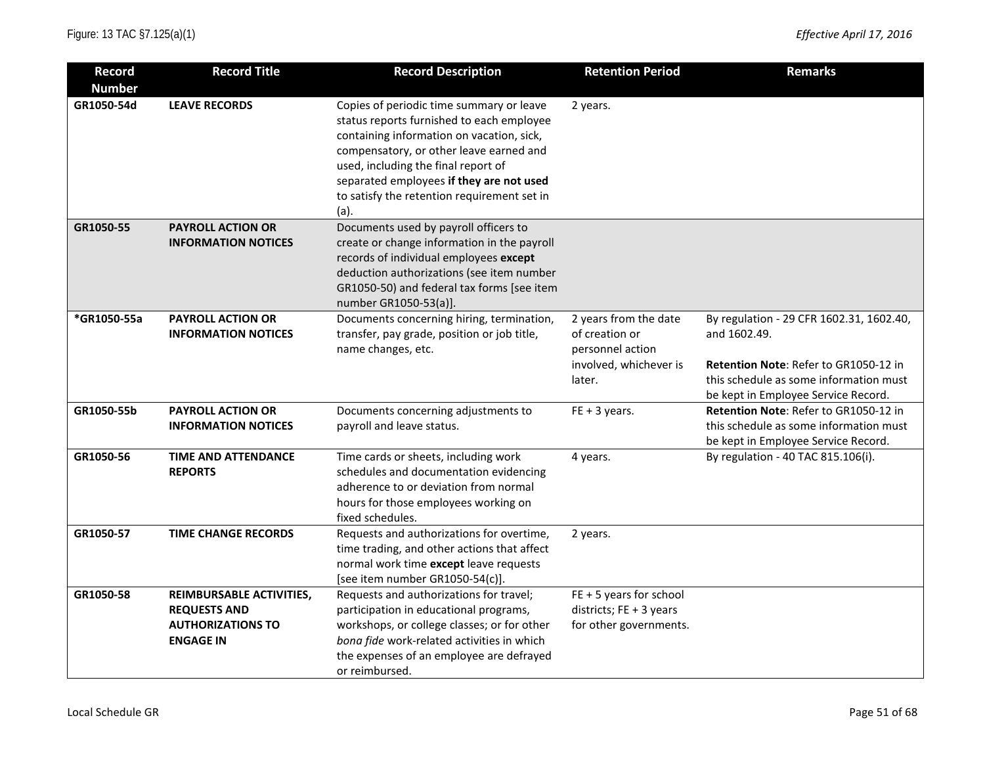| <b>Record</b> | <b>Record Title</b>                                                                             | <b>Record Description</b>                                                                                                                                                                                                                                                                                               | <b>Retention Period</b>                                                                         | <b>Remarks</b>                                                                                                                                                                     |
|---------------|-------------------------------------------------------------------------------------------------|-------------------------------------------------------------------------------------------------------------------------------------------------------------------------------------------------------------------------------------------------------------------------------------------------------------------------|-------------------------------------------------------------------------------------------------|------------------------------------------------------------------------------------------------------------------------------------------------------------------------------------|
| <b>Number</b> |                                                                                                 |                                                                                                                                                                                                                                                                                                                         |                                                                                                 |                                                                                                                                                                                    |
| GR1050-54d    | <b>LEAVE RECORDS</b>                                                                            | Copies of periodic time summary or leave<br>status reports furnished to each employee<br>containing information on vacation, sick,<br>compensatory, or other leave earned and<br>used, including the final report of<br>separated employees if they are not used<br>to satisfy the retention requirement set in<br>(a). | 2 years.                                                                                        |                                                                                                                                                                                    |
| GR1050-55     | <b>PAYROLL ACTION OR</b><br><b>INFORMATION NOTICES</b>                                          | Documents used by payroll officers to<br>create or change information in the payroll<br>records of individual employees except<br>deduction authorizations (see item number<br>GR1050-50) and federal tax forms [see item<br>number GR1050-53(a)].                                                                      |                                                                                                 |                                                                                                                                                                                    |
| *GR1050-55a   | <b>PAYROLL ACTION OR</b><br><b>INFORMATION NOTICES</b>                                          | Documents concerning hiring, termination,<br>transfer, pay grade, position or job title,<br>name changes, etc.                                                                                                                                                                                                          | 2 years from the date<br>of creation or<br>personnel action<br>involved, whichever is<br>later. | By regulation - 29 CFR 1602.31, 1602.40,<br>and 1602.49.<br>Retention Note: Refer to GR1050-12 in<br>this schedule as some information must<br>be kept in Employee Service Record. |
| GR1050-55b    | <b>PAYROLL ACTION OR</b><br><b>INFORMATION NOTICES</b>                                          | Documents concerning adjustments to<br>payroll and leave status.                                                                                                                                                                                                                                                        | $FE + 3 years.$                                                                                 | Retention Note: Refer to GR1050-12 in<br>this schedule as some information must<br>be kept in Employee Service Record.                                                             |
| GR1050-56     | <b>TIME AND ATTENDANCE</b><br><b>REPORTS</b>                                                    | Time cards or sheets, including work<br>schedules and documentation evidencing<br>adherence to or deviation from normal<br>hours for those employees working on<br>fixed schedules.                                                                                                                                     | 4 years.                                                                                        | By regulation - 40 TAC 815.106(i).                                                                                                                                                 |
| GR1050-57     | <b>TIME CHANGE RECORDS</b>                                                                      | Requests and authorizations for overtime,<br>time trading, and other actions that affect<br>normal work time except leave requests<br>[see item number GR1050-54(c)].                                                                                                                                                   | 2 years.                                                                                        |                                                                                                                                                                                    |
| GR1050-58     | REIMBURSABLE ACTIVITIES,<br><b>REQUESTS AND</b><br><b>AUTHORIZATIONS TO</b><br><b>ENGAGE IN</b> | Requests and authorizations for travel;<br>participation in educational programs,<br>workshops, or college classes; or for other<br>bona fide work-related activities in which<br>the expenses of an employee are defrayed<br>or reimbursed.                                                                            | $FE + 5$ years for school<br>districts; $FE + 3$ years<br>for other governments.                |                                                                                                                                                                                    |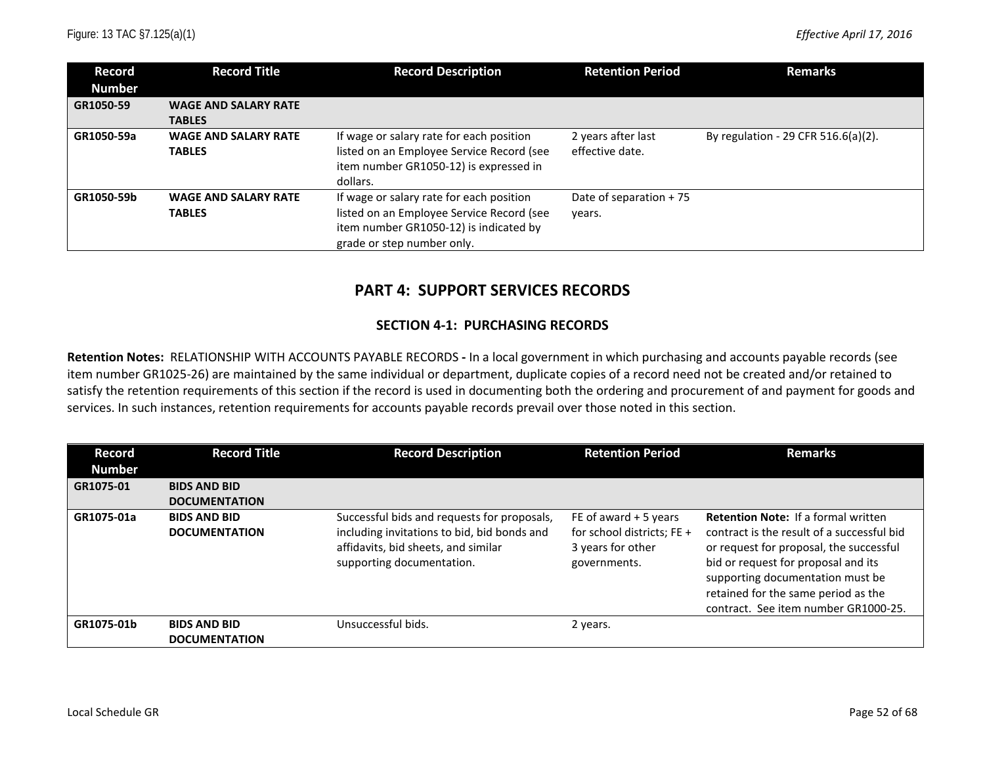| Record<br><b>Number</b> | <b>Record Title</b>                          | <b>Record Description</b>                                                                                                                                     | <b>Retention Period</b>               | <b>Remarks</b>                      |
|-------------------------|----------------------------------------------|---------------------------------------------------------------------------------------------------------------------------------------------------------------|---------------------------------------|-------------------------------------|
| GR1050-59               | <b>WAGE AND SALARY RATE</b><br><b>TABLES</b> |                                                                                                                                                               |                                       |                                     |
| GR1050-59a              | <b>WAGE AND SALARY RATE</b><br><b>TABLES</b> | If wage or salary rate for each position<br>listed on an Employee Service Record (see<br>item number GR1050-12) is expressed in<br>dollars.                   | 2 years after last<br>effective date. | By regulation - 29 CFR 516.6(a)(2). |
| GR1050-59b              | <b>WAGE AND SALARY RATE</b><br><b>TABLES</b> | If wage or salary rate for each position<br>listed on an Employee Service Record (see<br>item number GR1050-12) is indicated by<br>grade or step number only. | Date of separation $+75$<br>years.    |                                     |

# **PART 4: SUPPORT SERVICES RECORDS**

#### **SECTION 4-1: PURCHASING RECORDS**

**Retention Notes:** RELATIONSHIP WITH ACCOUNTS PAYABLE RECORDS **-** In a local government in which purchasing and accounts payable records (see item number GR1025-26) are maintained by the same individual or department, duplicate copies of a record need not be created and/or retained to satisfy the retention requirements of this section if the record is used in documenting both the ordering and procurement of and payment for goods and services. In such instances, retention requirements for accounts payable records prevail over those noted in this section.

| Record<br><b>Number</b> | <b>Record Title</b>                         | <b>Record Description</b>                                                                                                                                      | <b>Retention Period</b>                                                                   | <b>Remarks</b>                                                                                                                                                                                                                                                                                |
|-------------------------|---------------------------------------------|----------------------------------------------------------------------------------------------------------------------------------------------------------------|-------------------------------------------------------------------------------------------|-----------------------------------------------------------------------------------------------------------------------------------------------------------------------------------------------------------------------------------------------------------------------------------------------|
| GR1075-01               | <b>BIDS AND BID</b><br><b>DOCUMENTATION</b> |                                                                                                                                                                |                                                                                           |                                                                                                                                                                                                                                                                                               |
| GR1075-01a              | <b>BIDS AND BID</b><br><b>DOCUMENTATION</b> | Successful bids and requests for proposals,<br>including invitations to bid, bid bonds and<br>affidavits, bid sheets, and similar<br>supporting documentation. | FE of award $+5$ years<br>for school districts; FE +<br>3 years for other<br>governments. | <b>Retention Note: If a formal written</b><br>contract is the result of a successful bid<br>or request for proposal, the successful<br>bid or request for proposal and its<br>supporting documentation must be<br>retained for the same period as the<br>contract. See item number GR1000-25. |
| GR1075-01b              | <b>BIDS AND BID</b><br><b>DOCUMENTATION</b> | Unsuccessful bids.                                                                                                                                             | 2 years.                                                                                  |                                                                                                                                                                                                                                                                                               |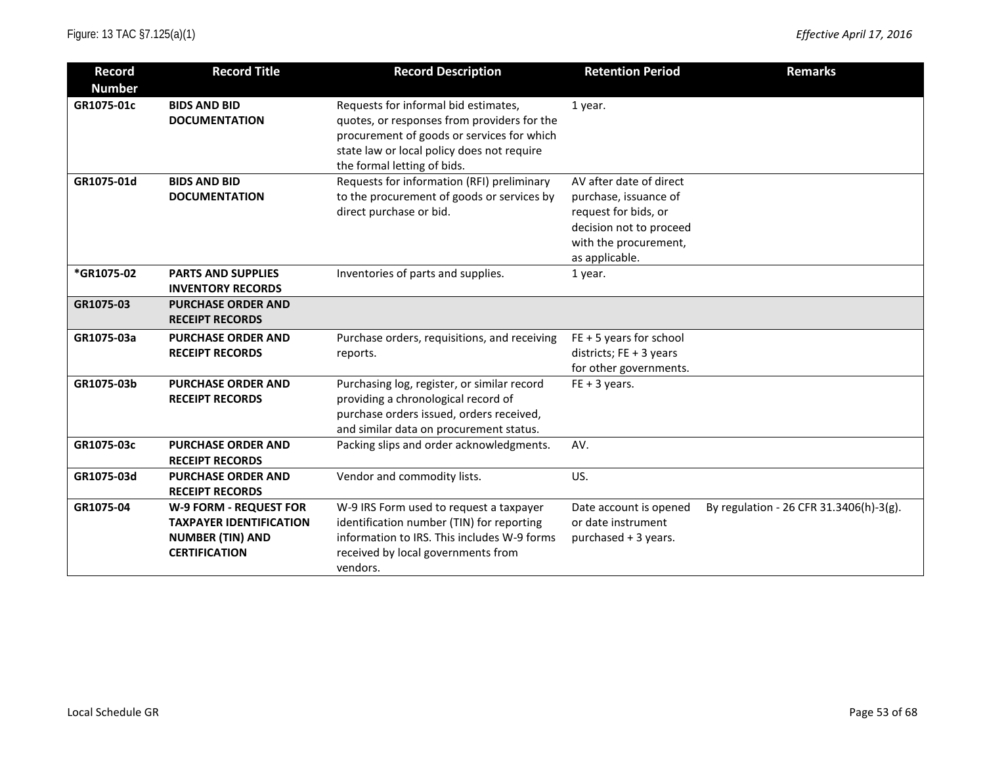| Record        | <b>Record Title</b>            | <b>Record Description</b>                    | <b>Retention Period</b>   | <b>Remarks</b>                          |
|---------------|--------------------------------|----------------------------------------------|---------------------------|-----------------------------------------|
| <b>Number</b> |                                |                                              |                           |                                         |
| GR1075-01c    | <b>BIDS AND BID</b>            | Requests for informal bid estimates,         | 1 year.                   |                                         |
|               | <b>DOCUMENTATION</b>           | quotes, or responses from providers for the  |                           |                                         |
|               |                                | procurement of goods or services for which   |                           |                                         |
|               |                                | state law or local policy does not require   |                           |                                         |
|               |                                | the formal letting of bids.                  |                           |                                         |
| GR1075-01d    | <b>BIDS AND BID</b>            | Requests for information (RFI) preliminary   | AV after date of direct   |                                         |
|               | <b>DOCUMENTATION</b>           | to the procurement of goods or services by   | purchase, issuance of     |                                         |
|               |                                | direct purchase or bid.                      | request for bids, or      |                                         |
|               |                                |                                              | decision not to proceed   |                                         |
|               |                                |                                              | with the procurement,     |                                         |
|               |                                |                                              | as applicable.            |                                         |
| *GR1075-02    | <b>PARTS AND SUPPLIES</b>      | Inventories of parts and supplies.           | 1 year.                   |                                         |
|               | <b>INVENTORY RECORDS</b>       |                                              |                           |                                         |
| GR1075-03     | <b>PURCHASE ORDER AND</b>      |                                              |                           |                                         |
|               | <b>RECEIPT RECORDS</b>         |                                              |                           |                                         |
| GR1075-03a    | <b>PURCHASE ORDER AND</b>      | Purchase orders, requisitions, and receiving | $FE + 5$ years for school |                                         |
|               | <b>RECEIPT RECORDS</b>         | reports.                                     | districts; $FE + 3$ years |                                         |
|               |                                |                                              | for other governments.    |                                         |
| GR1075-03b    | <b>PURCHASE ORDER AND</b>      | Purchasing log, register, or similar record  | $FE + 3 years.$           |                                         |
|               | <b>RECEIPT RECORDS</b>         | providing a chronological record of          |                           |                                         |
|               |                                | purchase orders issued, orders received,     |                           |                                         |
|               |                                | and similar data on procurement status.      |                           |                                         |
| GR1075-03c    | <b>PURCHASE ORDER AND</b>      | Packing slips and order acknowledgments.     | AV.                       |                                         |
|               | <b>RECEIPT RECORDS</b>         |                                              |                           |                                         |
| GR1075-03d    | <b>PURCHASE ORDER AND</b>      | Vendor and commodity lists.                  | US.                       |                                         |
|               | <b>RECEIPT RECORDS</b>         |                                              |                           |                                         |
| GR1075-04     | W-9 FORM - REQUEST FOR         | W-9 IRS Form used to request a taxpayer      | Date account is opened    | By regulation - 26 CFR 31.3406(h)-3(g). |
|               | <b>TAXPAYER IDENTIFICATION</b> | identification number (TIN) for reporting    | or date instrument        |                                         |
|               | <b>NUMBER (TIN) AND</b>        | information to IRS. This includes W-9 forms  | purchased + 3 years.      |                                         |
|               | <b>CERTIFICATION</b>           | received by local governments from           |                           |                                         |
|               |                                | vendors.                                     |                           |                                         |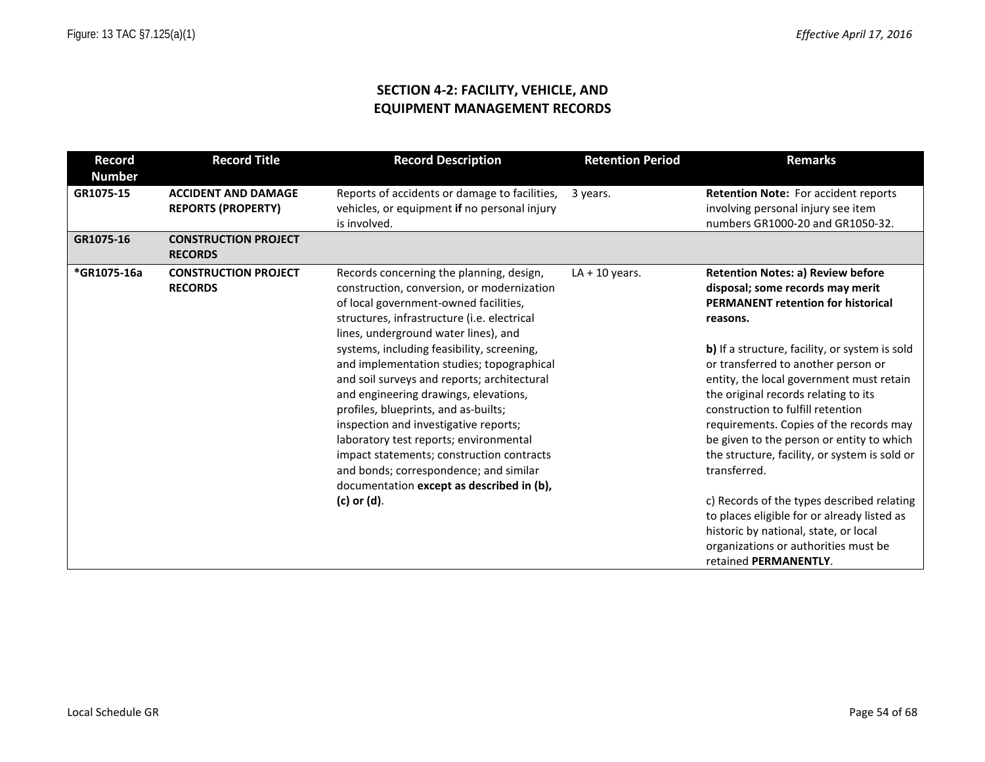### **SECTION 4-2: FACILITY, VEHICLE, AND EQUIPMENT MANAGEMENT RECORDS**

| <b>Record</b> | <b>Record Title</b>                                     | <b>Record Description</b>                                                                                                                                                                                                                                                                                                                                                                                                                                                                                                                                                                                                                                                               | <b>Retention Period</b> | <b>Remarks</b>                                                                                                                                                                                                                                                                                                                                                                                                                                                                                                                                                                                                                                                                                                          |
|---------------|---------------------------------------------------------|-----------------------------------------------------------------------------------------------------------------------------------------------------------------------------------------------------------------------------------------------------------------------------------------------------------------------------------------------------------------------------------------------------------------------------------------------------------------------------------------------------------------------------------------------------------------------------------------------------------------------------------------------------------------------------------------|-------------------------|-------------------------------------------------------------------------------------------------------------------------------------------------------------------------------------------------------------------------------------------------------------------------------------------------------------------------------------------------------------------------------------------------------------------------------------------------------------------------------------------------------------------------------------------------------------------------------------------------------------------------------------------------------------------------------------------------------------------------|
| <b>Number</b> |                                                         |                                                                                                                                                                                                                                                                                                                                                                                                                                                                                                                                                                                                                                                                                         |                         |                                                                                                                                                                                                                                                                                                                                                                                                                                                                                                                                                                                                                                                                                                                         |
| GR1075-15     | <b>ACCIDENT AND DAMAGE</b><br><b>REPORTS (PROPERTY)</b> | Reports of accidents or damage to facilities,<br>vehicles, or equipment if no personal injury<br>is involved.                                                                                                                                                                                                                                                                                                                                                                                                                                                                                                                                                                           | 3 years.                | Retention Note: For accident reports<br>involving personal injury see item<br>numbers GR1000-20 and GR1050-32.                                                                                                                                                                                                                                                                                                                                                                                                                                                                                                                                                                                                          |
| GR1075-16     | <b>CONSTRUCTION PROJECT</b><br><b>RECORDS</b>           |                                                                                                                                                                                                                                                                                                                                                                                                                                                                                                                                                                                                                                                                                         |                         |                                                                                                                                                                                                                                                                                                                                                                                                                                                                                                                                                                                                                                                                                                                         |
| *GR1075-16a   | <b>CONSTRUCTION PROJECT</b><br><b>RECORDS</b>           | Records concerning the planning, design,<br>construction, conversion, or modernization<br>of local government-owned facilities,<br>structures, infrastructure (i.e. electrical<br>lines, underground water lines), and<br>systems, including feasibility, screening,<br>and implementation studies; topographical<br>and soil surveys and reports; architectural<br>and engineering drawings, elevations,<br>profiles, blueprints, and as-builts;<br>inspection and investigative reports;<br>laboratory test reports; environmental<br>impact statements; construction contracts<br>and bonds; correspondence; and similar<br>documentation except as described in (b),<br>(c) or (d). | $LA + 10$ years.        | <b>Retention Notes: a) Review before</b><br>disposal; some records may merit<br><b>PERMANENT retention for historical</b><br>reasons.<br>b) If a structure, facility, or system is sold<br>or transferred to another person or<br>entity, the local government must retain<br>the original records relating to its<br>construction to fulfill retention<br>requirements. Copies of the records may<br>be given to the person or entity to which<br>the structure, facility, or system is sold or<br>transferred.<br>c) Records of the types described relating<br>to places eligible for or already listed as<br>historic by national, state, or local<br>organizations or authorities must be<br>retained PERMANENTLY. |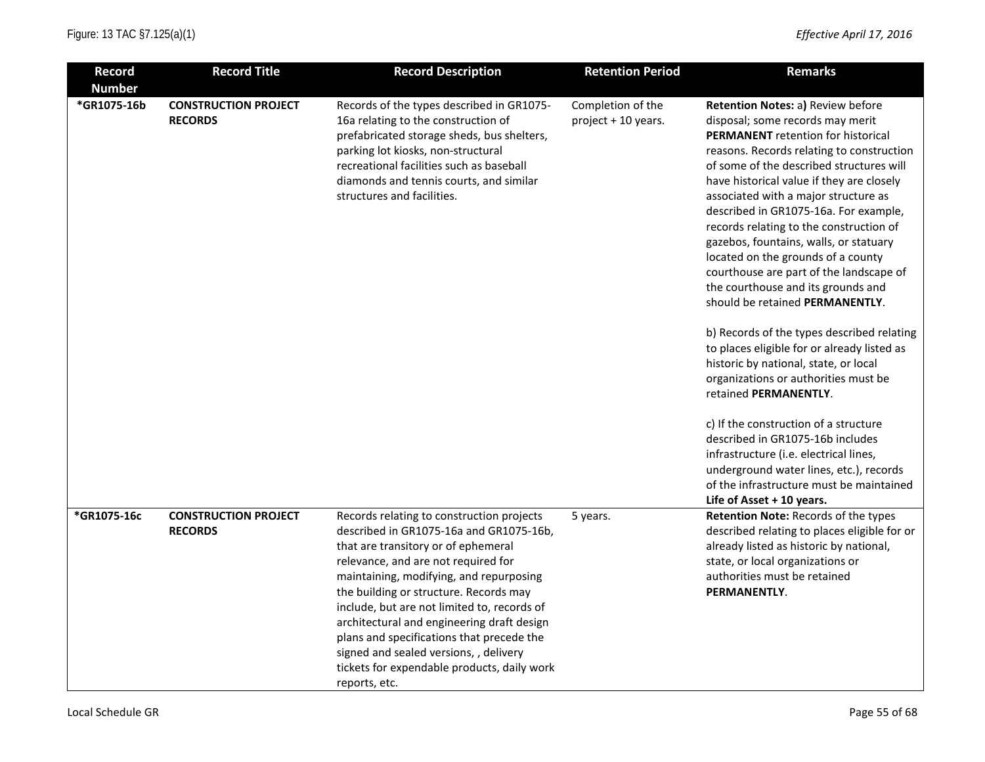| <b>Record</b>                | <b>Record Title</b>                           | <b>Record Description</b>                                                                                                                                                                                                                                                                                                                                                                                                                                                                                   | <b>Retention Period</b>                  | <b>Remarks</b>                                                                                                                                                                                                                                                                                                                                                                                                                                                                                                                                                                                                                                                                                                                                                                                                                                                                                                                                             |
|------------------------------|-----------------------------------------------|-------------------------------------------------------------------------------------------------------------------------------------------------------------------------------------------------------------------------------------------------------------------------------------------------------------------------------------------------------------------------------------------------------------------------------------------------------------------------------------------------------------|------------------------------------------|------------------------------------------------------------------------------------------------------------------------------------------------------------------------------------------------------------------------------------------------------------------------------------------------------------------------------------------------------------------------------------------------------------------------------------------------------------------------------------------------------------------------------------------------------------------------------------------------------------------------------------------------------------------------------------------------------------------------------------------------------------------------------------------------------------------------------------------------------------------------------------------------------------------------------------------------------------|
| <b>Number</b><br>*GR1075-16b | <b>CONSTRUCTION PROJECT</b><br><b>RECORDS</b> | Records of the types described in GR1075-<br>16a relating to the construction of<br>prefabricated storage sheds, bus shelters,<br>parking lot kiosks, non-structural<br>recreational facilities such as baseball<br>diamonds and tennis courts, and similar<br>structures and facilities.                                                                                                                                                                                                                   | Completion of the<br>project + 10 years. | Retention Notes: a) Review before<br>disposal; some records may merit<br>PERMANENT retention for historical<br>reasons. Records relating to construction<br>of some of the described structures will<br>have historical value if they are closely<br>associated with a major structure as<br>described in GR1075-16a. For example,<br>records relating to the construction of<br>gazebos, fountains, walls, or statuary<br>located on the grounds of a county<br>courthouse are part of the landscape of<br>the courthouse and its grounds and<br>should be retained PERMANENTLY.<br>b) Records of the types described relating<br>to places eligible for or already listed as<br>historic by national, state, or local<br>organizations or authorities must be<br>retained PERMANENTLY.<br>c) If the construction of a structure<br>described in GR1075-16b includes<br>infrastructure (i.e. electrical lines,<br>underground water lines, etc.), records |
|                              |                                               |                                                                                                                                                                                                                                                                                                                                                                                                                                                                                                             |                                          | of the infrastructure must be maintained<br>Life of Asset + 10 years.                                                                                                                                                                                                                                                                                                                                                                                                                                                                                                                                                                                                                                                                                                                                                                                                                                                                                      |
| *GR1075-16c                  | <b>CONSTRUCTION PROJECT</b><br><b>RECORDS</b> | Records relating to construction projects<br>described in GR1075-16a and GR1075-16b,<br>that are transitory or of ephemeral<br>relevance, and are not required for<br>maintaining, modifying, and repurposing<br>the building or structure. Records may<br>include, but are not limited to, records of<br>architectural and engineering draft design<br>plans and specifications that precede the<br>signed and sealed versions, , delivery<br>tickets for expendable products, daily work<br>reports, etc. | 5 years.                                 | Retention Note: Records of the types<br>described relating to places eligible for or<br>already listed as historic by national,<br>state, or local organizations or<br>authorities must be retained<br>PERMANENTLY.                                                                                                                                                                                                                                                                                                                                                                                                                                                                                                                                                                                                                                                                                                                                        |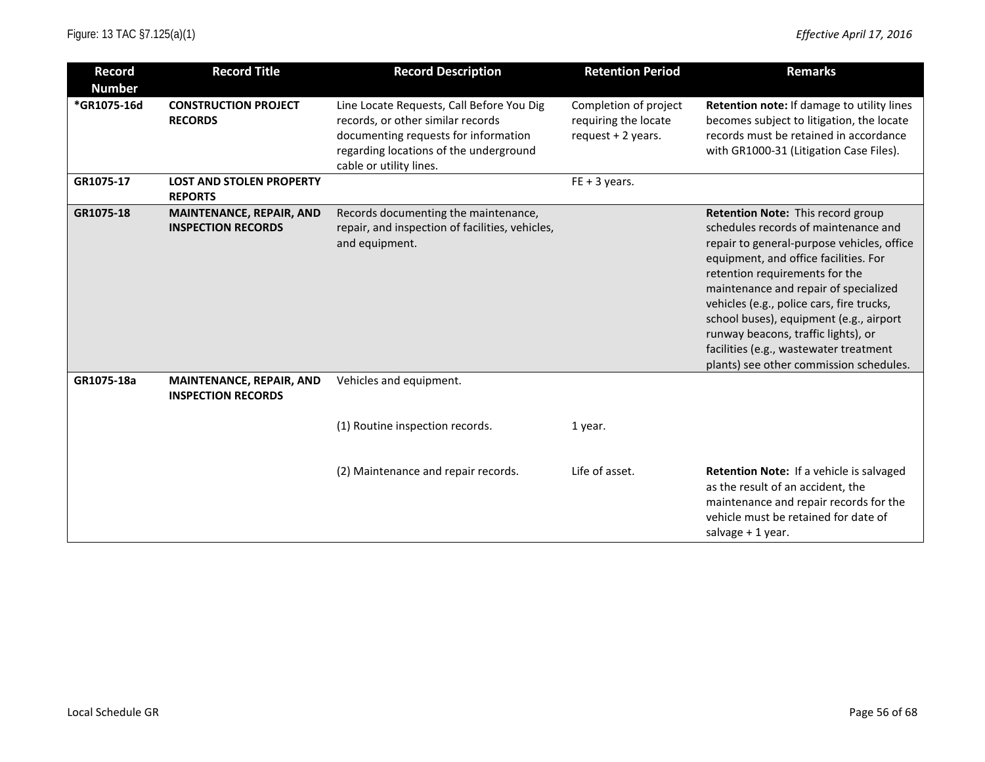| <b>Record</b><br><b>Number</b> | <b>Record Title</b>                                          | <b>Record Description</b>                                                                                                                                                                   | <b>Retention Period</b>                                              | <b>Remarks</b>                                                                                                                                                                                                                                                                                                                                                                                                                                                  |
|--------------------------------|--------------------------------------------------------------|---------------------------------------------------------------------------------------------------------------------------------------------------------------------------------------------|----------------------------------------------------------------------|-----------------------------------------------------------------------------------------------------------------------------------------------------------------------------------------------------------------------------------------------------------------------------------------------------------------------------------------------------------------------------------------------------------------------------------------------------------------|
| *GR1075-16d                    | <b>CONSTRUCTION PROJECT</b><br><b>RECORDS</b>                | Line Locate Requests, Call Before You Dig<br>records, or other similar records<br>documenting requests for information<br>regarding locations of the underground<br>cable or utility lines. | Completion of project<br>requiring the locate<br>request $+2$ years. | Retention note: If damage to utility lines<br>becomes subject to litigation, the locate<br>records must be retained in accordance<br>with GR1000-31 (Litigation Case Files).                                                                                                                                                                                                                                                                                    |
| GR1075-17                      | <b>LOST AND STOLEN PROPERTY</b><br><b>REPORTS</b>            |                                                                                                                                                                                             | $FE + 3 years$ .                                                     |                                                                                                                                                                                                                                                                                                                                                                                                                                                                 |
| GR1075-18                      | MAINTENANCE, REPAIR, AND<br><b>INSPECTION RECORDS</b>        | Records documenting the maintenance,<br>repair, and inspection of facilities, vehicles,<br>and equipment.                                                                                   |                                                                      | Retention Note: This record group<br>schedules records of maintenance and<br>repair to general-purpose vehicles, office<br>equipment, and office facilities. For<br>retention requirements for the<br>maintenance and repair of specialized<br>vehicles (e.g., police cars, fire trucks,<br>school buses), equipment (e.g., airport<br>runway beacons, traffic lights), or<br>facilities (e.g., wastewater treatment<br>plants) see other commission schedules. |
| GR1075-18a                     | <b>MAINTENANCE, REPAIR, AND</b><br><b>INSPECTION RECORDS</b> | Vehicles and equipment.                                                                                                                                                                     |                                                                      |                                                                                                                                                                                                                                                                                                                                                                                                                                                                 |
|                                |                                                              | (1) Routine inspection records.                                                                                                                                                             | 1 year.                                                              |                                                                                                                                                                                                                                                                                                                                                                                                                                                                 |
|                                |                                                              | (2) Maintenance and repair records.                                                                                                                                                         | Life of asset.                                                       | <b>Retention Note:</b> If a vehicle is salvaged<br>as the result of an accident, the<br>maintenance and repair records for the<br>vehicle must be retained for date of<br>salvage + 1 year.                                                                                                                                                                                                                                                                     |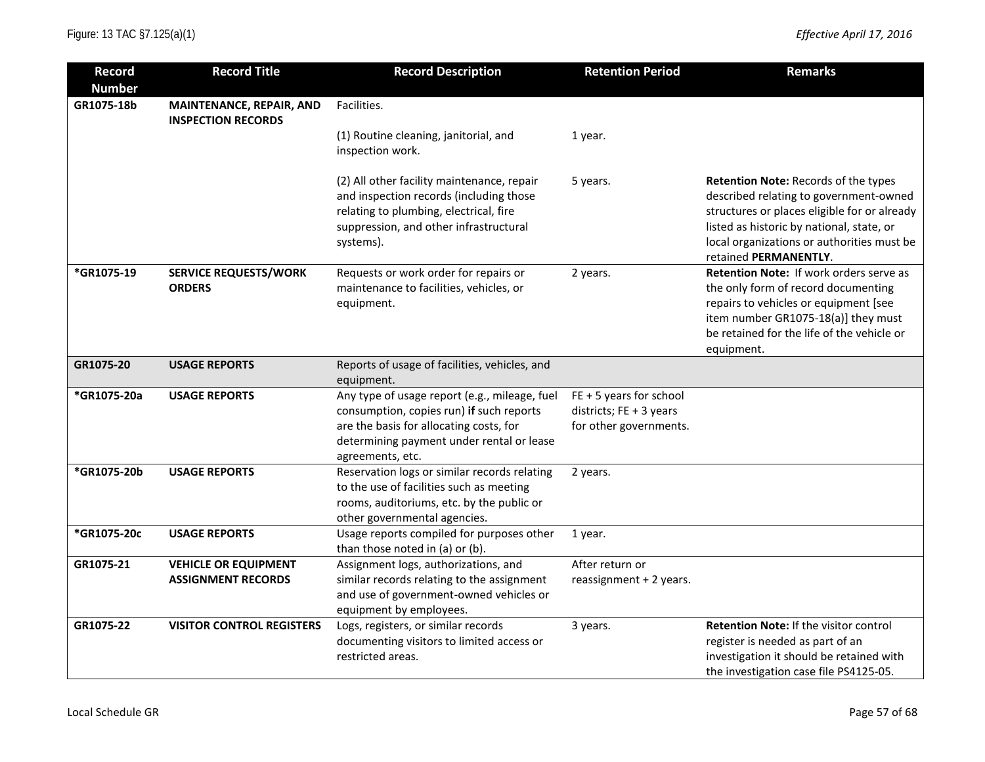| <b>Record</b><br><b>Number</b> | <b>Record Title</b>                                      | <b>Record Description</b>                                                                                                                                                                             | <b>Retention Period</b>                                                        | <b>Remarks</b>                                                                                                                                                                                                                                     |
|--------------------------------|----------------------------------------------------------|-------------------------------------------------------------------------------------------------------------------------------------------------------------------------------------------------------|--------------------------------------------------------------------------------|----------------------------------------------------------------------------------------------------------------------------------------------------------------------------------------------------------------------------------------------------|
| GR1075-18b                     | MAINTENANCE, REPAIR, AND<br><b>INSPECTION RECORDS</b>    | Facilities.                                                                                                                                                                                           |                                                                                |                                                                                                                                                                                                                                                    |
|                                |                                                          | (1) Routine cleaning, janitorial, and<br>inspection work.                                                                                                                                             | 1 year.                                                                        |                                                                                                                                                                                                                                                    |
|                                |                                                          | (2) All other facility maintenance, repair<br>and inspection records (including those<br>relating to plumbing, electrical, fire<br>suppression, and other infrastructural<br>systems).                | 5 years.                                                                       | Retention Note: Records of the types<br>described relating to government-owned<br>structures or places eligible for or already<br>listed as historic by national, state, or<br>local organizations or authorities must be<br>retained PERMANENTLY. |
| *GR1075-19                     | <b>SERVICE REQUESTS/WORK</b><br><b>ORDERS</b>            | Requests or work order for repairs or<br>maintenance to facilities, vehicles, or<br>equipment.                                                                                                        | 2 years.                                                                       | Retention Note: If work orders serve as<br>the only form of record documenting<br>repairs to vehicles or equipment [see<br>item number GR1075-18(a)] they must<br>be retained for the life of the vehicle or<br>equipment.                         |
| GR1075-20                      | <b>USAGE REPORTS</b>                                     | Reports of usage of facilities, vehicles, and<br>equipment.                                                                                                                                           |                                                                                |                                                                                                                                                                                                                                                    |
| *GR1075-20a                    | <b>USAGE REPORTS</b>                                     | Any type of usage report (e.g., mileage, fuel<br>consumption, copies run) if such reports<br>are the basis for allocating costs, for<br>determining payment under rental or lease<br>agreements, etc. | $FE + 5$ years for school<br>districts; FE + 3 years<br>for other governments. |                                                                                                                                                                                                                                                    |
| *GR1075-20b                    | <b>USAGE REPORTS</b>                                     | Reservation logs or similar records relating<br>to the use of facilities such as meeting<br>rooms, auditoriums, etc. by the public or<br>other governmental agencies.                                 | 2 years.                                                                       |                                                                                                                                                                                                                                                    |
| *GR1075-20c                    | <b>USAGE REPORTS</b>                                     | Usage reports compiled for purposes other<br>than those noted in (a) or (b).                                                                                                                          | 1 year.                                                                        |                                                                                                                                                                                                                                                    |
| GR1075-21                      | <b>VEHICLE OR EQUIPMENT</b><br><b>ASSIGNMENT RECORDS</b> | Assignment logs, authorizations, and<br>similar records relating to the assignment<br>and use of government-owned vehicles or<br>equipment by employees.                                              | After return or<br>reassignment + 2 years.                                     |                                                                                                                                                                                                                                                    |
| GR1075-22                      | <b>VISITOR CONTROL REGISTERS</b>                         | Logs, registers, or similar records<br>documenting visitors to limited access or<br>restricted areas.                                                                                                 | 3 years.                                                                       | Retention Note: If the visitor control<br>register is needed as part of an<br>investigation it should be retained with<br>the investigation case file PS4125-05.                                                                                   |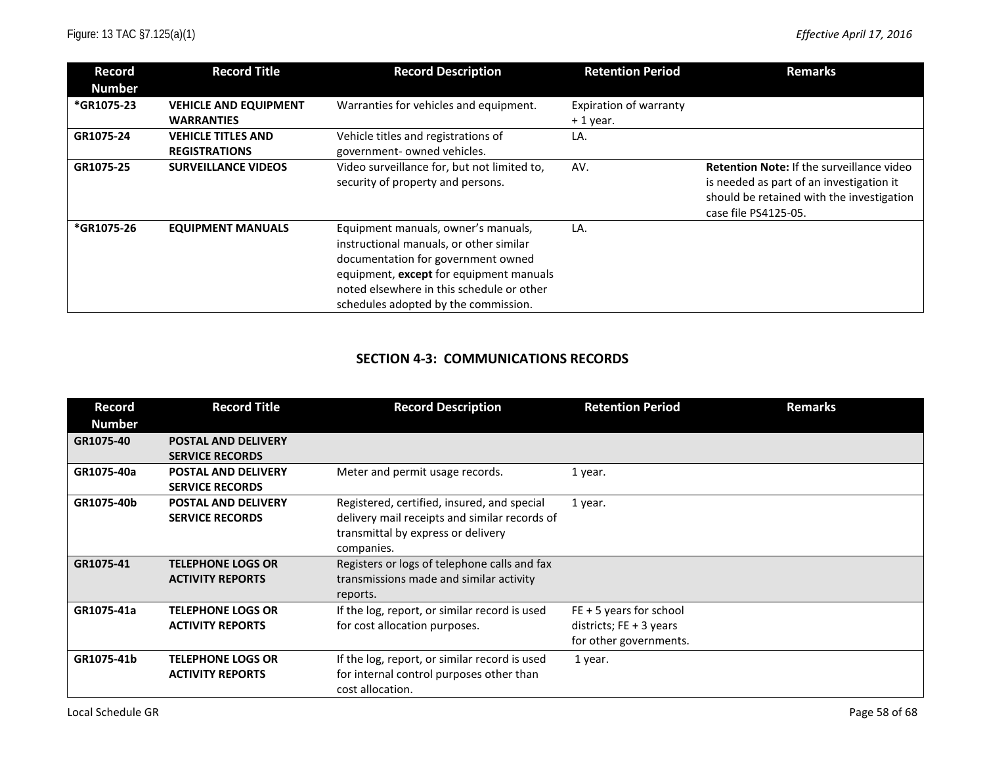| Record<br><b>Number</b> | <b>Record Title</b>          | <b>Record Description</b>                                                                                                                                                                                                                            | <b>Retention Period</b> | <b>Remarks</b>                                                                                                                                                    |
|-------------------------|------------------------------|------------------------------------------------------------------------------------------------------------------------------------------------------------------------------------------------------------------------------------------------------|-------------------------|-------------------------------------------------------------------------------------------------------------------------------------------------------------------|
| *GR1075-23              | <b>VEHICLE AND EQUIPMENT</b> | Warranties for vehicles and equipment.                                                                                                                                                                                                               | Expiration of warranty  |                                                                                                                                                                   |
|                         | <b>WARRANTIES</b>            |                                                                                                                                                                                                                                                      | $+1$ year.              |                                                                                                                                                                   |
| GR1075-24               | <b>VEHICLE TITLES AND</b>    | Vehicle titles and registrations of                                                                                                                                                                                                                  | LA.                     |                                                                                                                                                                   |
|                         | <b>REGISTRATIONS</b>         | government- owned vehicles.                                                                                                                                                                                                                          |                         |                                                                                                                                                                   |
| GR1075-25               | <b>SURVEILLANCE VIDEOS</b>   | Video surveillance for, but not limited to,<br>security of property and persons.                                                                                                                                                                     | AV.                     | <b>Retention Note:</b> If the surveillance video<br>is needed as part of an investigation it<br>should be retained with the investigation<br>case file PS4125-05. |
| *GR1075-26              | <b>EQUIPMENT MANUALS</b>     | Equipment manuals, owner's manuals,<br>instructional manuals, or other similar<br>documentation for government owned<br>equipment, except for equipment manuals<br>noted elsewhere in this schedule or other<br>schedules adopted by the commission. | LA.                     |                                                                                                                                                                   |

#### **SECTION 4-3: COMMUNICATIONS RECORDS**

| Record        | <b>Record Title</b>        | <b>Record Description</b>                     | <b>Retention Period</b>   | <b>Remarks</b> |
|---------------|----------------------------|-----------------------------------------------|---------------------------|----------------|
| <b>Number</b> |                            |                                               |                           |                |
| GR1075-40     | <b>POSTAL AND DELIVERY</b> |                                               |                           |                |
|               | <b>SERVICE RECORDS</b>     |                                               |                           |                |
| GR1075-40a    | <b>POSTAL AND DELIVERY</b> | Meter and permit usage records.               | 1 year.                   |                |
|               | <b>SERVICE RECORDS</b>     |                                               |                           |                |
| GR1075-40b    | <b>POSTAL AND DELIVERY</b> | Registered, certified, insured, and special   | 1 year.                   |                |
|               | <b>SERVICE RECORDS</b>     | delivery mail receipts and similar records of |                           |                |
|               |                            | transmittal by express or delivery            |                           |                |
|               |                            | companies.                                    |                           |                |
| GR1075-41     | <b>TELEPHONE LOGS OR</b>   | Registers or logs of telephone calls and fax  |                           |                |
|               | <b>ACTIVITY REPORTS</b>    | transmissions made and similar activity       |                           |                |
|               |                            | reports.                                      |                           |                |
| GR1075-41a    | <b>TELEPHONE LOGS OR</b>   | If the log, report, or similar record is used | $FE + 5$ years for school |                |
|               | <b>ACTIVITY REPORTS</b>    | for cost allocation purposes.                 | districts; $FE + 3$ years |                |
|               |                            |                                               | for other governments.    |                |
| GR1075-41b    | <b>TELEPHONE LOGS OR</b>   | If the log, report, or similar record is used | 1 year.                   |                |
|               | <b>ACTIVITY REPORTS</b>    | for internal control purposes other than      |                           |                |
|               |                            | cost allocation.                              |                           |                |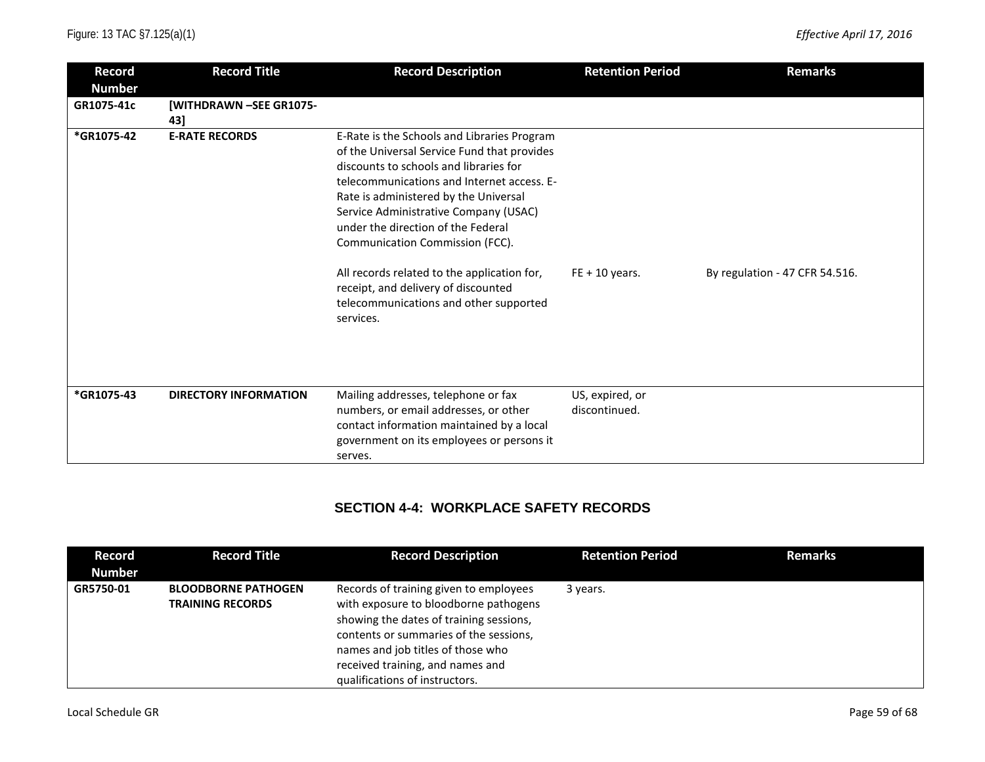| <b>Record</b><br><b>Number</b> | <b>Record Title</b>            | <b>Record Description</b>                                                                                                                                                                                                                                                                                                                                                                                                                                                                  | <b>Retention Period</b>          | <b>Remarks</b>                 |
|--------------------------------|--------------------------------|--------------------------------------------------------------------------------------------------------------------------------------------------------------------------------------------------------------------------------------------------------------------------------------------------------------------------------------------------------------------------------------------------------------------------------------------------------------------------------------------|----------------------------------|--------------------------------|
| GR1075-41c                     | [WITHDRAWN -SEE GR1075-<br>43] |                                                                                                                                                                                                                                                                                                                                                                                                                                                                                            |                                  |                                |
| *GR1075-42                     | <b>E-RATE RECORDS</b>          | E-Rate is the Schools and Libraries Program<br>of the Universal Service Fund that provides<br>discounts to schools and libraries for<br>telecommunications and Internet access. E-<br>Rate is administered by the Universal<br>Service Administrative Company (USAC)<br>under the direction of the Federal<br>Communication Commission (FCC).<br>All records related to the application for,<br>receipt, and delivery of discounted<br>telecommunications and other supported<br>services. | $FE + 10$ years.                 | By regulation - 47 CFR 54.516. |
|                                |                                |                                                                                                                                                                                                                                                                                                                                                                                                                                                                                            |                                  |                                |
| *GR1075-43                     | <b>DIRECTORY INFORMATION</b>   | Mailing addresses, telephone or fax<br>numbers, or email addresses, or other<br>contact information maintained by a local<br>government on its employees or persons it<br>serves.                                                                                                                                                                                                                                                                                                          | US, expired, or<br>discontinued. |                                |

## **SECTION 4-4: WORKPLACE SAFETY RECORDS**

| Record<br><b>Number</b> | <b>Record Title</b>                                   | <b>Record Description</b>                                                                                                                                                                                                                                                       | <b>Retention Period</b> | <b>Remarks</b> |
|-------------------------|-------------------------------------------------------|---------------------------------------------------------------------------------------------------------------------------------------------------------------------------------------------------------------------------------------------------------------------------------|-------------------------|----------------|
| GR5750-01               | <b>BLOODBORNE PATHOGEN</b><br><b>TRAINING RECORDS</b> | Records of training given to employees<br>with exposure to bloodborne pathogens<br>showing the dates of training sessions,<br>contents or summaries of the sessions,<br>names and job titles of those who<br>received training, and names and<br>qualifications of instructors. | 3 years.                |                |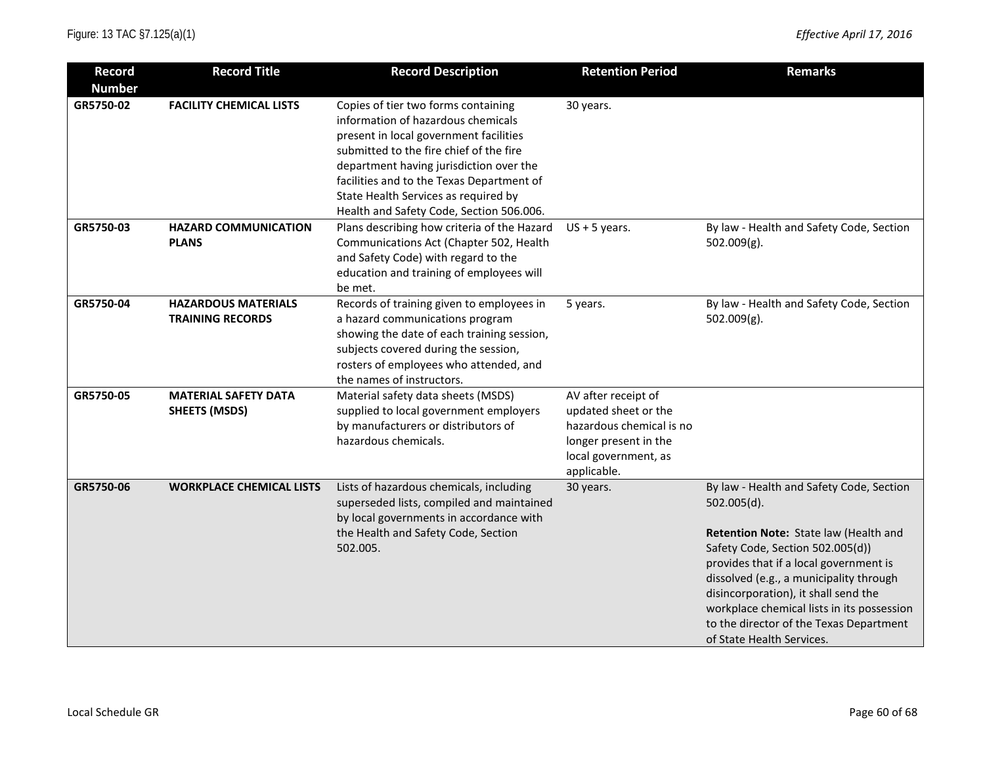| <b>Record</b><br><b>Number</b> | <b>Record Title</b>                                   | <b>Record Description</b>                                                                                                                                                                                                                                                                                                                  | <b>Retention Period</b>                                                                                                                 | <b>Remarks</b>                                                                                                                                                                                                                                                                                                                                                                          |
|--------------------------------|-------------------------------------------------------|--------------------------------------------------------------------------------------------------------------------------------------------------------------------------------------------------------------------------------------------------------------------------------------------------------------------------------------------|-----------------------------------------------------------------------------------------------------------------------------------------|-----------------------------------------------------------------------------------------------------------------------------------------------------------------------------------------------------------------------------------------------------------------------------------------------------------------------------------------------------------------------------------------|
| GR5750-02                      | <b>FACILITY CHEMICAL LISTS</b>                        | Copies of tier two forms containing<br>information of hazardous chemicals<br>present in local government facilities<br>submitted to the fire chief of the fire<br>department having jurisdiction over the<br>facilities and to the Texas Department of<br>State Health Services as required by<br>Health and Safety Code, Section 506.006. | 30 years.                                                                                                                               |                                                                                                                                                                                                                                                                                                                                                                                         |
| GR5750-03                      | <b>HAZARD COMMUNICATION</b><br><b>PLANS</b>           | Plans describing how criteria of the Hazard<br>Communications Act (Chapter 502, Health<br>and Safety Code) with regard to the<br>education and training of employees will<br>be met.                                                                                                                                                       | $US + 5$ years.                                                                                                                         | By law - Health and Safety Code, Section<br>$502.009(g)$ .                                                                                                                                                                                                                                                                                                                              |
| GR5750-04                      | <b>HAZARDOUS MATERIALS</b><br><b>TRAINING RECORDS</b> | Records of training given to employees in<br>a hazard communications program<br>showing the date of each training session,<br>subjects covered during the session,<br>rosters of employees who attended, and<br>the names of instructors.                                                                                                  | 5 years.                                                                                                                                | By law - Health and Safety Code, Section<br>502.009(g).                                                                                                                                                                                                                                                                                                                                 |
| GR5750-05                      | <b>MATERIAL SAFETY DATA</b><br><b>SHEETS (MSDS)</b>   | Material safety data sheets (MSDS)<br>supplied to local government employers<br>by manufacturers or distributors of<br>hazardous chemicals.                                                                                                                                                                                                | AV after receipt of<br>updated sheet or the<br>hazardous chemical is no<br>longer present in the<br>local government, as<br>applicable. |                                                                                                                                                                                                                                                                                                                                                                                         |
| GR5750-06                      | <b>WORKPLACE CHEMICAL LISTS</b>                       | Lists of hazardous chemicals, including<br>superseded lists, compiled and maintained<br>by local governments in accordance with<br>the Health and Safety Code, Section<br>502.005.                                                                                                                                                         | 30 years.                                                                                                                               | By law - Health and Safety Code, Section<br>502.005(d).<br>Retention Note: State law (Health and<br>Safety Code, Section 502.005(d))<br>provides that if a local government is<br>dissolved (e.g., a municipality through<br>disincorporation), it shall send the<br>workplace chemical lists in its possession<br>to the director of the Texas Department<br>of State Health Services. |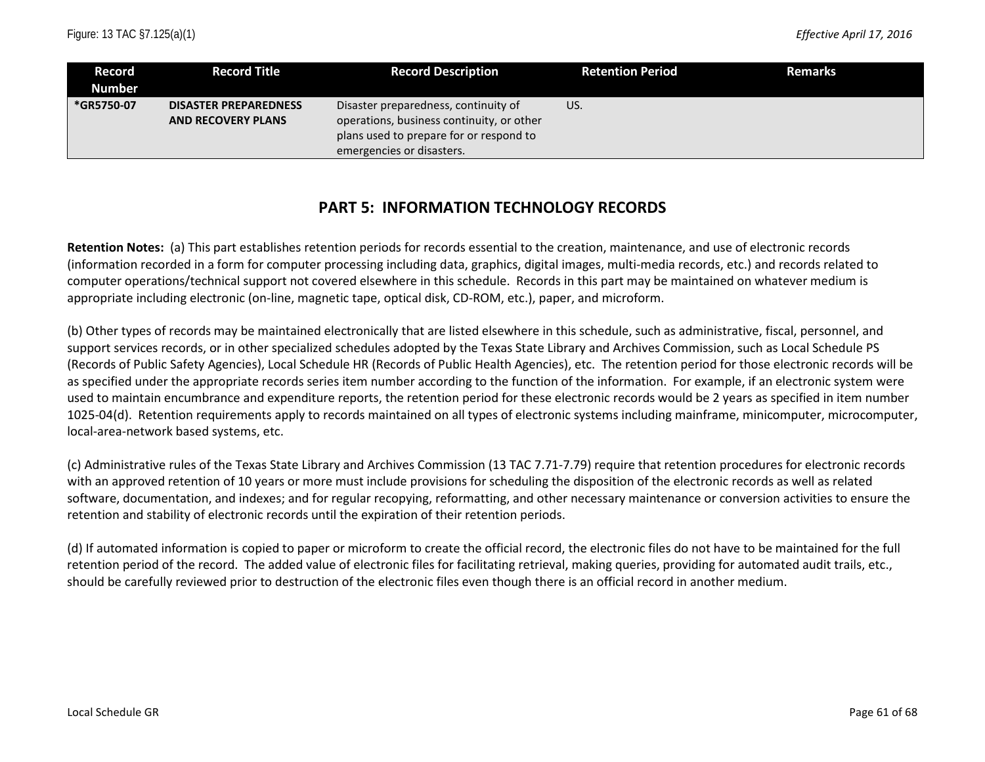| Record<br><b>Number</b> | <b>Record Title</b>          | <b>Record Description</b>                 | Retention Period | <b>Remarks</b> |
|-------------------------|------------------------------|-------------------------------------------|------------------|----------------|
|                         |                              |                                           |                  |                |
| *GR5750-07              | <b>DISASTER PREPAREDNESS</b> | Disaster preparedness, continuity of      | US.              |                |
|                         | <b>AND RECOVERY PLANS</b>    | operations, business continuity, or other |                  |                |
|                         |                              | plans used to prepare for or respond to   |                  |                |
|                         |                              | emergencies or disasters.                 |                  |                |

## **PART 5: INFORMATION TECHNOLOGY RECORDS**

**Retention Notes:** (a) This part establishes retention periods for records essential to the creation, maintenance, and use of electronic records (information recorded in a form for computer processing including data, graphics, digital images, multi-media records, etc.) and records related to computer operations/technical support not covered elsewhere in this schedule. Records in this part may be maintained on whatever medium is appropriate including electronic (on-line, magnetic tape, optical disk, CD-ROM, etc.), paper, and microform.

(b) Other types of records may be maintained electronically that are listed elsewhere in this schedule, such as administrative, fiscal, personnel, and support services records, or in other specialized schedules adopted by the Texas State Library and Archives Commission, such as Local Schedule PS (Records of Public Safety Agencies), Local Schedule HR (Records of Public Health Agencies), etc. The retention period for those electronic records will be as specified under the appropriate records series item number according to the function of the information. For example, if an electronic system were used to maintain encumbrance and expenditure reports, the retention period for these electronic records would be 2 years as specified in item number 1025-04(d). Retention requirements apply to records maintained on all types of electronic systems including mainframe, minicomputer, microcomputer, local-area-network based systems, etc.

(c) Administrative rules of the Texas State Library and Archives Commission (13 TAC 7.71-7.79) require that retention procedures for electronic records with an approved retention of 10 years or more must include provisions for scheduling the disposition of the electronic records as well as related software, documentation, and indexes; and for regular recopying, reformatting, and other necessary maintenance or conversion activities to ensure the retention and stability of electronic records until the expiration of their retention periods.

(d) If automated information is copied to paper or microform to create the official record, the electronic files do not have to be maintained for the full retention period of the record. The added value of electronic files for facilitating retrieval, making queries, providing for automated audit trails, etc., should be carefully reviewed prior to destruction of the electronic files even though there is an official record in another medium.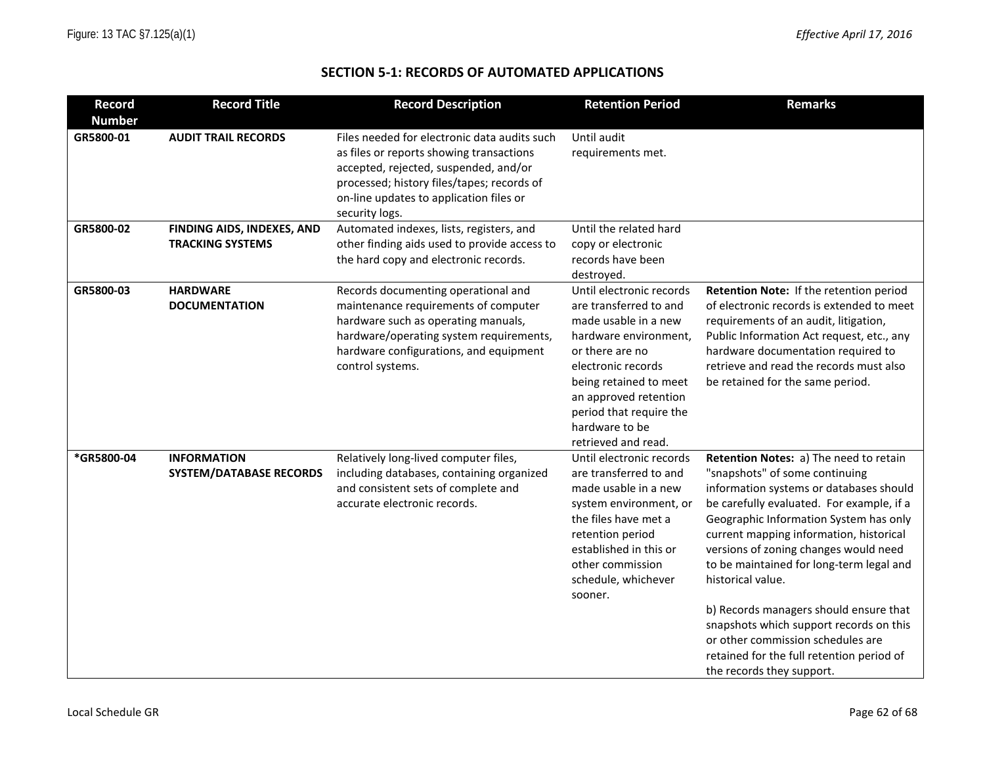## **SECTION 5-1: RECORDS OF AUTOMATED APPLICATIONS**

| <b>Record</b> | <b>Record Title</b>                                   | <b>Record Description</b>                                                                                                                                                                                                                    | <b>Retention Period</b>                                                                                                                                                                                                                                             | <b>Remarks</b>                                                                                                                                                                                                                                                                                                                                                                                                                                                                                                                                                      |
|---------------|-------------------------------------------------------|----------------------------------------------------------------------------------------------------------------------------------------------------------------------------------------------------------------------------------------------|---------------------------------------------------------------------------------------------------------------------------------------------------------------------------------------------------------------------------------------------------------------------|---------------------------------------------------------------------------------------------------------------------------------------------------------------------------------------------------------------------------------------------------------------------------------------------------------------------------------------------------------------------------------------------------------------------------------------------------------------------------------------------------------------------------------------------------------------------|
| <b>Number</b> |                                                       |                                                                                                                                                                                                                                              |                                                                                                                                                                                                                                                                     |                                                                                                                                                                                                                                                                                                                                                                                                                                                                                                                                                                     |
| GR5800-01     | <b>AUDIT TRAIL RECORDS</b>                            | Files needed for electronic data audits such<br>as files or reports showing transactions<br>accepted, rejected, suspended, and/or<br>processed; history files/tapes; records of<br>on-line updates to application files or<br>security logs. | Until audit<br>requirements met.                                                                                                                                                                                                                                    |                                                                                                                                                                                                                                                                                                                                                                                                                                                                                                                                                                     |
| GR5800-02     | FINDING AIDS, INDEXES, AND<br><b>TRACKING SYSTEMS</b> | Automated indexes, lists, registers, and<br>other finding aids used to provide access to<br>the hard copy and electronic records.                                                                                                            | Until the related hard<br>copy or electronic<br>records have been<br>destroyed.                                                                                                                                                                                     |                                                                                                                                                                                                                                                                                                                                                                                                                                                                                                                                                                     |
| GR5800-03     | <b>HARDWARE</b><br><b>DOCUMENTATION</b>               | Records documenting operational and<br>maintenance requirements of computer<br>hardware such as operating manuals,<br>hardware/operating system requirements,<br>hardware configurations, and equipment<br>control systems.                  | Until electronic records<br>are transferred to and<br>made usable in a new<br>hardware environment,<br>or there are no<br>electronic records<br>being retained to meet<br>an approved retention<br>period that require the<br>hardware to be<br>retrieved and read. | Retention Note: If the retention period<br>of electronic records is extended to meet<br>requirements of an audit, litigation,<br>Public Information Act request, etc., any<br>hardware documentation required to<br>retrieve and read the records must also<br>be retained for the same period.                                                                                                                                                                                                                                                                     |
| *GR5800-04    | <b>INFORMATION</b><br><b>SYSTEM/DATABASE RECORDS</b>  | Relatively long-lived computer files,<br>including databases, containing organized<br>and consistent sets of complete and<br>accurate electronic records.                                                                                    | Until electronic records<br>are transferred to and<br>made usable in a new<br>system environment, or<br>the files have met a<br>retention period<br>established in this or<br>other commission<br>schedule, whichever<br>sooner.                                    | Retention Notes: a) The need to retain<br>"snapshots" of some continuing<br>information systems or databases should<br>be carefully evaluated. For example, if a<br>Geographic Information System has only<br>current mapping information, historical<br>versions of zoning changes would need<br>to be maintained for long-term legal and<br>historical value.<br>b) Records managers should ensure that<br>snapshots which support records on this<br>or other commission schedules are<br>retained for the full retention period of<br>the records they support. |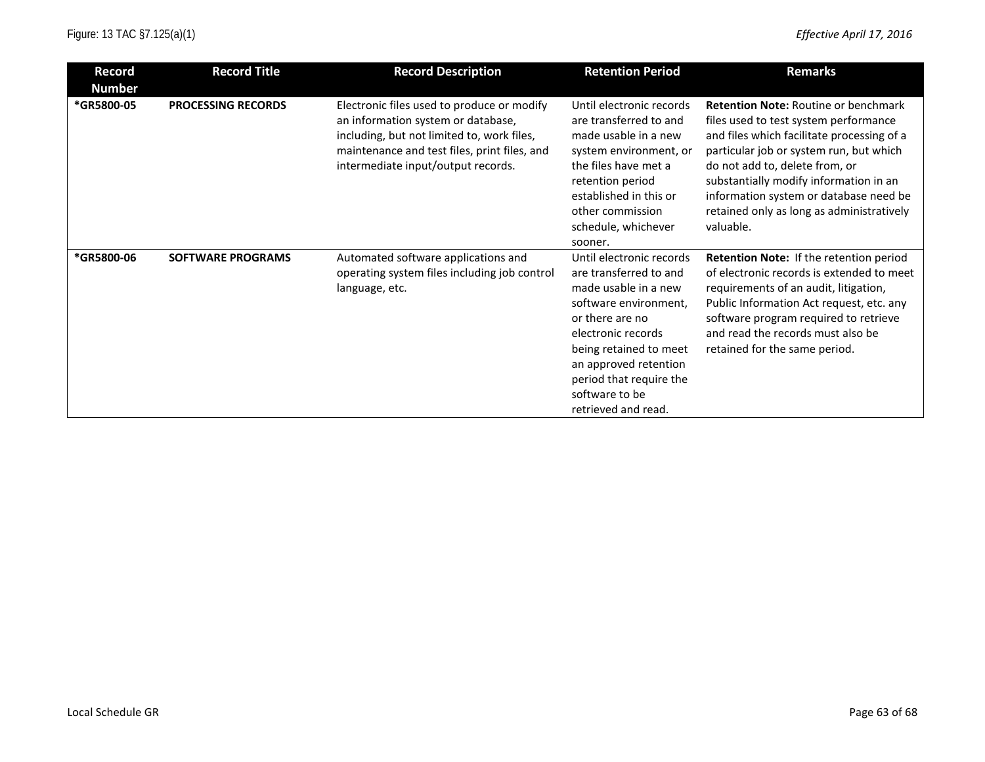| Record<br><b>Number</b> | <b>Record Title</b>       | <b>Record Description</b>                                                                                                                                                                                            | <b>Retention Period</b>                                                                                                                                                                                                                                             | <b>Remarks</b>                                                                                                                                                                                                                                                                                                                                                |
|-------------------------|---------------------------|----------------------------------------------------------------------------------------------------------------------------------------------------------------------------------------------------------------------|---------------------------------------------------------------------------------------------------------------------------------------------------------------------------------------------------------------------------------------------------------------------|---------------------------------------------------------------------------------------------------------------------------------------------------------------------------------------------------------------------------------------------------------------------------------------------------------------------------------------------------------------|
| *GR5800-05              | <b>PROCESSING RECORDS</b> | Electronic files used to produce or modify<br>an information system or database,<br>including, but not limited to, work files,<br>maintenance and test files, print files, and<br>intermediate input/output records. | Until electronic records<br>are transferred to and<br>made usable in a new<br>system environment, or<br>the files have met a<br>retention period<br>established in this or<br>other commission<br>schedule, whichever<br>sooner.                                    | <b>Retention Note: Routine or benchmark</b><br>files used to test system performance<br>and files which facilitate processing of a<br>particular job or system run, but which<br>do not add to, delete from, or<br>substantially modify information in an<br>information system or database need be<br>retained only as long as administratively<br>valuable. |
| *GR5800-06              | <b>SOFTWARE PROGRAMS</b>  | Automated software applications and<br>operating system files including job control<br>language, etc.                                                                                                                | Until electronic records<br>are transferred to and<br>made usable in a new<br>software environment,<br>or there are no<br>electronic records<br>being retained to meet<br>an approved retention<br>period that require the<br>software to be<br>retrieved and read. | Retention Note: If the retention period<br>of electronic records is extended to meet<br>requirements of an audit, litigation,<br>Public Information Act request, etc. any<br>software program required to retrieve<br>and read the records must also be<br>retained for the same period.                                                                      |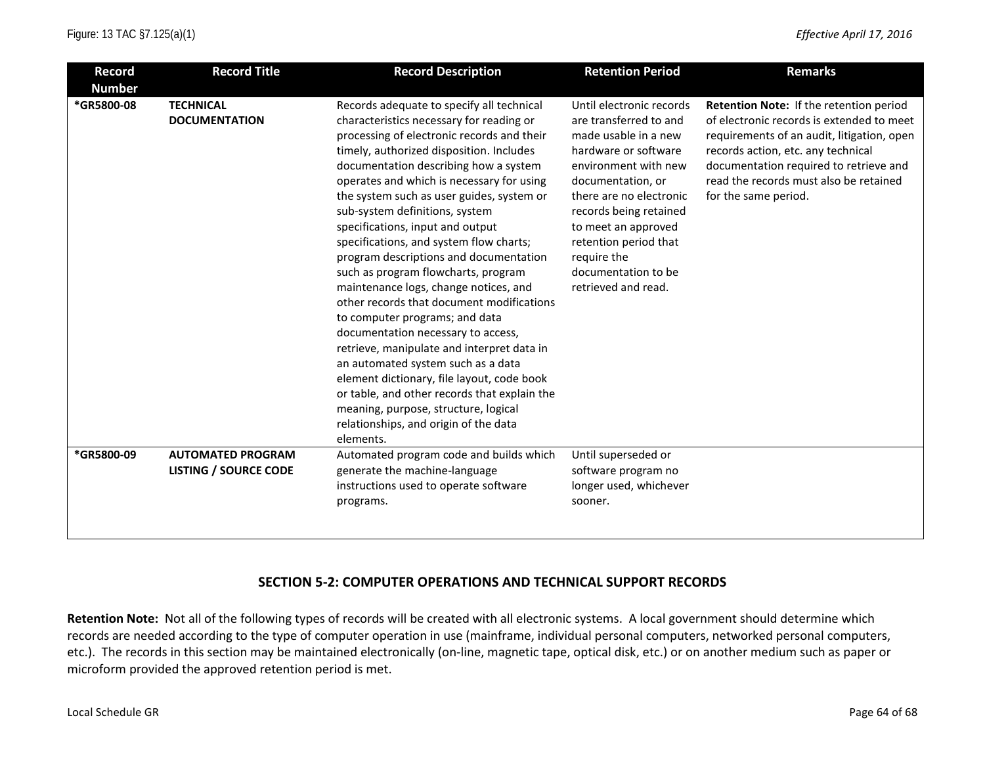| <b>Record</b><br><b>Number</b> | <b>Record Title</b>                                      | <b>Record Description</b>                                                                                                                                                                                                                                                                                                                                                                                                                                                                                                                                                                                                                                                                                                                                                                                                                                                                                                                                          | <b>Retention Period</b>                                                                                                                                                                                                                                                                                           | <b>Remarks</b>                                                                                                                                                                                                                                                                       |
|--------------------------------|----------------------------------------------------------|--------------------------------------------------------------------------------------------------------------------------------------------------------------------------------------------------------------------------------------------------------------------------------------------------------------------------------------------------------------------------------------------------------------------------------------------------------------------------------------------------------------------------------------------------------------------------------------------------------------------------------------------------------------------------------------------------------------------------------------------------------------------------------------------------------------------------------------------------------------------------------------------------------------------------------------------------------------------|-------------------------------------------------------------------------------------------------------------------------------------------------------------------------------------------------------------------------------------------------------------------------------------------------------------------|--------------------------------------------------------------------------------------------------------------------------------------------------------------------------------------------------------------------------------------------------------------------------------------|
| *GR5800-08                     | <b>TECHNICAL</b><br><b>DOCUMENTATION</b>                 | Records adequate to specify all technical<br>characteristics necessary for reading or<br>processing of electronic records and their<br>timely, authorized disposition. Includes<br>documentation describing how a system<br>operates and which is necessary for using<br>the system such as user guides, system or<br>sub-system definitions, system<br>specifications, input and output<br>specifications, and system flow charts;<br>program descriptions and documentation<br>such as program flowcharts, program<br>maintenance logs, change notices, and<br>other records that document modifications<br>to computer programs; and data<br>documentation necessary to access,<br>retrieve, manipulate and interpret data in<br>an automated system such as a data<br>element dictionary, file layout, code book<br>or table, and other records that explain the<br>meaning, purpose, structure, logical<br>relationships, and origin of the data<br>elements. | Until electronic records<br>are transferred to and<br>made usable in a new<br>hardware or software<br>environment with new<br>documentation, or<br>there are no electronic<br>records being retained<br>to meet an approved<br>retention period that<br>require the<br>documentation to be<br>retrieved and read. | Retention Note: If the retention period<br>of electronic records is extended to meet<br>requirements of an audit, litigation, open<br>records action, etc. any technical<br>documentation required to retrieve and<br>read the records must also be retained<br>for the same period. |
| *GR5800-09                     | <b>AUTOMATED PROGRAM</b><br><b>LISTING / SOURCE CODE</b> | Automated program code and builds which<br>generate the machine-language<br>instructions used to operate software<br>programs.                                                                                                                                                                                                                                                                                                                                                                                                                                                                                                                                                                                                                                                                                                                                                                                                                                     | Until superseded or<br>software program no<br>longer used, whichever<br>sooner.                                                                                                                                                                                                                                   |                                                                                                                                                                                                                                                                                      |

### **SECTION 5-2: COMPUTER OPERATIONS AND TECHNICAL SUPPORT RECORDS**

**Retention Note:** Not all of the following types of records will be created with all electronic systems. A local government should determine which records are needed according to the type of computer operation in use (mainframe, individual personal computers, networked personal computers, etc.). The records in this section may be maintained electronically (on-line, magnetic tape, optical disk, etc.) or on another medium such as paper or microform provided the approved retention period is met.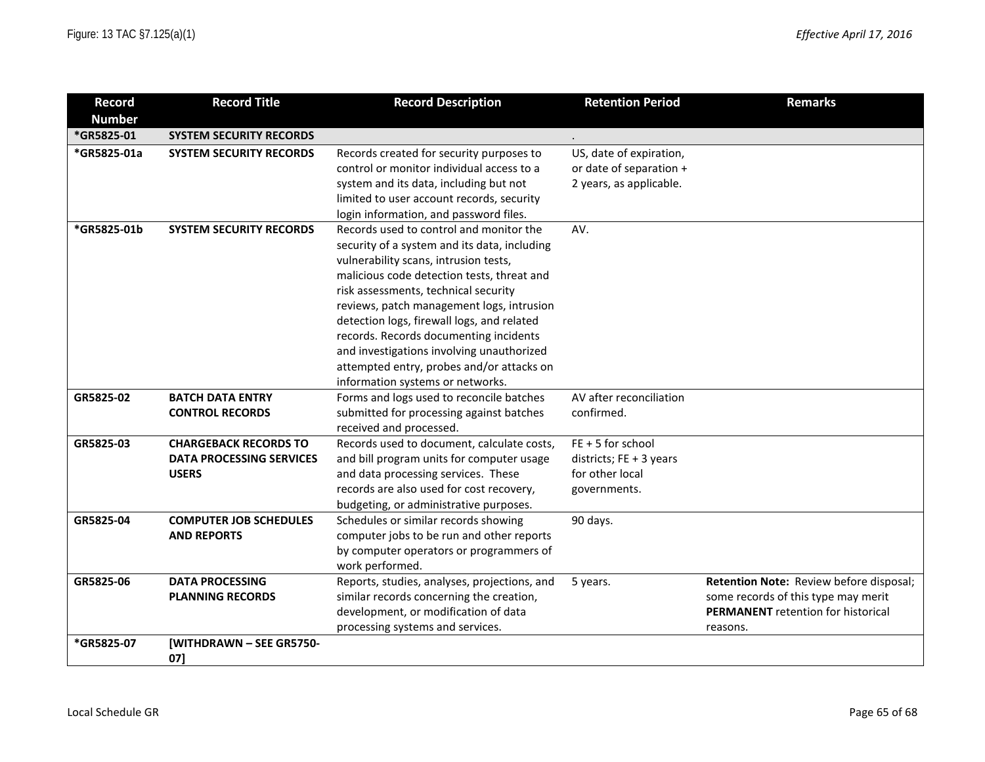| <b>Record</b> | <b>Record Title</b>             | <b>Record Description</b>                    | <b>Retention Period</b>   | <b>Remarks</b>                            |
|---------------|---------------------------------|----------------------------------------------|---------------------------|-------------------------------------------|
| <b>Number</b> |                                 |                                              |                           |                                           |
| *GR5825-01    | <b>SYSTEM SECURITY RECORDS</b>  |                                              |                           |                                           |
| *GR5825-01a   | <b>SYSTEM SECURITY RECORDS</b>  | Records created for security purposes to     | US, date of expiration,   |                                           |
|               |                                 | control or monitor individual access to a    | or date of separation +   |                                           |
|               |                                 | system and its data, including but not       | 2 years, as applicable.   |                                           |
|               |                                 | limited to user account records, security    |                           |                                           |
|               |                                 | login information, and password files.       |                           |                                           |
| *GR5825-01b   | <b>SYSTEM SECURITY RECORDS</b>  | Records used to control and monitor the      | AV.                       |                                           |
|               |                                 | security of a system and its data, including |                           |                                           |
|               |                                 | vulnerability scans, intrusion tests,        |                           |                                           |
|               |                                 | malicious code detection tests, threat and   |                           |                                           |
|               |                                 | risk assessments, technical security         |                           |                                           |
|               |                                 | reviews, patch management logs, intrusion    |                           |                                           |
|               |                                 | detection logs, firewall logs, and related   |                           |                                           |
|               |                                 | records. Records documenting incidents       |                           |                                           |
|               |                                 | and investigations involving unauthorized    |                           |                                           |
|               |                                 | attempted entry, probes and/or attacks on    |                           |                                           |
|               |                                 | information systems or networks.             |                           |                                           |
| GR5825-02     | <b>BATCH DATA ENTRY</b>         | Forms and logs used to reconcile batches     | AV after reconciliation   |                                           |
|               | <b>CONTROL RECORDS</b>          | submitted for processing against batches     | confirmed.                |                                           |
|               |                                 | received and processed.                      |                           |                                           |
| GR5825-03     | <b>CHARGEBACK RECORDS TO</b>    | Records used to document, calculate costs,   | $FE + 5$ for school       |                                           |
|               | <b>DATA PROCESSING SERVICES</b> | and bill program units for computer usage    | districts; $FE + 3$ years |                                           |
|               | <b>USERS</b>                    | and data processing services. These          | for other local           |                                           |
|               |                                 | records are also used for cost recovery,     | governments.              |                                           |
|               |                                 | budgeting, or administrative purposes.       |                           |                                           |
| GR5825-04     | <b>COMPUTER JOB SCHEDULES</b>   | Schedules or similar records showing         | 90 days.                  |                                           |
|               | <b>AND REPORTS</b>              | computer jobs to be run and other reports    |                           |                                           |
|               |                                 | by computer operators or programmers of      |                           |                                           |
|               |                                 | work performed.                              |                           |                                           |
| GR5825-06     | <b>DATA PROCESSING</b>          | Reports, studies, analyses, projections, and | 5 years.                  | Retention Note: Review before disposal;   |
|               | <b>PLANNING RECORDS</b>         | similar records concerning the creation,     |                           | some records of this type may merit       |
|               |                                 | development, or modification of data         |                           | <b>PERMANENT</b> retention for historical |
|               |                                 | processing systems and services.             |                           | reasons.                                  |
| *GR5825-07    | [WITHDRAWN - SEE GR5750-        |                                              |                           |                                           |
|               | 071                             |                                              |                           |                                           |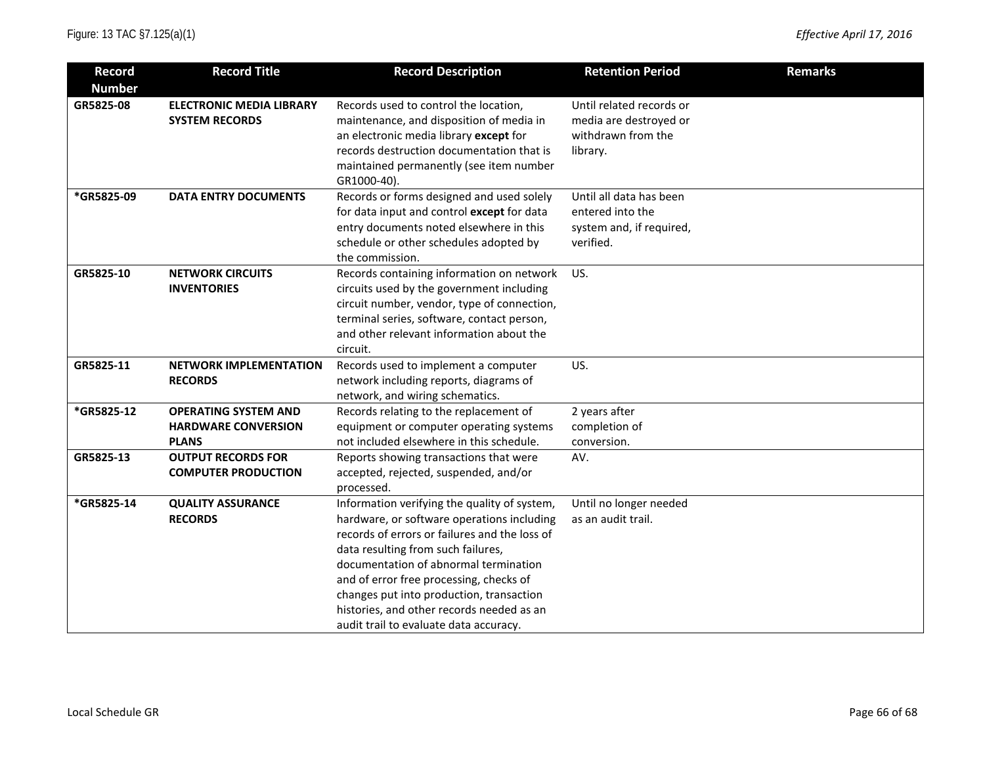| Record        | <b>Record Title</b>                                      | <b>Record Description</b>                                                           | <b>Retention Period</b>                      | <b>Remarks</b> |
|---------------|----------------------------------------------------------|-------------------------------------------------------------------------------------|----------------------------------------------|----------------|
| <b>Number</b> |                                                          |                                                                                     |                                              |                |
| GR5825-08     | <b>ELECTRONIC MEDIA LIBRARY</b><br><b>SYSTEM RECORDS</b> | Records used to control the location,<br>maintenance, and disposition of media in   | Until related records or                     |                |
|               |                                                          |                                                                                     | media are destroyed or<br>withdrawn from the |                |
|               |                                                          | an electronic media library except for<br>records destruction documentation that is |                                              |                |
|               |                                                          | maintained permanently (see item number                                             | library.                                     |                |
|               |                                                          | GR1000-40).                                                                         |                                              |                |
| *GR5825-09    | <b>DATA ENTRY DOCUMENTS</b>                              | Records or forms designed and used solely                                           | Until all data has been                      |                |
|               |                                                          | for data input and control except for data                                          | entered into the                             |                |
|               |                                                          | entry documents noted elsewhere in this                                             | system and, if required,                     |                |
|               |                                                          | schedule or other schedules adopted by                                              | verified.                                    |                |
|               |                                                          | the commission.                                                                     |                                              |                |
| GR5825-10     | <b>NETWORK CIRCUITS</b>                                  | Records containing information on network                                           | US.                                          |                |
|               | <b>INVENTORIES</b>                                       | circuits used by the government including                                           |                                              |                |
|               |                                                          | circuit number, vendor, type of connection,                                         |                                              |                |
|               |                                                          | terminal series, software, contact person,                                          |                                              |                |
|               |                                                          | and other relevant information about the                                            |                                              |                |
|               |                                                          | circuit.                                                                            |                                              |                |
| GR5825-11     | <b>NETWORK IMPLEMENTATION</b>                            | Records used to implement a computer                                                | US.                                          |                |
|               | <b>RECORDS</b>                                           | network including reports, diagrams of                                              |                                              |                |
|               |                                                          | network, and wiring schematics.                                                     |                                              |                |
| *GR5825-12    | <b>OPERATING SYSTEM AND</b>                              | Records relating to the replacement of                                              | 2 years after                                |                |
|               | <b>HARDWARE CONVERSION</b>                               | equipment or computer operating systems                                             | completion of                                |                |
|               | <b>PLANS</b>                                             | not included elsewhere in this schedule.                                            | conversion.                                  |                |
| GR5825-13     | <b>OUTPUT RECORDS FOR</b>                                | Reports showing transactions that were                                              | AV.                                          |                |
|               | <b>COMPUTER PRODUCTION</b>                               | accepted, rejected, suspended, and/or                                               |                                              |                |
|               |                                                          | processed.                                                                          |                                              |                |
| *GR5825-14    | <b>QUALITY ASSURANCE</b>                                 | Information verifying the quality of system,                                        | Until no longer needed                       |                |
|               | <b>RECORDS</b>                                           | hardware, or software operations including                                          | as an audit trail.                           |                |
|               |                                                          | records of errors or failures and the loss of                                       |                                              |                |
|               |                                                          | data resulting from such failures,                                                  |                                              |                |
|               |                                                          | documentation of abnormal termination                                               |                                              |                |
|               |                                                          | and of error free processing, checks of                                             |                                              |                |
|               |                                                          | changes put into production, transaction                                            |                                              |                |
|               |                                                          | histories, and other records needed as an                                           |                                              |                |
|               |                                                          | audit trail to evaluate data accuracy.                                              |                                              |                |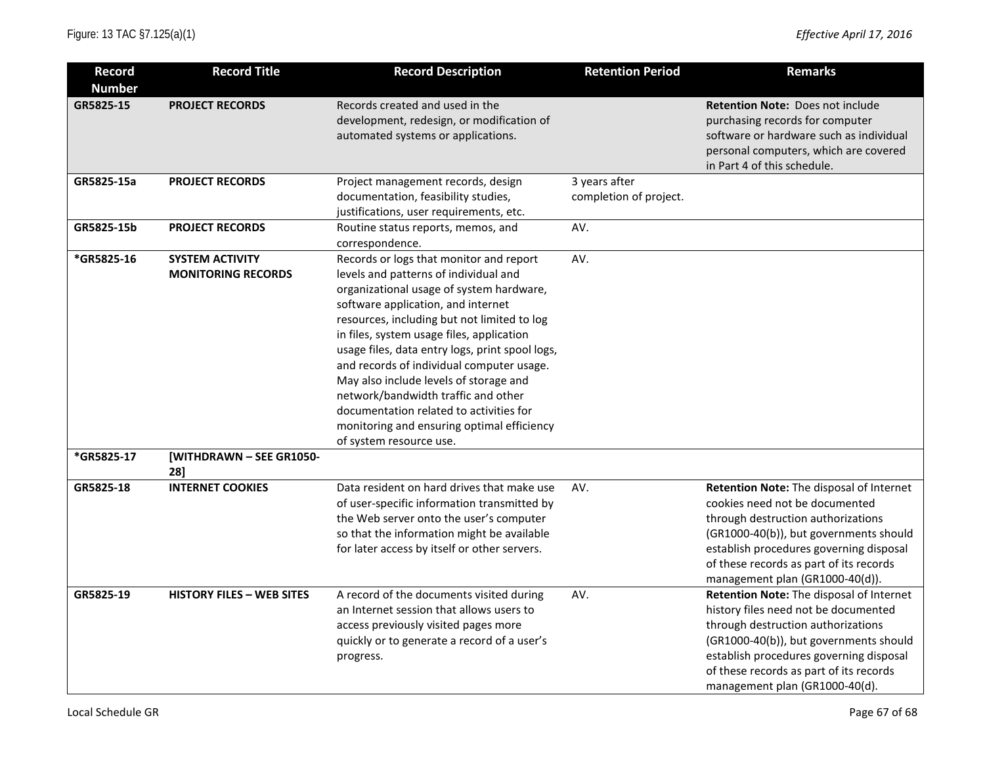| <b>Record</b>            | <b>Record Title</b>                                                             | <b>Record Description</b>                                                                                                                                                                                                                                                                                                                                                                                                                                                                                                                                           | <b>Retention Period</b>                 | <b>Remarks</b>                                                                                                                                                                                                                                                                           |
|--------------------------|---------------------------------------------------------------------------------|---------------------------------------------------------------------------------------------------------------------------------------------------------------------------------------------------------------------------------------------------------------------------------------------------------------------------------------------------------------------------------------------------------------------------------------------------------------------------------------------------------------------------------------------------------------------|-----------------------------------------|------------------------------------------------------------------------------------------------------------------------------------------------------------------------------------------------------------------------------------------------------------------------------------------|
| <b>Number</b>            |                                                                                 |                                                                                                                                                                                                                                                                                                                                                                                                                                                                                                                                                                     |                                         |                                                                                                                                                                                                                                                                                          |
| GR5825-15                | <b>PROJECT RECORDS</b>                                                          | Records created and used in the<br>development, redesign, or modification of<br>automated systems or applications.                                                                                                                                                                                                                                                                                                                                                                                                                                                  |                                         | <b>Retention Note: Does not include</b><br>purchasing records for computer<br>software or hardware such as individual<br>personal computers, which are covered<br>in Part 4 of this schedule.                                                                                            |
| GR5825-15a               | <b>PROJECT RECORDS</b>                                                          | Project management records, design<br>documentation, feasibility studies,<br>justifications, user requirements, etc.                                                                                                                                                                                                                                                                                                                                                                                                                                                | 3 years after<br>completion of project. |                                                                                                                                                                                                                                                                                          |
| GR5825-15b               | <b>PROJECT RECORDS</b>                                                          | Routine status reports, memos, and<br>correspondence.                                                                                                                                                                                                                                                                                                                                                                                                                                                                                                               | AV.                                     |                                                                                                                                                                                                                                                                                          |
| *GR5825-16<br>*GR5825-17 | <b>SYSTEM ACTIVITY</b><br><b>MONITORING RECORDS</b><br>[WITHDRAWN - SEE GR1050- | Records or logs that monitor and report<br>levels and patterns of individual and<br>organizational usage of system hardware,<br>software application, and internet<br>resources, including but not limited to log<br>in files, system usage files, application<br>usage files, data entry logs, print spool logs,<br>and records of individual computer usage.<br>May also include levels of storage and<br>network/bandwidth traffic and other<br>documentation related to activities for<br>monitoring and ensuring optimal efficiency<br>of system resource use. | AV.                                     |                                                                                                                                                                                                                                                                                          |
| GR5825-18                | 281<br><b>INTERNET COOKIES</b>                                                  | Data resident on hard drives that make use                                                                                                                                                                                                                                                                                                                                                                                                                                                                                                                          | AV.                                     | Retention Note: The disposal of Internet                                                                                                                                                                                                                                                 |
|                          |                                                                                 | of user-specific information transmitted by<br>the Web server onto the user's computer<br>so that the information might be available<br>for later access by itself or other servers.                                                                                                                                                                                                                                                                                                                                                                                |                                         | cookies need not be documented<br>through destruction authorizations<br>(GR1000-40(b)), but governments should<br>establish procedures governing disposal<br>of these records as part of its records<br>management plan (GR1000-40(d)).                                                  |
| GR5825-19                | <b>HISTORY FILES - WEB SITES</b>                                                | A record of the documents visited during<br>an Internet session that allows users to<br>access previously visited pages more<br>quickly or to generate a record of a user's<br>progress.                                                                                                                                                                                                                                                                                                                                                                            | AV.                                     | Retention Note: The disposal of Internet<br>history files need not be documented<br>through destruction authorizations<br>(GR1000-40(b)), but governments should<br>establish procedures governing disposal<br>of these records as part of its records<br>management plan (GR1000-40(d). |